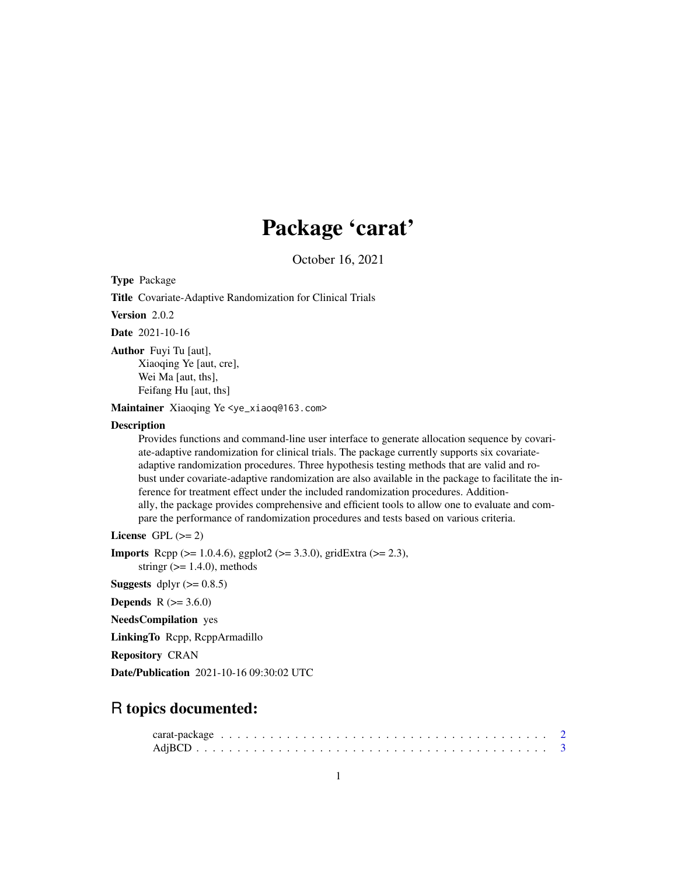# Package 'carat'

October 16, 2021

<span id="page-0-0"></span>Type Package

Title Covariate-Adaptive Randomization for Clinical Trials

Version 2.0.2

Date 2021-10-16

Author Fuyi Tu [aut], Xiaoqing Ye [aut, cre], Wei Ma [aut, ths], Feifang Hu [aut, ths]

Maintainer Xiaoqing Ye <ye\_xiaoq@163.com>

# **Description**

Provides functions and command-line user interface to generate allocation sequence by covariate-adaptive randomization for clinical trials. The package currently supports six covariateadaptive randomization procedures. Three hypothesis testing methods that are valid and robust under covariate-adaptive randomization are also available in the package to facilitate the inference for treatment effect under the included randomization procedures. Additionally, the package provides comprehensive and efficient tools to allow one to evaluate and compare the performance of randomization procedures and tests based on various criteria.

License GPL  $(>= 2)$ 

```
Imports Rcpp (>= 1.0.4.6), ggplot2 (>= 3.3.0), gridExtra (>= 2.3),
      stringr (>= 1.4.0), methods
```
Suggests dplyr  $(>= 0.8.5)$ 

**Depends** R  $(>= 3.6.0)$ 

NeedsCompilation yes

LinkingTo Rcpp, RcppArmadillo

Repository CRAN

Date/Publication 2021-10-16 09:30:02 UTC

# R topics documented: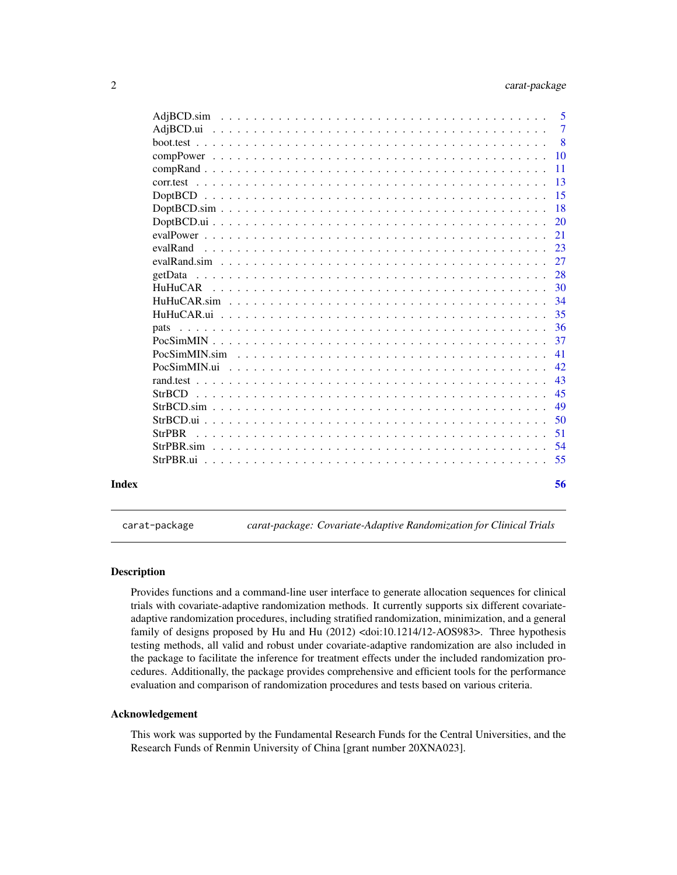<span id="page-1-0"></span>

|       |                | $\overline{5}$  |
|-------|----------------|-----------------|
|       |                | $\overline{7}$  |
|       |                | 8               |
|       |                | $\overline{10}$ |
|       |                | <b>11</b>       |
|       |                | -13             |
|       |                | 15              |
|       |                | $\overline{18}$ |
|       |                | 20              |
|       |                | 21              |
|       | evalRand       | 23              |
|       |                | 27              |
|       |                | 28              |
|       | <b>HuHuCAR</b> | 30              |
|       |                | 34              |
|       |                | 35              |
|       | pats           | 36              |
|       |                | 37              |
|       |                | 41              |
|       |                | 42              |
|       |                | 43              |
|       |                | 45              |
|       |                | 49              |
|       |                | 50              |
|       |                | 51              |
|       |                | 54              |
|       |                | 55              |
| Index |                | 56              |

carat-package *carat-package: Covariate-Adaptive Randomization for Clinical Trials*

# **Description**

Provides functions and a command-line user interface to generate allocation sequences for clinical trials with covariate-adaptive randomization methods. It currently supports six different covariateadaptive randomization procedures, including stratified randomization, minimization, and a general family of designs proposed by Hu and Hu (2012) <doi:10.1214/12-AOS983>. Three hypothesis testing methods, all valid and robust under covariate-adaptive randomization are also included in the package to facilitate the inference for treatment effects under the included randomization procedures. Additionally, the package provides comprehensive and efficient tools for the performance evaluation and comparison of randomization procedures and tests based on various criteria.

#### Acknowledgement

This work was supported by the Fundamental Research Funds for the Central Universities, and the Research Funds of Renmin University of China [grant number 20XNA023].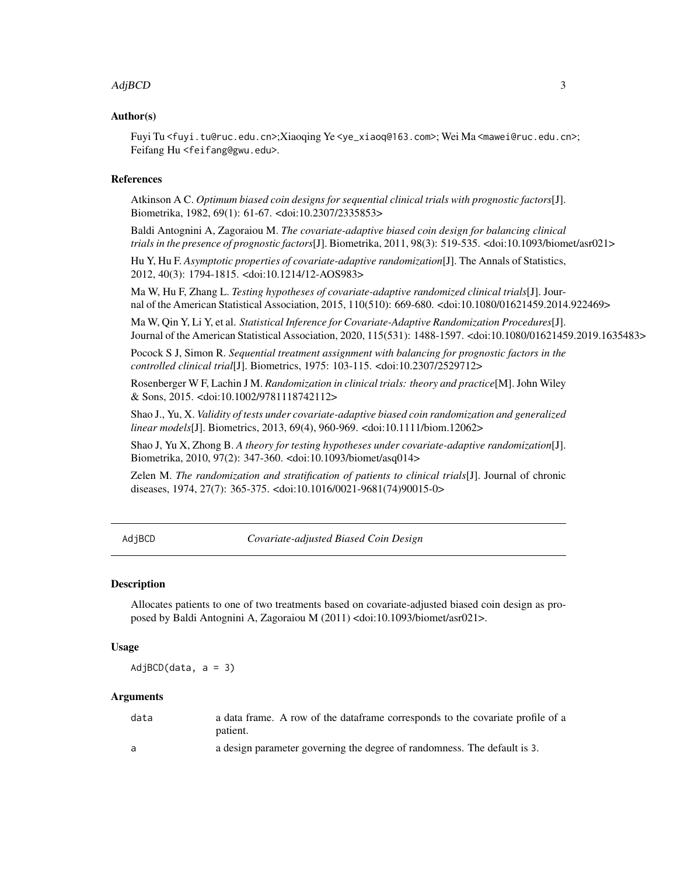#### <span id="page-2-0"></span>AdjBCD 3

# Author(s)

Fuyi Tu <fuyi.tu@ruc.edu.cn>;Xiaoqing Ye <ye\_xiaoq@163.com>; Wei Ma <mawei@ruc.edu.cn>; Feifang Hu <feifang@gwu.edu>.

#### References

Atkinson A C. *Optimum biased coin designs for sequential clinical trials with prognostic factors*[J]. Biometrika, 1982, 69(1): 61-67. <doi:10.2307/2335853>

Baldi Antognini A, Zagoraiou M. *The covariate-adaptive biased coin design for balancing clinical trials in the presence of prognostic factors*[J]. Biometrika, 2011, 98(3): 519-535. <doi:10.1093/biomet/asr021>

Hu Y, Hu F. *Asymptotic properties of covariate-adaptive randomization*[J]. The Annals of Statistics, 2012, 40(3): 1794-1815. <doi:10.1214/12-AOS983>

Ma W, Hu F, Zhang L. *Testing hypotheses of covariate-adaptive randomized clinical trials*[J]. Journal of the American Statistical Association, 2015, 110(510): 669-680. <doi:10.1080/01621459.2014.922469>

Ma W, Qin Y, Li Y, et al. *Statistical Inference for Covariate-Adaptive Randomization Procedures*[J]. Journal of the American Statistical Association, 2020, 115(531): 1488-1597. <doi:10.1080/01621459.2019.1635483>

Pocock S J, Simon R. *Sequential treatment assignment with balancing for prognostic factors in the controlled clinical trial*[J]. Biometrics, 1975: 103-115. <doi:10.2307/2529712>

Rosenberger W F, Lachin J M. *Randomization in clinical trials: theory and practice*[M]. John Wiley & Sons, 2015. <doi:10.1002/9781118742112>

Shao J., Yu, X. *Validity of tests under covariate-adaptive biased coin randomization and generalized linear models*[J]. Biometrics, 2013, 69(4), 960-969. <doi:10.1111/biom.12062>

Shao J, Yu X, Zhong B. *A theory for testing hypotheses under covariate-adaptive randomization*[J]. Biometrika, 2010, 97(2): 347-360. <doi:10.1093/biomet/asq014>

Zelen M. *The randomization and stratification of patients to clinical trials*[J]. Journal of chronic diseases, 1974, 27(7): 365-375. <doi:10.1016/0021-9681(74)90015-0>

<span id="page-2-1"></span>AdjBCD *Covariate-adjusted Biased Coin Design*

#### Description

Allocates patients to one of two treatments based on covariate-adjusted biased coin design as proposed by Baldi Antognini A, Zagoraiou M (2011) <doi:10.1093/biomet/asr021>.

#### Usage

AdjBCD(data,  $a = 3$ )

#### Arguments

| data | a data frame. A row of the dataframe corresponds to the covariate profile of a<br>patient. |
|------|--------------------------------------------------------------------------------------------|
| a    | a design parameter governing the degree of randomness. The default is 3.                   |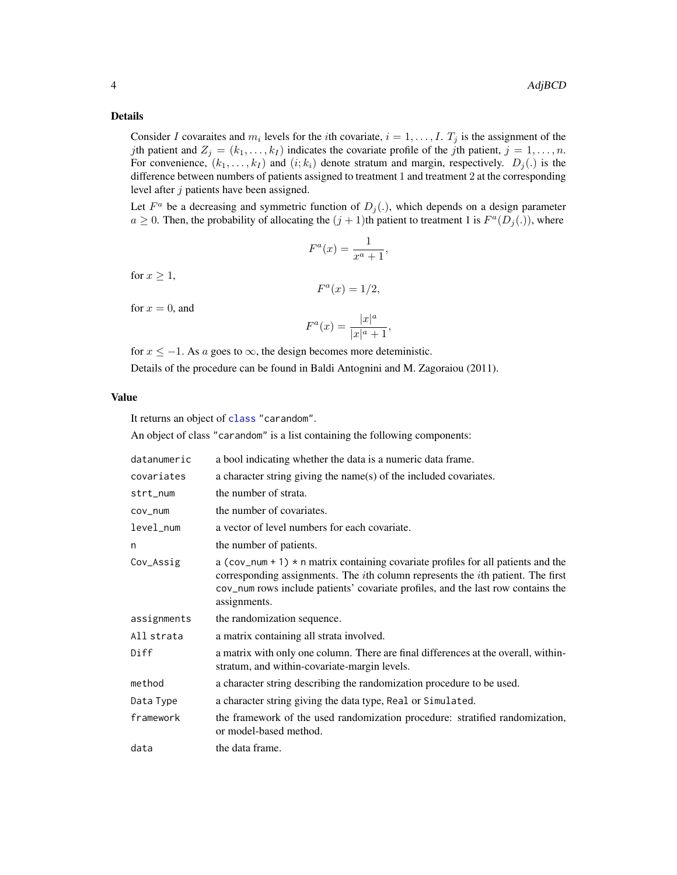#### <span id="page-3-0"></span>Details

Consider I covaraites and  $m_i$  levels for the *i*th covariate,  $i = 1, \ldots, I$ .  $T_j$  is the assignment of the *j*th patient and  $Z_j = (k_1, \ldots, k_I)$  indicates the covariate profile of the *j*th patient,  $j = 1, \ldots, n$ . For convenience,  $(k_1, \ldots, k_I)$  and  $(i; k_i)$  denote stratum and margin, respectively.  $D_j(.)$  is the difference between numbers of patients assigned to treatment 1 and treatment 2 at the corresponding level after j patients have been assigned.

Let  $F^a$  be a decreasing and symmetric function of  $D_j(.)$ , which depends on a design parameter  $a \geq 0$ . Then, the probability of allocating the  $(j + 1)$ th patient to treatment 1 is  $F^a(D_j(.))$ , where

$$
F^a(x) = \frac{1}{x^a + 1},
$$

for  $x \geq 1$ ,

$$
F^a(x) = 1/2,
$$

for  $x = 0$ , and

$$
F^{a}(x) = \frac{|x|^{a}}{|x|^{a} + 1},
$$

for  $x \le -1$ . As a goes to  $\infty$ , the design becomes more deteministic.

Details of the procedure can be found in Baldi Antognini and M. Zagoraiou (2011).

# Value

It returns an object of [class](#page-0-0) "carandom".

An object of class "carandom" is a list containing the following components:

| datanumeric | a bool indicating whether the data is a numeric data frame.                                                                                                                                                                                                                                    |
|-------------|------------------------------------------------------------------------------------------------------------------------------------------------------------------------------------------------------------------------------------------------------------------------------------------------|
| covariates  | a character string giving the name(s) of the included covariates.                                                                                                                                                                                                                              |
| strt_num    | the number of strata.                                                                                                                                                                                                                                                                          |
| COV_num     | the number of covariates.                                                                                                                                                                                                                                                                      |
| level_num   | a vector of level numbers for each covariate.                                                                                                                                                                                                                                                  |
| n           | the number of patients.                                                                                                                                                                                                                                                                        |
| Cov_Assig   | a (cov_num + 1) $\star$ n matrix containing covariate profiles for all patients and the<br>corresponding assignments. The <i>i</i> th column represents the <i>i</i> th patient. The first<br>cov_num rows include patients' covariate profiles, and the last row contains the<br>assignments. |
| assignments | the randomization sequence.                                                                                                                                                                                                                                                                    |
| All strata  | a matrix containing all strata involved.                                                                                                                                                                                                                                                       |
| Diff        | a matrix with only one column. There are final differences at the overall, within-<br>stratum, and within-covariate-margin levels.                                                                                                                                                             |
| method      | a character string describing the randomization procedure to be used.                                                                                                                                                                                                                          |
| Data Type   | a character string giving the data type, Real or Simulated.                                                                                                                                                                                                                                    |
| framework   | the framework of the used randomization procedure: stratified randomization,<br>or model-based method.                                                                                                                                                                                         |
| data        | the data frame.                                                                                                                                                                                                                                                                                |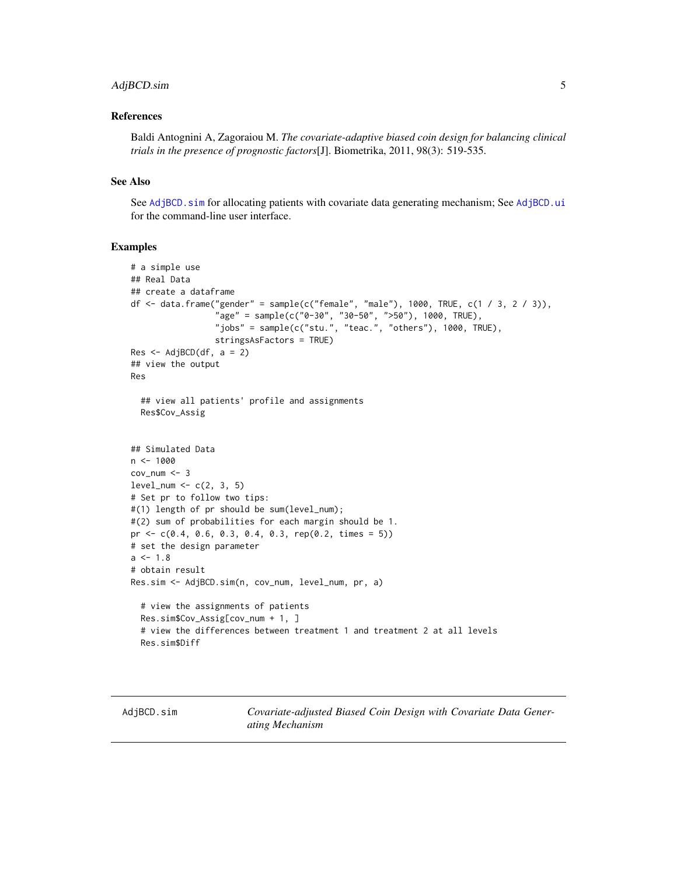# <span id="page-4-0"></span>AdjBCD.sim 5

### References

Baldi Antognini A, Zagoraiou M. *The covariate-adaptive biased coin design for balancing clinical trials in the presence of prognostic factors*[J]. Biometrika, 2011, 98(3): 519-535.

#### See Also

See AdjBCD. sim for allocating patients with covariate data generating mechanism; See [AdjBCD.ui](#page-6-1) for the command-line user interface.

#### Examples

```
# a simple use
## Real Data
## create a dataframe
df <- data.frame("gender" = sample(c("female", "male"), 1000, TRUE, c(1 / 3, 2 / 3)),
                 "age" = sample(c("0-30", "30-50", ">50"), 1000, TRUE),
                 "jobs" = sample(c("stu.", "teac.", "others"), 1000, TRUE),
                 stringsAsFactors = TRUE)
Res \leq AdjBCD(df, a = 2)
## view the output
Res
  ## view all patients' profile and assignments
  Res$Cov_Assig
## Simulated Data
n < - 1000cov_nnum <-3level_name < c(2, 3, 5)# Set pr to follow two tips:
#(1) length of pr should be sum(level_num);
#(2) sum of probabilities for each margin should be 1.
pr \leq c(0.4, 0.6, 0.3, 0.4, 0.3, rep(0.2, times = 5))
# set the design parameter
a \le -1.8# obtain result
Res.sim <- AdjBCD.sim(n, cov_num, level_num, pr, a)
  # view the assignments of patients
  Res.sim$Cov_Assig[cov_num + 1, ]
  # view the differences between treatment 1 and treatment 2 at all levels
  Res.sim$Diff
```
<span id="page-4-1"></span>AdjBCD.sim *Covariate-adjusted Biased Coin Design with Covariate Data Generating Mechanism*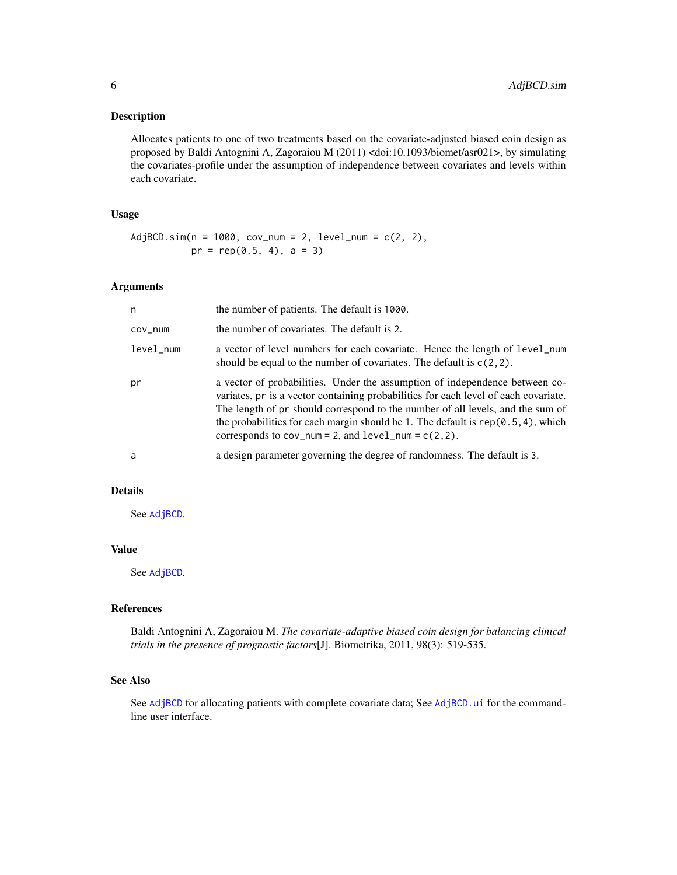<span id="page-5-0"></span>Allocates patients to one of two treatments based on the covariate-adjusted biased coin design as proposed by Baldi Antognini A, Zagoraiou M (2011) <doi:10.1093/biomet/asr021>, by simulating the covariates-profile under the assumption of independence between covariates and levels within each covariate.

# Usage

```
AdjBCD.sim(n = 1000, cov_num = 2, level_num = c(2, 2),
          pr = rep(0.5, 4), a = 3)
```
# Arguments

| n         | the number of patients. The default is 1000.                                                                                                                                                                                                                                                                                                                                                              |
|-----------|-----------------------------------------------------------------------------------------------------------------------------------------------------------------------------------------------------------------------------------------------------------------------------------------------------------------------------------------------------------------------------------------------------------|
| COV_num   | the number of covariates. The default is 2.                                                                                                                                                                                                                                                                                                                                                               |
| level_num | a vector of level numbers for each covariate. Hence the length of level_num<br>should be equal to the number of covariates. The default is $c(2, 2)$ .                                                                                                                                                                                                                                                    |
| pr        | a vector of probabilities. Under the assumption of independence between co-<br>variates, pr is a vector containing probabilities for each level of each covariate.<br>The length of pr should correspond to the number of all levels, and the sum of<br>the probabilities for each margin should be 1. The default is $rep(0.5, 4)$ , which<br>corresponds to $cov_num = 2$ , and $level_num = c(2, 2)$ . |
| a         | a design parameter governing the degree of randomness. The default is 3.                                                                                                                                                                                                                                                                                                                                  |

# Details

See [AdjBCD](#page-2-1).

# Value

See [AdjBCD](#page-2-1).

# References

Baldi Antognini A, Zagoraiou M. *The covariate-adaptive biased coin design for balancing clinical trials in the presence of prognostic factors*[J]. Biometrika, 2011, 98(3): 519-535.

# See Also

See [AdjBCD](#page-2-1) for allocating patients with complete covariate data; See [AdjBCD.ui](#page-6-1) for the commandline user interface.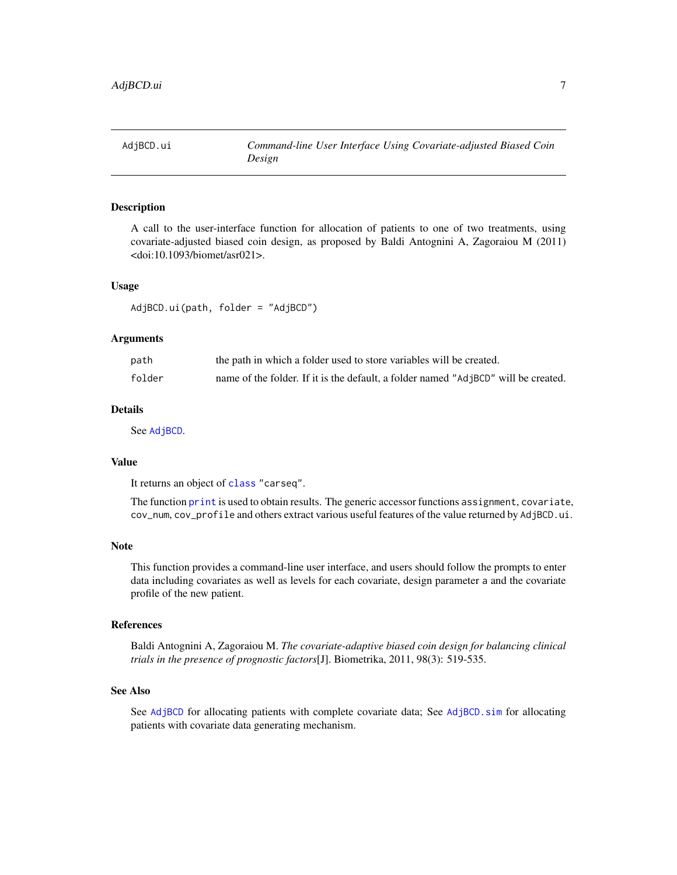<span id="page-6-1"></span><span id="page-6-0"></span>A call to the user-interface function for allocation of patients to one of two treatments, using covariate-adjusted biased coin design, as proposed by Baldi Antognini A, Zagoraiou M (2011) <doi:10.1093/biomet/asr021>.

#### Usage

AdjBCD.ui(path, folder = "AdjBCD")

#### Arguments

| path   | the path in which a folder used to store variables will be created.                 |
|--------|-------------------------------------------------------------------------------------|
| folder | name of the folder. If it is the default, a folder named "Ad jBCD" will be created. |

# Details

See [AdjBCD](#page-2-1).

# Value

It returns an object of [class](#page-0-0) "carseq".

The function [print](#page-0-0) is used to obtain results. The generic accessor functions assignment, covariate, cov\_num, cov\_profile and others extract various useful features of the value returned by AdjBCD.ui.

# Note

This function provides a command-line user interface, and users should follow the prompts to enter data including covariates as well as levels for each covariate, design parameter a and the covariate profile of the new patient.

# References

Baldi Antognini A, Zagoraiou M. *The covariate-adaptive biased coin design for balancing clinical trials in the presence of prognostic factors*[J]. Biometrika, 2011, 98(3): 519-535.

# See Also

See [AdjBCD](#page-2-1) for allocating patients with complete covariate data; See [AdjBCD.sim](#page-4-1) for allocating patients with covariate data generating mechanism.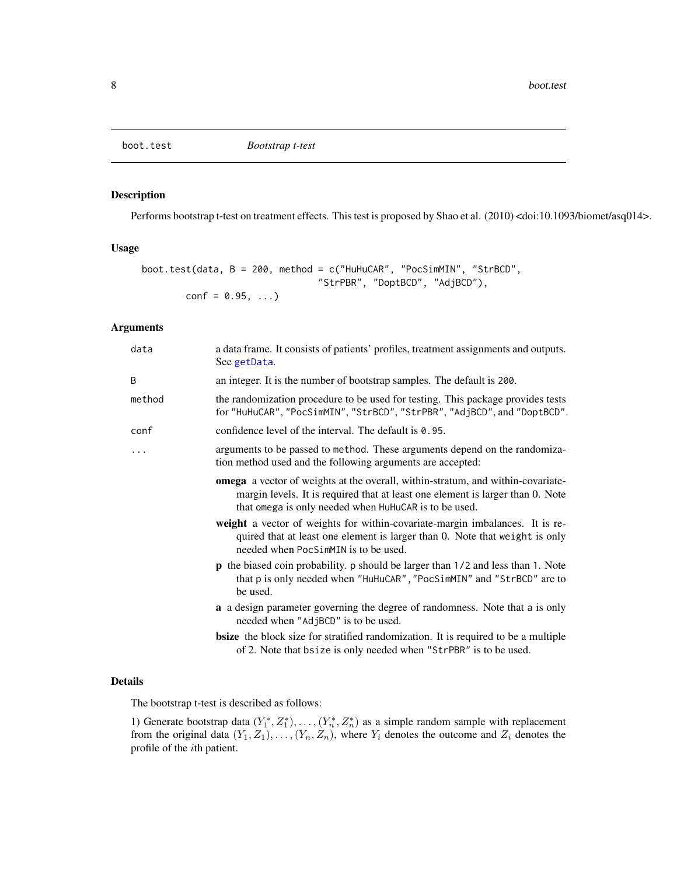<span id="page-7-0"></span>

Performs bootstrap t-test on treatment effects. This test is proposed by Shao et al. (2010) <doi:10.1093/biomet/asq014>.

# Usage

```
boot.test(data, B = 200, method = c("HuHuCAR", "PocSimMIN", "StrBCD",
                                "StrPBR", "DoptBCD", "AdjBCD"),
       conf = 0.95, ...
```
# Arguments

| a data frame. It consists of patients' profiles, treatment assignments and outputs.<br>See getData.                                                                                                                        |
|----------------------------------------------------------------------------------------------------------------------------------------------------------------------------------------------------------------------------|
| an integer. It is the number of bootstrap samples. The default is 200.                                                                                                                                                     |
| the randomization procedure to be used for testing. This package provides tests<br>for "HuHuCAR", "PocSimMIN", "StrBCD", "StrPBR", "AdjBCD", and "DoptBCD".                                                                |
| confidence level of the interval. The default is $0.95$ .                                                                                                                                                                  |
| arguments to be passed to method. These arguments depend on the randomiza-<br>tion method used and the following arguments are accepted:                                                                                   |
| omega a vector of weights at the overall, within-stratum, and within-covariate-<br>margin levels. It is required that at least one element is larger than 0. Note<br>that omega is only needed when HuHuCAR is to be used. |
| weight a vector of weights for within-covariate-margin imbalances. It is re-<br>quired that at least one element is larger than 0. Note that weight is only<br>needed when PocSimMIN is to be used.                        |
| <b>p</b> the biased coin probability. p should be larger than 1/2 and less than 1. Note<br>that p is only needed when "HuHuCAR", "PocSimMIN" and "StrBCD" are to<br>be used.                                               |
| <b>a</b> a design parameter governing the degree of randomness. Note that a is only<br>needed when "AdjBCD" is to be used.                                                                                                 |
| <b>bsize</b> the block size for stratified randomization. It is required to be a multiple<br>of 2. Note that bsize is only needed when "StrPBR" is to be used.                                                             |
|                                                                                                                                                                                                                            |

# Details

The bootstrap t-test is described as follows:

1) Generate bootstrap data  $(Y_1^*, Z_1^*)$ , ...,  $(Y_n^*, Z_n^*)$  as a simple random sample with replacement from the original data  $(Y_1, Z_1), \ldots, (Y_n, Z_n)$ , where  $Y_i$  denotes the outcome and  $Z_i$  denotes the profile of the ith patient.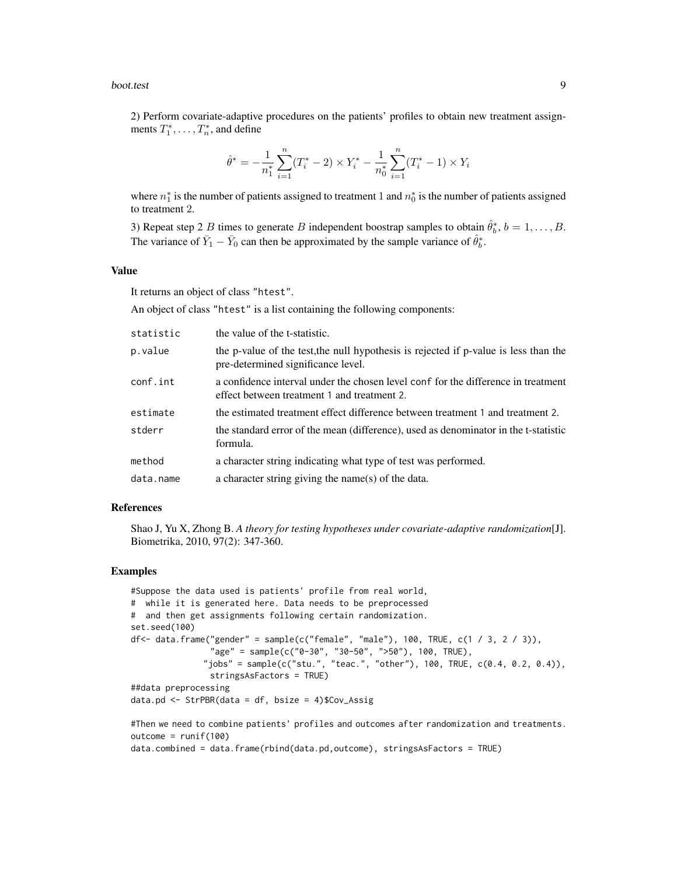#### boot.test 9

2) Perform covariate-adaptive procedures on the patients' profiles to obtain new treatment assignments  $T_1^*, \ldots, T_n^*$ , and define

$$
\hat{\theta}^* = -\frac{1}{n_1^*} \sum_{i=1}^n (T_i^* - 2) \times Y_i^* - \frac{1}{n_0^*} \sum_{i=1}^n (T_i^* - 1) \times Y_i
$$

where  $n_1^*$  is the number of patients assigned to treatment 1 and  $n_0^*$  is the number of patients assigned to treatment 2.

3) Repeat step 2 B times to generate B independent boostrap samples to obtain  $\hat{\theta}_b^*, b = 1, \ldots, B$ . The variance of  $\bar{Y}_1 - \bar{Y}_0$  can then be approximated by the sample variance of  $\hat{\theta}_b^*$ .

#### Value

It returns an object of class "htest".

An object of class "htest" is a list containing the following components:

| statistic | the value of the t-statistic.                                                                                                    |
|-----------|----------------------------------------------------------------------------------------------------------------------------------|
| p.value   | the p-value of the test, the null hypothesis is rejected if p-value is less than the<br>pre-determined significance level.       |
| conf.int  | a confidence interval under the chosen level conf for the difference in treatment<br>effect between treatment 1 and treatment 2. |
| estimate  | the estimated treatment effect difference between treatment 1 and treatment 2.                                                   |
| stderr    | the standard error of the mean (difference), used as denominator in the t-statistic<br>formula.                                  |
| method    | a character string indicating what type of test was performed.                                                                   |
| data.name | a character string giving the name(s) of the data.                                                                               |

# References

Shao J, Yu X, Zhong B. *A theory for testing hypotheses under covariate-adaptive randomization*[J]. Biometrika, 2010, 97(2): 347-360.

# Examples

```
#Suppose the data used is patients' profile from real world,
# while it is generated here. Data needs to be preprocessed
# and then get assignments following certain randomization.
set.seed(100)
df<- data.frame("gender" = sample(c("female", "male"), 100, TRUE, c(1 / 3, 2 / 3)),
                "age" = sample(c("0-30", "30-50", ">50"), 100, TRUE),
               "jobs" = sample(c("stu." , "teac." , "other"), 100, TRUE, c(0.4, 0.2, 0.4)),stringsAsFactors = TRUE)
##data preprocessing
data.pd <- StrPBR(data = df, bsize = 4)$Cov_Assig
#Then we need to combine patients' profiles and outcomes after randomization and treatments.
outcome = runif(100)
```
data.combined = data.frame(rbind(data.pd,outcome), stringsAsFactors = TRUE)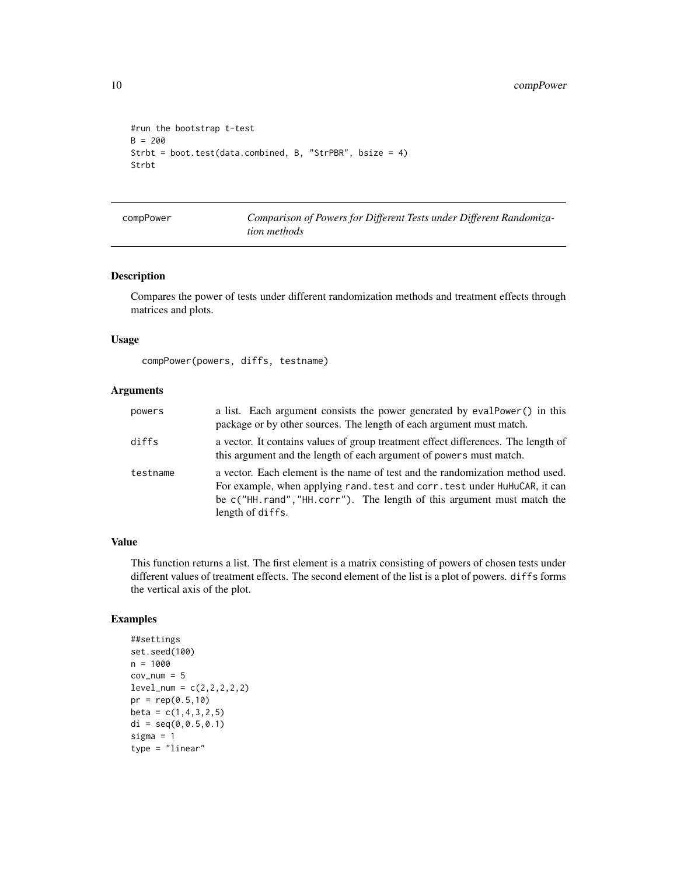```
#run the bootstrap t-test
B = 200Strbt = boot.test(data.combined, B, "StrPBR", bsize = 4)
Strbt
```
compPower *Comparison of Powers for Different Tests under Different Randomization methods*

# Description

Compares the power of tests under different randomization methods and treatment effects through matrices and plots.

# Usage

```
compPower(powers, diffs, testname)
```
# Arguments

| powers   | a list. Each argument consists the power generated by evalPower() in this<br>package or by other sources. The length of each argument must match.                                                                                                              |
|----------|----------------------------------------------------------------------------------------------------------------------------------------------------------------------------------------------------------------------------------------------------------------|
| diffs    | a vector. It contains values of group treatment effect differences. The length of<br>this argument and the length of each argument of powers must match.                                                                                                       |
| testname | a vector. Each element is the name of test and the randomization method used.<br>For example, when applying rand. test and corr. test under HuHuCAR, it can<br>be $c("HH.random", "HH.corr")$ . The length of this argument must match the<br>length of diffs. |

# Value

This function returns a list. The first element is a matrix consisting of powers of chosen tests under different values of treatment effects. The second element of the list is a plot of powers. diffs forms the vertical axis of the plot.

# Examples

```
##settings
set.seed(100)
n = 1000cov\_num = 5level\_num = c(2, 2, 2, 2, 2)pr = rep(0.5,10)beta = c(1, 4, 3, 2, 5)di = seq(0,0.5,0.1)
sigma = 1type = "linear"
```
<span id="page-9-0"></span>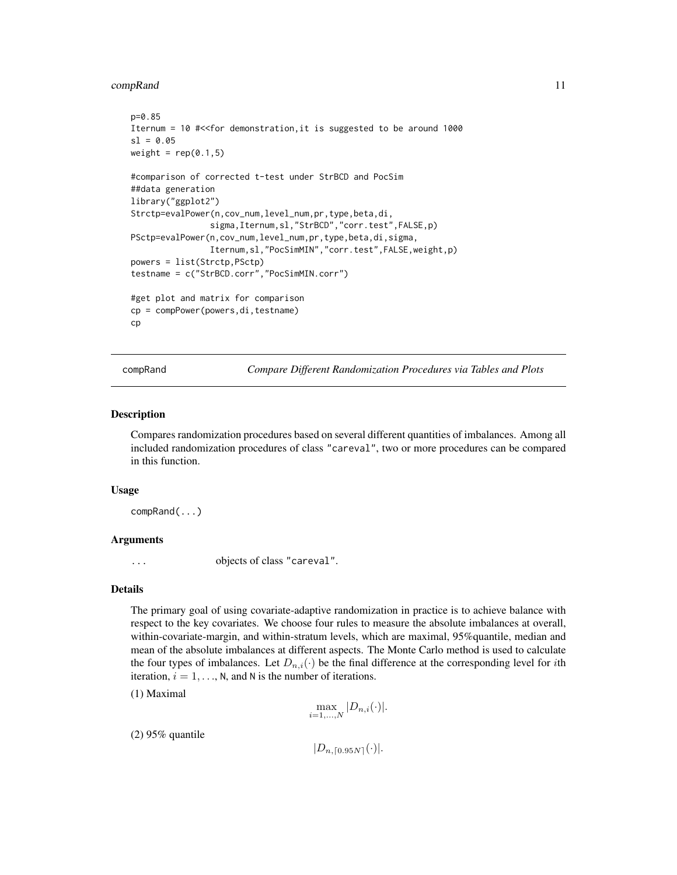#### <span id="page-10-0"></span>compRand 11

```
p=0.85
Iternum = 10 #<<for demonstration,it is suggested to be around 1000
sl = 0.05weight = rep(0.1, 5)#comparison of corrected t-test under StrBCD and PocSim
##data generation
library("ggplot2")
Strctp=evalPower(n,cov_num,level_num,pr,type,beta,di,
                sigma,Iternum,sl,"StrBCD","corr.test",FALSE,p)
PSctp=evalPower(n,cov_num,level_num,pr,type,beta,di,sigma,
                Iternum,sl,"PocSimMIN","corr.test",FALSE,weight,p)
powers = list(Strctp,PSctp)
testname = c("StrBCD.corr","PocSimMIN.corr")
#get plot and matrix for comparison
cp = compPower(powers,di,testname)
cp
```
compRand *Compare Different Randomization Procedures via Tables and Plots*

#### Description

Compares randomization procedures based on several different quantities of imbalances. Among all included randomization procedures of class "careval", two or more procedures can be compared in this function.

#### Usage

compRand(...)

# Arguments

... objects of class "careval".

# Details

The primary goal of using covariate-adaptive randomization in practice is to achieve balance with respect to the key covariates. We choose four rules to measure the absolute imbalances at overall, within-covariate-margin, and within-stratum levels, which are maximal, 95%quantile, median and mean of the absolute imbalances at different aspects. The Monte Carlo method is used to calculate the four types of imbalances. Let  $D_{n,i}(\cdot)$  be the final difference at the corresponding level for *i*th iteration,  $i = 1, \ldots, N$ , and N is the number of iterations.

(1) Maximal

$$
\max_{i=1,\ldots,N} |D_{n,i}(\cdot)|.
$$

(2) 95% quantile

 $|D_{n,[0.95N]}(\cdot)|.$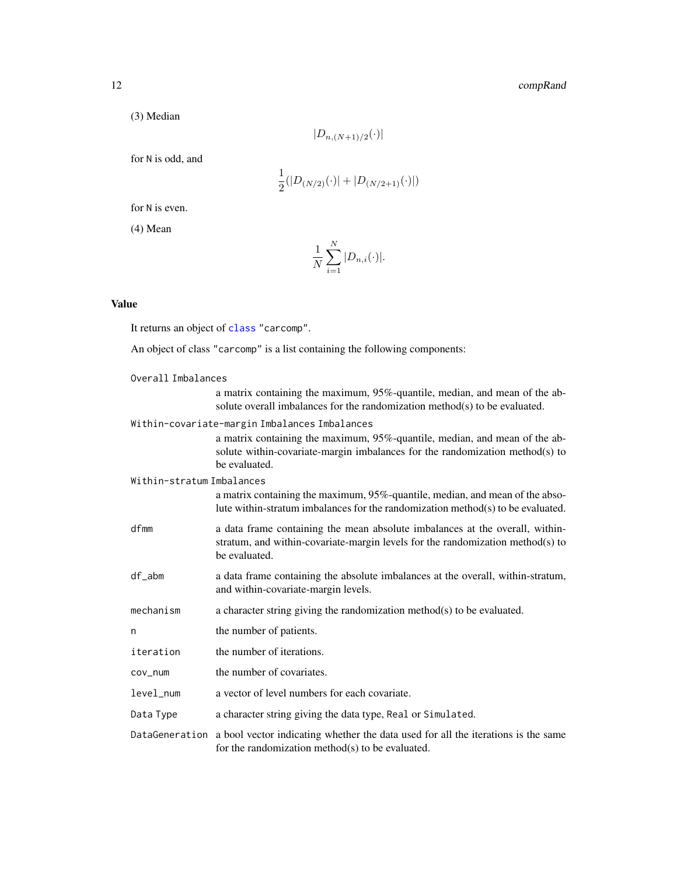# <span id="page-11-0"></span>12 compRand

(3) Median

$$
|D_{n,(N+1)/2}(\cdot)|
$$

for N is odd, and

$$
\frac{1}{2}(|D_{(N/2)}(\cdot)|+|D_{(N/2+1)}(\cdot)|)
$$

for N is even.

(4) Mean

$$
\frac{1}{N} \sum_{i=1}^{N} |D_{n,i}(\cdot)|.
$$

# Value

It returns an object of [class](#page-0-0) "carcomp".

An object of class "carcomp" is a list containing the following components:

| Overall Imbalances        |                                                                                                                                                                                 |
|---------------------------|---------------------------------------------------------------------------------------------------------------------------------------------------------------------------------|
|                           | a matrix containing the maximum, 95%-quantile, median, and mean of the ab-<br>solute overall imbalances for the randomization method(s) to be evaluated.                        |
|                           | Within–covariate–margin Imbalances Imbalances                                                                                                                                   |
|                           | a matrix containing the maximum, 95%-quantile, median, and mean of the ab-<br>solute within-covariate-margin imbalances for the randomization method(s) to<br>be evaluated.     |
| Within-stratum Imbalances |                                                                                                                                                                                 |
|                           | a matrix containing the maximum, 95%-quantile, median, and mean of the abso-<br>lute within-stratum imbalances for the randomization method $(s)$ to be evaluated.              |
| dfmm                      | a data frame containing the mean absolute imbalances at the overall, within-<br>stratum, and within-covariate-margin levels for the randomization method(s) to<br>be evaluated. |
| df_abm                    | a data frame containing the absolute imbalances at the overall, within-stratum,<br>and within-covariate-margin levels.                                                          |
| mechanism                 | a character string giving the randomization method(s) to be evaluated.                                                                                                          |
| n                         | the number of patients.                                                                                                                                                         |
| iteration                 | the number of iterations.                                                                                                                                                       |
| cov_num                   | the number of covariates.                                                                                                                                                       |
| level_num                 | a vector of level numbers for each covariate.                                                                                                                                   |
| Data Type                 | a character string giving the data type, Real or Simulated.                                                                                                                     |
| DataGeneration            | a bool vector indicating whether the data used for all the iterations is the same<br>for the randomization method(s) to be evaluated.                                           |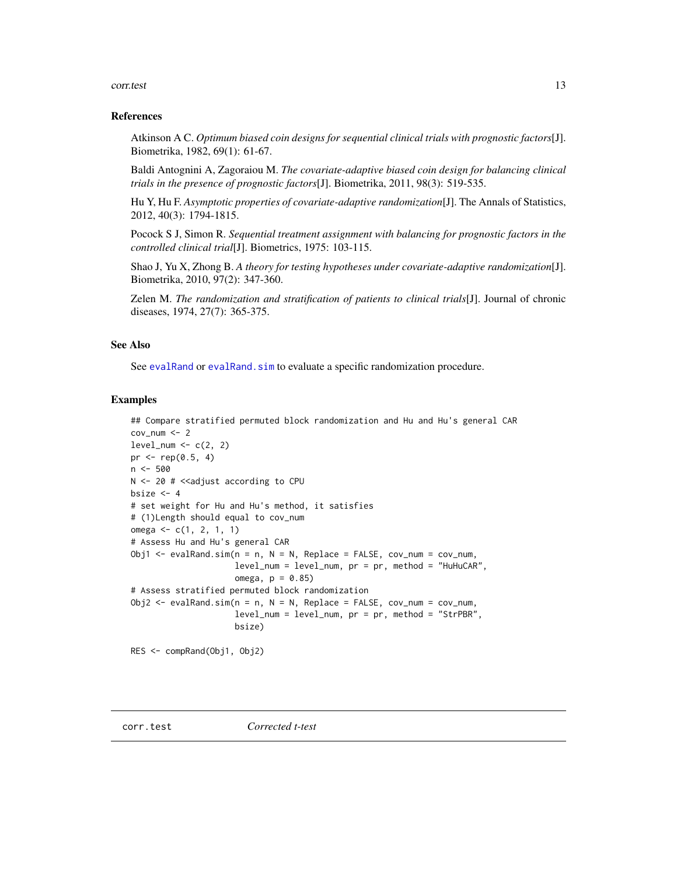#### <span id="page-12-0"></span>corr.test 13

#### References

Atkinson A C. *Optimum biased coin designs for sequential clinical trials with prognostic factors*[J]. Biometrika, 1982, 69(1): 61-67.

Baldi Antognini A, Zagoraiou M. *The covariate-adaptive biased coin design for balancing clinical trials in the presence of prognostic factors*[J]. Biometrika, 2011, 98(3): 519-535.

Hu Y, Hu F. *Asymptotic properties of covariate-adaptive randomization*[J]. The Annals of Statistics, 2012, 40(3): 1794-1815.

Pocock S J, Simon R. *Sequential treatment assignment with balancing for prognostic factors in the controlled clinical trial*[J]. Biometrics, 1975: 103-115.

Shao J, Yu X, Zhong B. *A theory for testing hypotheses under covariate-adaptive randomization*[J]. Biometrika, 2010, 97(2): 347-360.

Zelen M. *The randomization and stratification of patients to clinical trials*[J]. Journal of chronic diseases, 1974, 27(7): 365-375.

# See Also

See [evalRand](#page-22-1) or evalRand. sim to evaluate a specific randomization procedure.

#### Examples

```
## Compare stratified permuted block randomization and Hu and Hu's general CAR
cov_num < -2level_name < c(2, 2)pr \le rep(0.5, 4)
n <- 500
N <- 20 # << adjust according to CPU
bsize <-4# set weight for Hu and Hu's method, it satisfies
# (1)Length should equal to cov_num
omega <- c(1, 2, 1, 1)
# Assess Hu and Hu's general CAR
Obj1 \leq evalRand.sim(n = n, N = N, Replace = FALSE, cov_num = cov_num,
                     level_num = level_num, pr = pr, method = "HuHuCAR",
                     omega, p = 0.85)
# Assess stratified permuted block randomization
Obj2 \leq evalRand.sim(n = n, N = N, Replace = FALSE, cov_num = cov_num,
                     level_num = level_num, pr = pr, method = "StrPBR",
                     bsize)
```
RES <- compRand(Obj1, Obj2)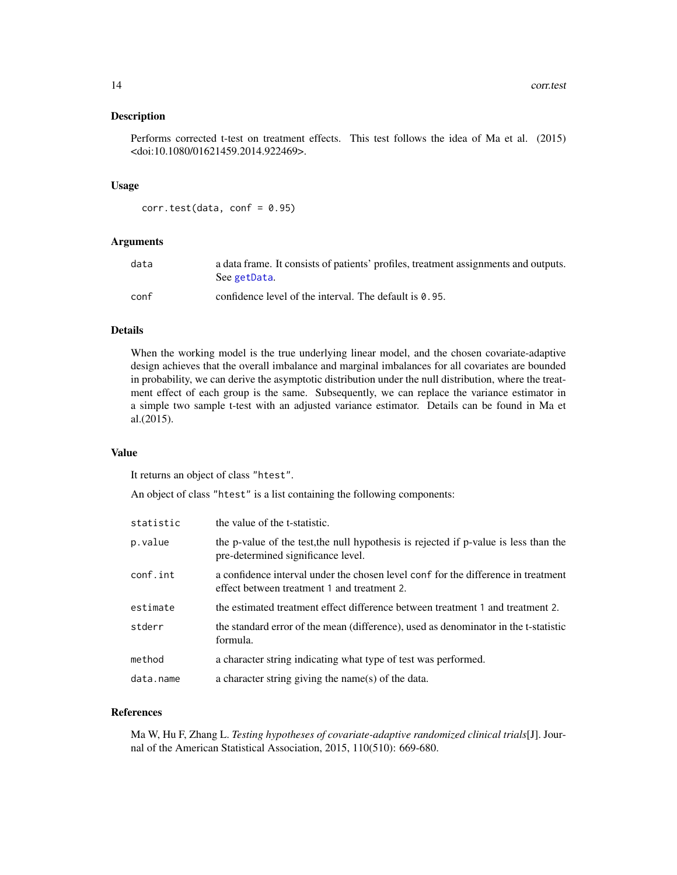<span id="page-13-0"></span>Performs corrected t-test on treatment effects. This test follows the idea of Ma et al. (2015) <doi:10.1080/01621459.2014.922469>.

#### Usage

 $corr.test(data, conf = 0.95)$ 

#### Arguments

| data | a data frame. It consists of patients' profiles, treatment assignments and outputs.<br>See getData. |
|------|-----------------------------------------------------------------------------------------------------|
| conf | confidence level of the interval. The default is 0.95.                                              |

# Details

When the working model is the true underlying linear model, and the chosen covariate-adaptive design achieves that the overall imbalance and marginal imbalances for all covariates are bounded in probability, we can derive the asymptotic distribution under the null distribution, where the treatment effect of each group is the same. Subsequently, we can replace the variance estimator in a simple two sample t-test with an adjusted variance estimator. Details can be found in Ma et al.(2015).

#### Value

It returns an object of class "htest".

An object of class "htest" is a list containing the following components:

| statistic | the value of the t-statistic.                                                                                                    |
|-----------|----------------------------------------------------------------------------------------------------------------------------------|
| p.value   | the p-value of the test, the null hypothesis is rejected if p-value is less than the<br>pre-determined significance level.       |
| conf.int  | a confidence interval under the chosen level conf for the difference in treatment<br>effect between treatment 1 and treatment 2. |
| estimate  | the estimated treatment effect difference between treatment 1 and treatment 2.                                                   |
| stderr    | the standard error of the mean (difference), used as denominator in the t-statistic<br>formula.                                  |
| method    | a character string indicating what type of test was performed.                                                                   |
| data.name | a character string giving the name(s) of the data.                                                                               |

# References

Ma W, Hu F, Zhang L. *Testing hypotheses of covariate-adaptive randomized clinical trials*[J]. Journal of the American Statistical Association, 2015, 110(510): 669-680.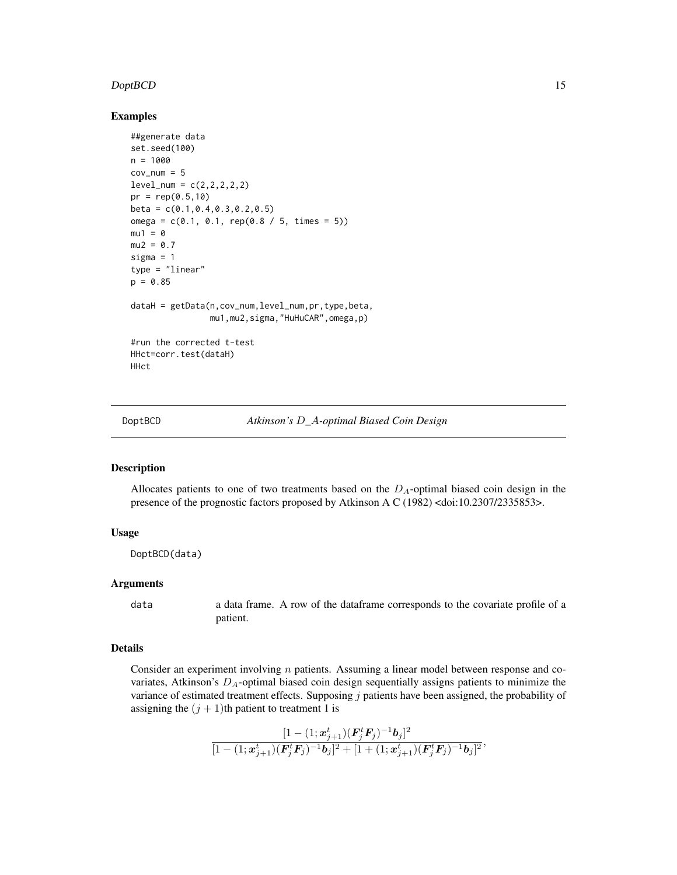#### <span id="page-14-0"></span>DoptBCD 15

### Examples

```
##generate data
set.seed(100)
n = 1000
cov_nnum = 5
level_name = c(2, 2, 2, 2, 2)pr = rep(0.5,10)beta = c(0.1, 0.4, 0.3, 0.2, 0.5)omega = c(0.1, 0.1, rep(0.8 / 5, times = 5))mu1 = 0mu2 = 0.7sigma = 1type = "linear"
p = 0.85dataH = getData(n,cov_num,level_num,pr,type,beta,
                mu1,mu2,sigma,"HuHuCAR",omega,p)
#run the corrected t-test
HHct=corr.test(dataH)
HHct
```
<span id="page-14-1"></span>DoptBCD *Atkinson's* D*\_*A*-optimal Biased Coin Design*

# Description

Allocates patients to one of two treatments based on the  $D<sub>A</sub>$ -optimal biased coin design in the presence of the prognostic factors proposed by Atkinson A C (1982) <doi:10.2307/2335853>.

# Usage

DoptBCD(data)

# Arguments

data a data frame. A row of the dataframe corresponds to the covariate profile of a patient.

#### Details

Consider an experiment involving  $n$  patients. Assuming a linear model between response and covariates, Atkinson's  $D_A$ -optimal biased coin design sequentially assigns patients to minimize the variance of estimated treatment effects. Supposing  $j$  patients have been assigned, the probability of assigning the  $(j + 1)$ th patient to treatment 1 is

$$
\frac{[1-(1;\pmb{x}^t_{j+1})(\pmb{F}^t_j\pmb{F}_j)^{-1}\pmb{b}_j]^2}{[1-(1;\pmb{x}^t_{j+1})(\pmb{F}^t_j\pmb{F}_j)^{-1}\pmb{b}_j]^2+[1+(1;\pmb{x}^t_{j+1})(\pmb{F}^t_j\pmb{F}_j)^{-1}\pmb{b}_j]^2},
$$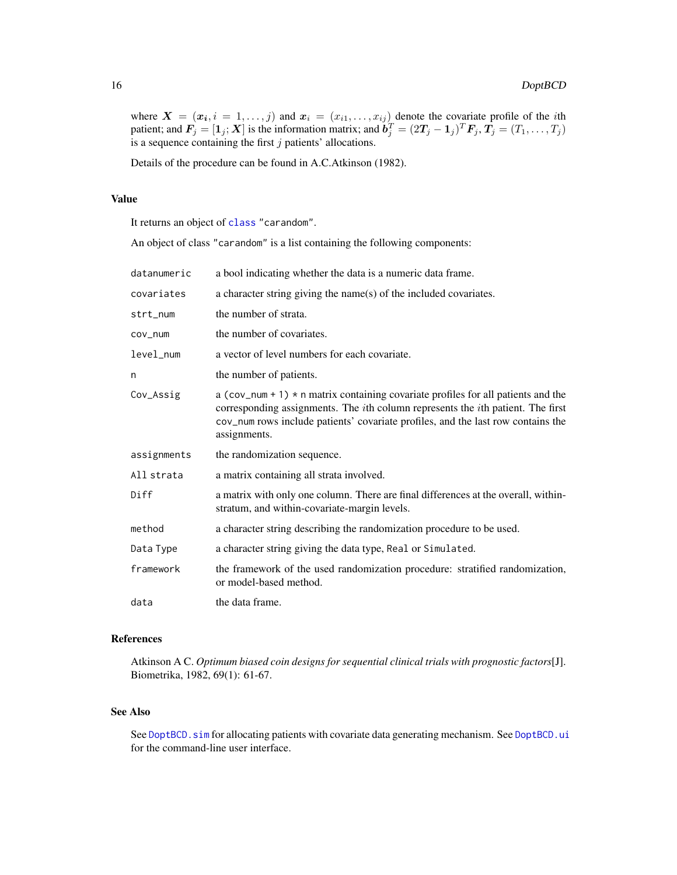<span id="page-15-0"></span>where  $X = (x_i, i = 1, \ldots, j)$  and  $x_i = (x_{i1}, \ldots, x_{ij})$  denote the covariate profile of the *i*th patient; and  $F_j = [\mathbf{1}_j; X]$  is the information matrix; and  $\bm{b}_j^T = (2\bm{T}_j - \mathbf{1}_j)^T \bm{F}_j,$   $\bm{T}_j = (T_1, \dots, T_j)$ is a sequence containing the first  $j$  patients' allocations.

Details of the procedure can be found in A.C.Atkinson (1982).

# Value

It returns an object of [class](#page-0-0) "carandom".

An object of class "carandom" is a list containing the following components:

| datanumeric | a bool indicating whether the data is a numeric data frame.                                                                                                                                                                                                                                |
|-------------|--------------------------------------------------------------------------------------------------------------------------------------------------------------------------------------------------------------------------------------------------------------------------------------------|
| covariates  | a character string giving the name(s) of the included covariates.                                                                                                                                                                                                                          |
| strt_num    | the number of strata.                                                                                                                                                                                                                                                                      |
| cov_num     | the number of covariates.                                                                                                                                                                                                                                                                  |
| level_num   | a vector of level numbers for each covariate.                                                                                                                                                                                                                                              |
| n           | the number of patients.                                                                                                                                                                                                                                                                    |
| Cov_Assig   | a (cov_num + 1) $*$ n matrix containing covariate profiles for all patients and the<br>corresponding assignments. The <i>i</i> th column represents the <i>i</i> th patient. The first<br>cov_num rows include patients' covariate profiles, and the last row contains the<br>assignments. |
| assignments | the randomization sequence.                                                                                                                                                                                                                                                                |
| All strata  | a matrix containing all strata involved.                                                                                                                                                                                                                                                   |
| Diff        | a matrix with only one column. There are final differences at the overall, within-<br>stratum, and within-covariate-margin levels.                                                                                                                                                         |
| method      | a character string describing the randomization procedure to be used.                                                                                                                                                                                                                      |
| Data Type   | a character string giving the data type, Real or Simulated.                                                                                                                                                                                                                                |
| framework   | the framework of the used randomization procedure: stratified randomization,<br>or model-based method.                                                                                                                                                                                     |
| data        | the data frame.                                                                                                                                                                                                                                                                            |

# References

Atkinson A C. *Optimum biased coin designs for sequential clinical trials with prognostic factors*[J]. Biometrika, 1982, 69(1): 61-67.

#### See Also

See DoptBCD. sim for allocating patients with covariate data generating mechanism. See [DoptBCD.ui](#page-19-1) for the command-line user interface.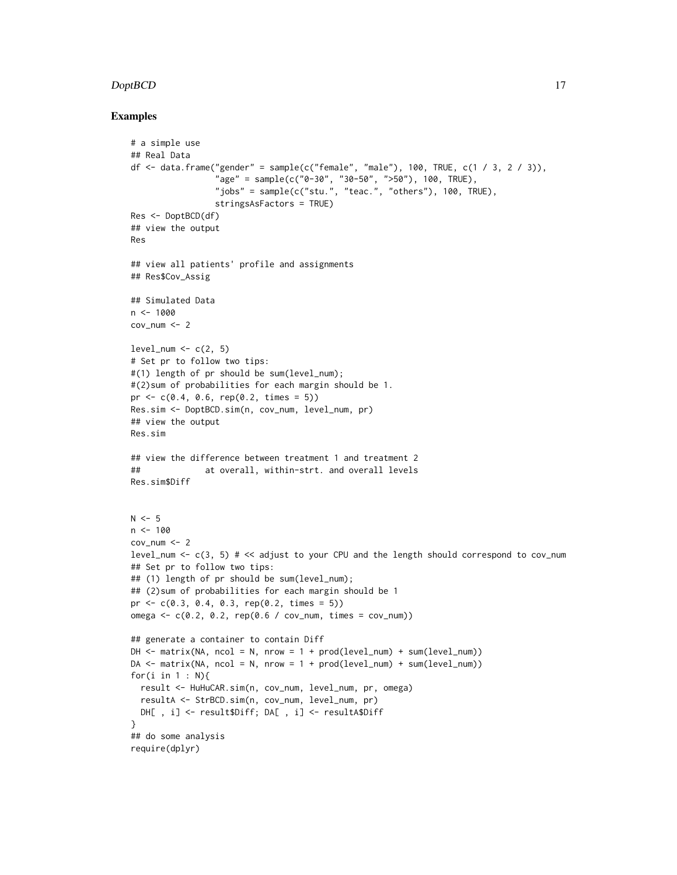# DoptBCD 17

### Examples

```
# a simple use
## Real Data
df <- data.frame("gender" = sample(c("female", "male"), 100, TRUE, c(1 / 3, 2 / 3)),
                 "age" = sample(c("0-30", "30-50", ">50"), 100, TRUE),
                 "jobs" = sample(c("stu.", "teac.", "others"), 100, TRUE),
                 stringsAsFactors = TRUE)
Res <- DoptBCD(df)
## view the output
Res
## view all patients' profile and assignments
## Res$Cov_Assig
## Simulated Data
n < -1000cov_num < -2level\_num \leftarrow c(2, 5)# Set pr to follow two tips:
#(1) length of pr should be sum(level_num);
#(2)sum of probabilities for each margin should be 1.
pr \leq -c(0.4, 0.6, rep(0.2, times = 5))Res.sim <- DoptBCD.sim(n, cov_num, level_num, pr)
## view the output
Res.sim
## view the difference between treatment 1 and treatment 2
## at overall, within-strt. and overall levels
Res.sim$Diff
N < -5n < -100cov_num < -2level_num <- c(3, 5) # << adjust to your CPU and the length should correspond to cov_nnum
## Set pr to follow two tips:
## (1) length of pr should be sum(level_num);
## (2)sum of probabilities for each margin should be 1
pr \leq c(0.3, 0.4, 0.3, rep(0.2, times = 5))
omega <- c(0.2, 0.2, rep(0.6 / cov_num, times = cov_num))
## generate a container to contain Diff
DH \le matrix(NA, ncol = N, nrow = 1 + prod(level_num) + sum(level_num))
DA \le matrix(NA, ncol = N, nrow = 1 + prod(level_num) + sum(level_num))
for(i in 1 : N){
  result <- HuHuCAR.sim(n, cov_num, level_num, pr, omega)
  resultA <- StrBCD.sim(n, cov_num, level_num, pr)
 DH[ , i] <- result$Diff; DA[ , i] <- resultA$Diff
}
## do some analysis
require(dplyr)
```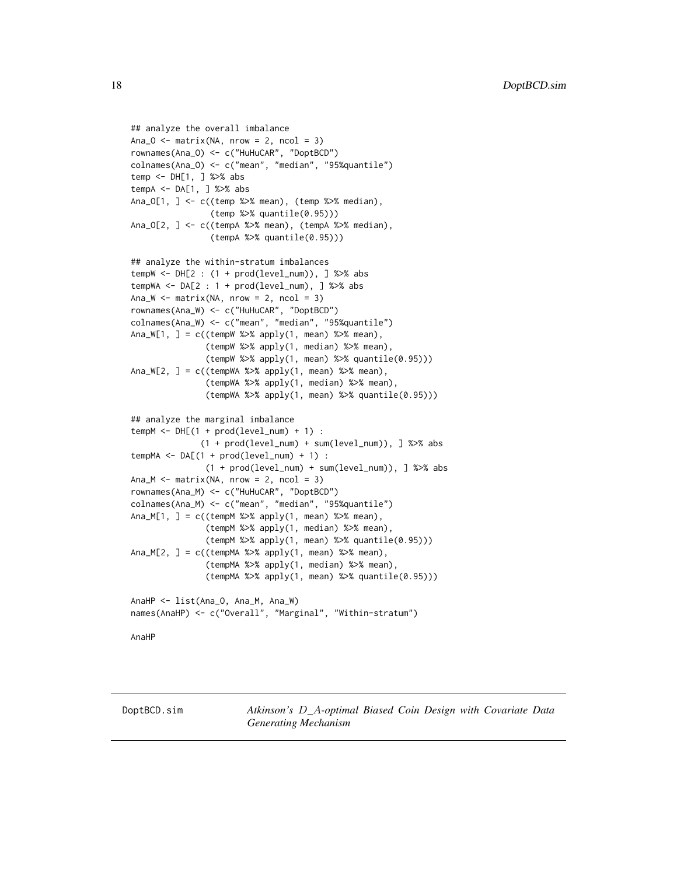```
## analyze the overall imbalance
Ana_0 \le matrix(NA, nrow = 2, ncol = 3)
rownames(Ana_O) <- c("HuHuCAR", "DoptBCD")
colnames(Ana_O) <- c("mean", "median", "95%quantile")
temp <- DH[1, ] %>% abs
tempA <- DA[1, ] %>% abs
Ana_O[1, ] <- c((temp %>% mean), (temp %>% median),
                (temp %>% quantile(0.95)))
Ana_O[2, ] <- c((tempA %>% mean), (tempA %>% median),
                (tempA %>% quantile(0.95)))
## analyze the within-stratum imbalances
tempW <- DH[2 : (1 + prod(level_number)), ] %>% abs
tempWA <- DA[2 : 1 + prod(level_number), ] %>% abs
Ana_W \leq matrix(NA, nrow = 2, ncol = 3)
rownames(Ana_W) <- c("HuHuCAR", "DoptBCD")
colnames(Ana_W) <- c("mean", "median", "95%quantile")
Ana_W[1, ] = c((tempW % > % apply(1, mean) % > % mean)),
               (tempW %>% apply(1, median) %>% mean),
               (tempW %>% apply(1, mean) %>% quantile(0.95)))
Ana_W[2, ] = c((tempWA %> % apply(1, mean) % > % mean),(tempWA %>% apply(1, median) %>% mean),
               (tempWA %>% apply(1, mean) %>% quantile(0.95)))
## analyze the marginal imbalance
tempM < -DH[(1 + prod(level_number + 1) :(1 + prod(level_num) + sum(level_num)), ] %>% abs
tempMA \leq DAI(1 + prod(level\_num) + 1):
               (1 + prod(level_num) + sum(level_num)), ] %>% abs
Ana_M \leq matrix(NA, nrow = 2, ncol = 3)
rownames(Ana_M) <- c("HuHuCAR", "DoptBCD")
colnames(Ana_M) <- c("mean", "median", "95%quantile")
Ana_M[1, ] = c((tempM % > 3, appl)(1, mean) % > 3, m = 3,(tempM %>% apply(1, median) %>% mean),
               (tempM %>% apply(1, mean) %>% quantile(0.95)))
Ana_M[2, ] = c((tempMA %>% apply(1, mean) %>% mean),
               (tempMA %>% apply(1, median) %>% mean),
               (tempMA %>% apply(1, mean) %>% quantile(0.95)))
AnaHP <- list(Ana_O, Ana_M, Ana_W)
names(AnaHP) <- c("Overall", "Marginal", "Within-stratum")
```
AnaHP

<span id="page-17-1"></span>DoptBCD.sim *Atkinson's* D*\_*A*-optimal Biased Coin Design with Covariate Data Generating Mechanism*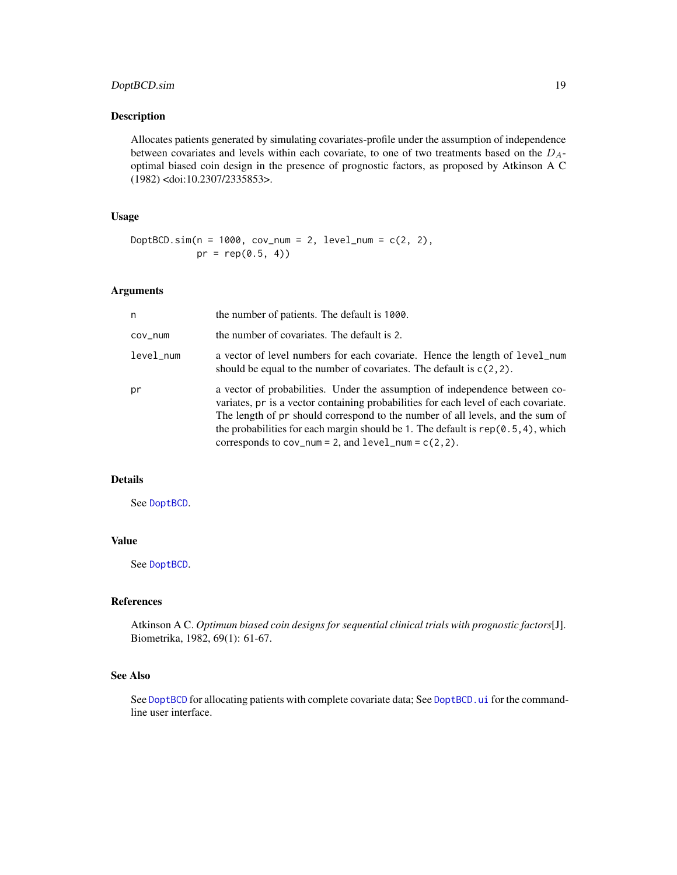# <span id="page-18-0"></span>DoptBCD.sim 19

# Description

Allocates patients generated by simulating covariates-profile under the assumption of independence between covariates and levels within each covariate, to one of two treatments based on the  $D_A$ optimal biased coin design in the presence of prognostic factors, as proposed by Atkinson A C (1982) <doi:10.2307/2335853>.

#### Usage

```
DoptBCD.sim(n = 1000, cov_num = 2, level_num = c(2, 2),
           pr = rep(0.5, 4)
```
# Arguments

| n         | the number of patients. The default is 1000.                                                                                                                                                                                                                                                                                                                                                              |
|-----------|-----------------------------------------------------------------------------------------------------------------------------------------------------------------------------------------------------------------------------------------------------------------------------------------------------------------------------------------------------------------------------------------------------------|
| COV_NUM   | the number of covariates. The default is 2.                                                                                                                                                                                                                                                                                                                                                               |
| level_num | a vector of level numbers for each covariate. Hence the length of level num<br>should be equal to the number of covariates. The default is $c(2, 2)$ .                                                                                                                                                                                                                                                    |
| рr        | a vector of probabilities. Under the assumption of independence between co-<br>variates, pr is a vector containing probabilities for each level of each covariate.<br>The length of pr should correspond to the number of all levels, and the sum of<br>the probabilities for each margin should be 1. The default is $rep(0.5, 4)$ , which<br>corresponds to $cov_num = 2$ , and $level_num = c(2, 2)$ . |

# Details

See [DoptBCD](#page-14-1).

# Value

See [DoptBCD](#page-14-1).

# References

Atkinson A C. *Optimum biased coin designs for sequential clinical trials with prognostic factors*[J]. Biometrika, 1982, 69(1): 61-67.

# See Also

See [DoptBCD](#page-14-1) for allocating patients with complete covariate data; See DoptBCD. ui for the commandline user interface.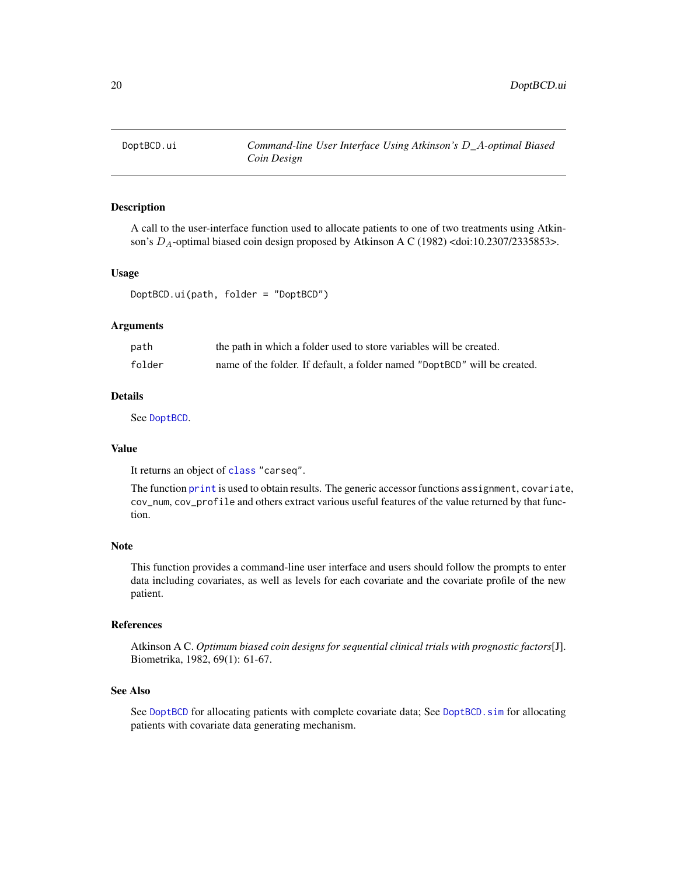<span id="page-19-1"></span><span id="page-19-0"></span>

A call to the user-interface function used to allocate patients to one of two treatments using Atkinson's  $D_A$ -optimal biased coin design proposed by Atkinson A C (1982) <doi:10.2307/2335853>.

#### Usage

DoptBCD.ui(path, folder = "DoptBCD")

#### Arguments

| path   | the path in which a folder used to store variables will be created.       |
|--------|---------------------------------------------------------------------------|
| folder | name of the folder. If default, a folder named "DoptBCD" will be created. |

#### Details

See [DoptBCD](#page-14-1).

#### Value

It returns an object of [class](#page-0-0) "carseq".

The function [print](#page-0-0) is used to obtain results. The generic accessor functions assignment, covariate, cov\_num, cov\_profile and others extract various useful features of the value returned by that function.

# Note

This function provides a command-line user interface and users should follow the prompts to enter data including covariates, as well as levels for each covariate and the covariate profile of the new patient.

# References

Atkinson A C. *Optimum biased coin designs for sequential clinical trials with prognostic factors*[J]. Biometrika, 1982, 69(1): 61-67.

# See Also

See [DoptBCD](#page-14-1) for allocating patients with complete covariate data; See [DoptBCD.sim](#page-17-1) for allocating patients with covariate data generating mechanism.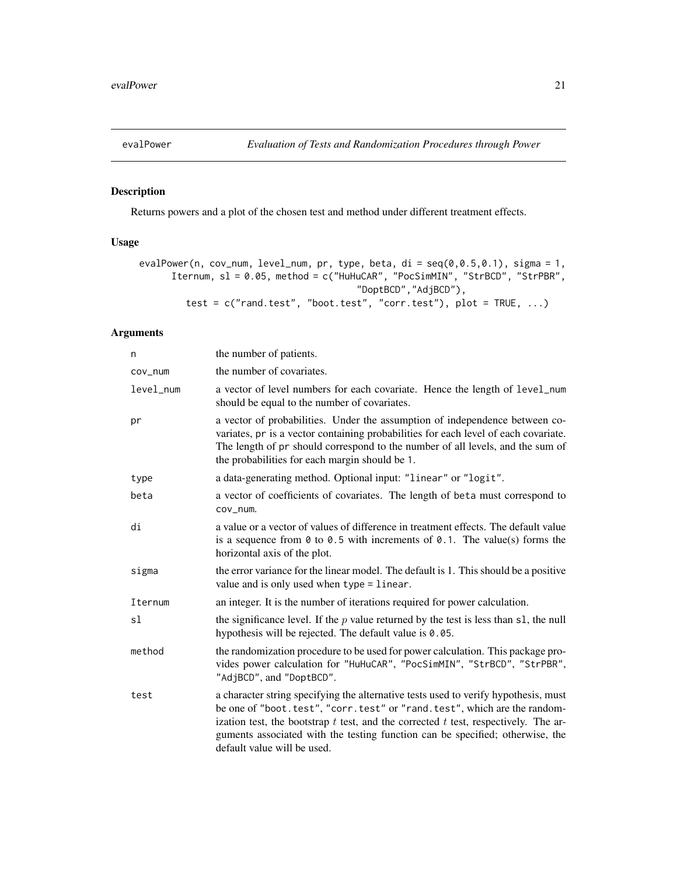<span id="page-20-0"></span>

Returns powers and a plot of the chosen test and method under different treatment effects.

# Usage

```
evalPower(n, cov_num, level_num, pr, type, beta, di = seq(0,0.5,0.1), sigma = 1,
      Iternum, sl = 0.05, method = c("HuHuCAR", "PocSimMIN", "StrBCD", "StrPBR",
                                        "DoptBCD","AdjBCD"),
        test = c("rand.test", "boot.test", "corr.test"), plot = TRUE, ...)
```
# Arguments

| n         | the number of patients.                                                                                                                                                                                                                                                                                                                                                    |
|-----------|----------------------------------------------------------------------------------------------------------------------------------------------------------------------------------------------------------------------------------------------------------------------------------------------------------------------------------------------------------------------------|
| cov_num   | the number of covariates.                                                                                                                                                                                                                                                                                                                                                  |
| level_num | a vector of level numbers for each covariate. Hence the length of level_num<br>should be equal to the number of covariates.                                                                                                                                                                                                                                                |
| pr        | a vector of probabilities. Under the assumption of independence between co-<br>variates, pr is a vector containing probabilities for each level of each covariate.<br>The length of pr should correspond to the number of all levels, and the sum of<br>the probabilities for each margin should be 1.                                                                     |
| type      | a data-generating method. Optional input: "linear" or "logit".                                                                                                                                                                                                                                                                                                             |
| beta      | a vector of coefficients of covariates. The length of beta must correspond to<br>cov_num.                                                                                                                                                                                                                                                                                  |
| di        | a value or a vector of values of difference in treatment effects. The default value<br>is a sequence from $\theta$ to $\theta$ .5 with increments of $\theta$ .1. The value(s) forms the<br>horizontal axis of the plot.                                                                                                                                                   |
| sigma     | the error variance for the linear model. The default is 1. This should be a positive<br>value and is only used when type = linear.                                                                                                                                                                                                                                         |
| Iternum   | an integer. It is the number of iterations required for power calculation.                                                                                                                                                                                                                                                                                                 |
| sl        | the significance level. If the $p$ value returned by the test is less than $s1$ , the null<br>hypothesis will be rejected. The default value is 0.05.                                                                                                                                                                                                                      |
| method    | the randomization procedure to be used for power calculation. This package pro-<br>vides power calculation for "HuHuCAR", "PocSimMIN", "StrBCD", "StrPBR",<br>"AdjBCD", and "DoptBCD".                                                                                                                                                                                     |
| test      | a character string specifying the alternative tests used to verify hypothesis, must<br>be one of "boot.test", "corr.test" or "rand.test", which are the random-<br>ization test, the bootstrap $t$ test, and the corrected $t$ test, respectively. The ar-<br>guments associated with the testing function can be specified; otherwise, the<br>default value will be used. |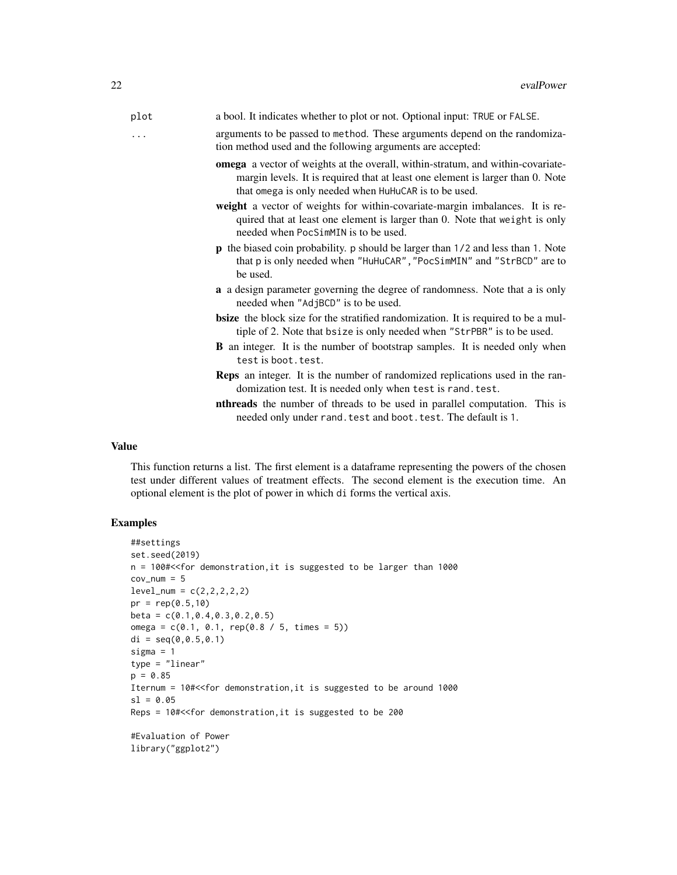| plot | a bool. It indicates whether to plot or not. Optional input: TRUE or FALSE.                                                                                                                                                       |
|------|-----------------------------------------------------------------------------------------------------------------------------------------------------------------------------------------------------------------------------------|
| .    | arguments to be passed to method. These arguments depend on the randomiza-<br>tion method used and the following arguments are accepted:                                                                                          |
|      | <b>omega</b> a vector of weights at the overall, within-stratum, and within-covariate-<br>margin levels. It is required that at least one element is larger than 0. Note<br>that omega is only needed when HuHuCAR is to be used. |
|      | weight a vector of weights for within-covariate-margin imbalances. It is re-<br>quired that at least one element is larger than 0. Note that weight is only<br>needed when PocSimMIN is to be used.                               |
|      | <b>p</b> the biased coin probability. p should be larger than 1/2 and less than 1. Note<br>that p is only needed when "HuHuCAR", "PocSimMIN" and "StrBCD" are to<br>be used.                                                      |
|      | <b>a</b> a design parameter governing the degree of randomness. Note that a is only<br>needed when "AdjBCD" is to be used.                                                                                                        |
|      | <b>bsize</b> the block size for the stratified randomization. It is required to be a mul-<br>tiple of 2. Note that bsize is only needed when "StrPBR" is to be used.                                                              |
|      | <b>B</b> an integer. It is the number of bootstrap samples. It is needed only when<br>test is boot, test.                                                                                                                         |
|      | <b>Reps</b> an integer. It is the number of randomized replications used in the ran-<br>domization test. It is needed only when test is rand. test.                                                                               |
|      | <b>nthreads</b> the number of threads to be used in parallel computation. This is<br>needed only under rand. test and boot. test. The default is 1.                                                                               |

#### Value

This function returns a list. The first element is a dataframe representing the powers of the chosen test under different values of treatment effects. The second element is the execution time. An optional element is the plot of power in which di forms the vertical axis.

# Examples

```
##settings
set.seed(2019)
n = 100#<<for demonstration,it is suggested to be larger than 1000
cov\_num = 5level_name = c(2, 2, 2, 2, 2)pr = rep(0.5,10)beta = c(0.1, 0.4, 0.3, 0.2, 0.5)omega = c(0.1, 0.1, rep(0.8 / 5, times = 5))di = seq(0, 0.5, 0.1)sigma = 1type = "linear"
p = 0.85Iternum = 10#<<for demonstration,it is suggested to be around 1000
sl = 0.05
Reps = 10#<<for demonstration,it is suggested to be 200
#Evaluation of Power
library("ggplot2")
```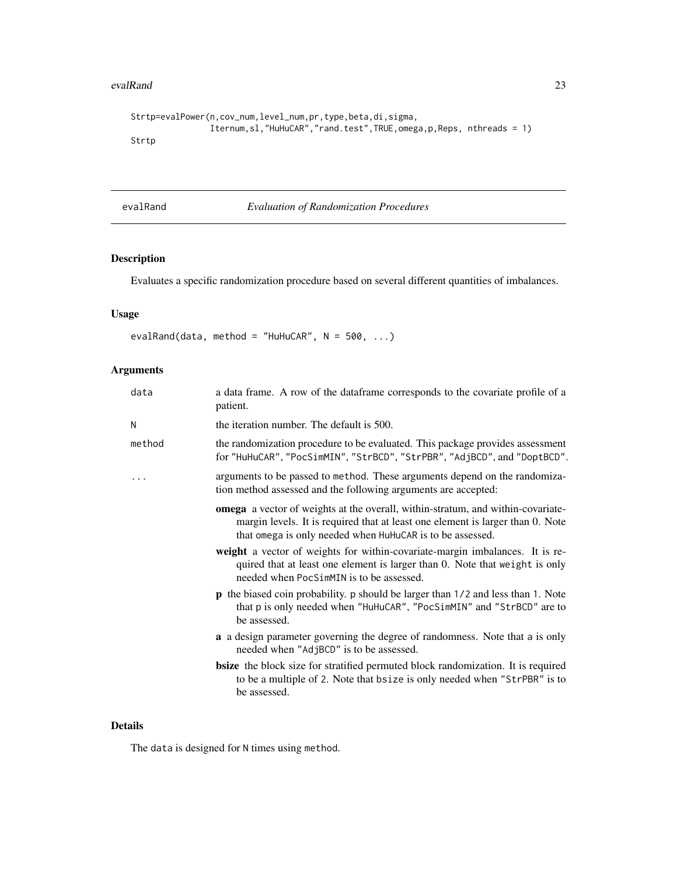#### <span id="page-22-0"></span>evalRand 23

```
Strtp=evalPower(n,cov_num,level_num,pr,type,beta,di,sigma,
                Iternum,sl,"HuHuCAR","rand.test",TRUE,omega,p,Reps, nthreads = 1)
Strtp
```
<span id="page-22-1"></span>evalRand *Evaluation of Randomization Procedures*

# Description

Evaluates a specific randomization procedure based on several different quantities of imbalances.

# Usage

evalRand(data, method = "HuHuCAR",  $N = 500, ...$ )

# Arguments

| data   | a data frame. A row of the dataframe corresponds to the covariate profile of a<br>patient.                                                                                                                                            |
|--------|---------------------------------------------------------------------------------------------------------------------------------------------------------------------------------------------------------------------------------------|
| N      | the iteration number. The default is 500.                                                                                                                                                                                             |
| method | the randomization procedure to be evaluated. This package provides assessment<br>for "HuHuCAR", "PocSimMIN", "StrBCD", "StrPBR", "AdjBCD", and "DoptBCD".                                                                             |
| .      | arguments to be passed to method. These arguments depend on the randomiza-<br>tion method assessed and the following arguments are accepted:                                                                                          |
|        | <b>omega</b> a vector of weights at the overall, within-stratum, and within-covariate-<br>margin levels. It is required that at least one element is larger than 0. Note<br>that omega is only needed when HuHuCAR is to be assessed. |
|        | weight a vector of weights for within-covariate-margin imbalances. It is re-<br>quired that at least one element is larger than 0. Note that weight is only<br>needed when PocSimMIN is to be assessed.                               |
|        | <b>p</b> the biased coin probability. p should be larger than 1/2 and less than 1. Note<br>that p is only needed when "HuHuCAR", "PocSimMIN" and "StrBCD" are to<br>be assessed.                                                      |
|        | a a design parameter governing the degree of randomness. Note that a is only<br>needed when "AdjBCD" is to be assessed.                                                                                                               |
|        | <b>bsize</b> the block size for stratified permuted block randomization. It is required<br>to be a multiple of 2. Note that bsize is only needed when "StrPBR" is to<br>be assessed.                                                  |
|        |                                                                                                                                                                                                                                       |

# Details

The data is designed for N times using method.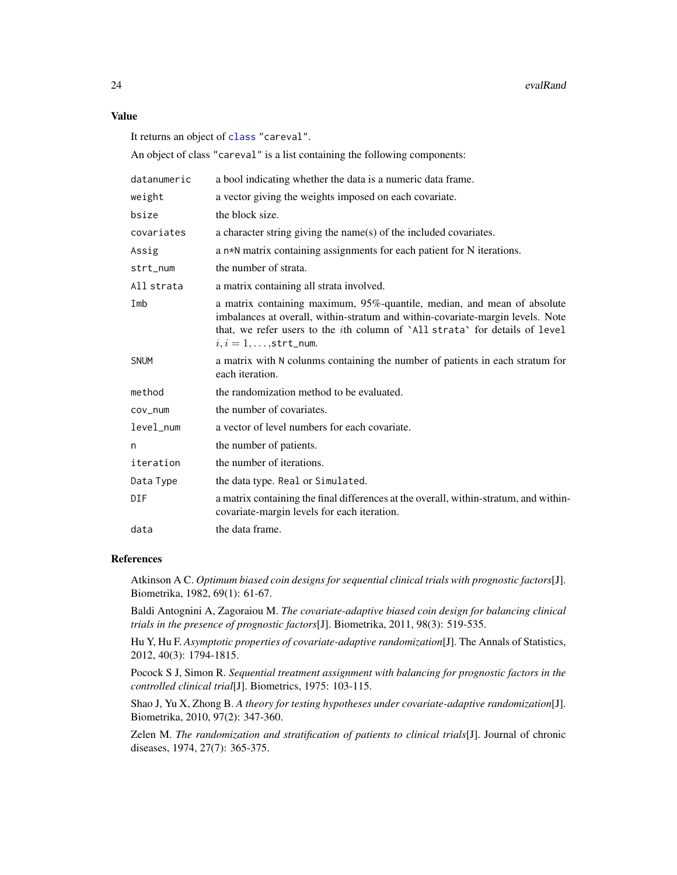# <span id="page-23-0"></span>Value

It returns an object of [class](#page-0-0) "careval".

An object of class "careval" is a list containing the following components:

| datanumeric | a bool indicating whether the data is a numeric data frame.                                                                                                                                                                                                                               |
|-------------|-------------------------------------------------------------------------------------------------------------------------------------------------------------------------------------------------------------------------------------------------------------------------------------------|
| weight      | a vector giving the weights imposed on each covariate.                                                                                                                                                                                                                                    |
| bsize       | the block size.                                                                                                                                                                                                                                                                           |
| covariates  | a character string giving the name(s) of the included covariates.                                                                                                                                                                                                                         |
| Assig       | a n*N matrix containing assignments for each patient for N iterations.                                                                                                                                                                                                                    |
| strt_num    | the number of strata.                                                                                                                                                                                                                                                                     |
| All strata  | a matrix containing all strata involved.                                                                                                                                                                                                                                                  |
| Imb         | a matrix containing maximum, 95%-quantile, median, and mean of absolute<br>imbalances at overall, within-stratum and within-covariate-margin levels. Note<br>that, we refer users to the <i>i</i> th column of 'All strata' for details of level<br>$i, i = 1, \ldots, \text{strt\_num}.$ |
| <b>SNUM</b> | a matrix with N colunms containing the number of patients in each stratum for<br>each iteration.                                                                                                                                                                                          |
| method      | the randomization method to be evaluated.                                                                                                                                                                                                                                                 |
| cov_num     | the number of covariates.                                                                                                                                                                                                                                                                 |
| level_num   | a vector of level numbers for each covariate.                                                                                                                                                                                                                                             |
| n           | the number of patients.                                                                                                                                                                                                                                                                   |
| iteration   | the number of iterations.                                                                                                                                                                                                                                                                 |
| Data Type   | the data type. Real or Simulated.                                                                                                                                                                                                                                                         |
| DIF         | a matrix containing the final differences at the overall, within-stratum, and within-<br>covariate-margin levels for each iteration.                                                                                                                                                      |
| data        | the data frame.                                                                                                                                                                                                                                                                           |

#### References

Atkinson A C. *Optimum biased coin designs for sequential clinical trials with prognostic factors*[J]. Biometrika, 1982, 69(1): 61-67.

Baldi Antognini A, Zagoraiou M. *The covariate-adaptive biased coin design for balancing clinical trials in the presence of prognostic factors*[J]. Biometrika, 2011, 98(3): 519-535.

Hu Y, Hu F. *Asymptotic properties of covariate-adaptive randomization*[J]. The Annals of Statistics, 2012, 40(3): 1794-1815.

Pocock S J, Simon R. *Sequential treatment assignment with balancing for prognostic factors in the controlled clinical trial*[J]. Biometrics, 1975: 103-115.

Shao J, Yu X, Zhong B. *A theory for testing hypotheses under covariate-adaptive randomization*[J]. Biometrika, 2010, 97(2): 347-360.

Zelen M. *The randomization and stratification of patients to clinical trials*[J]. Journal of chronic diseases, 1974, 27(7): 365-375.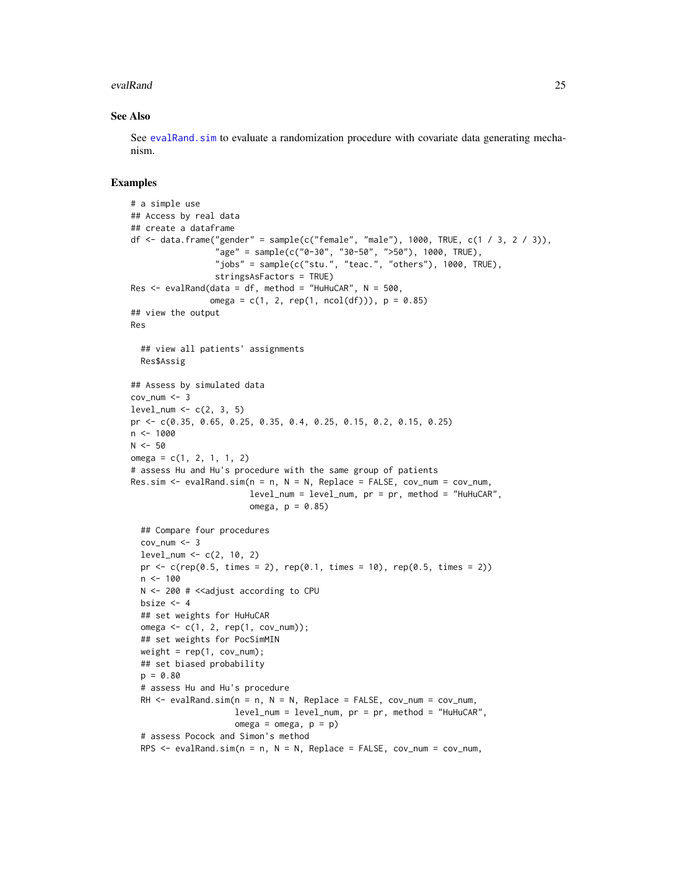#### <span id="page-24-0"></span>evalRand 25

# See Also

See [evalRand.sim](#page-26-1) to evaluate a randomization procedure with covariate data generating mechanism.

# Examples

```
# a simple use
## Access by real data
## create a dataframe
df <- data.frame("gender" = sample(c("female", "male"), 1000, TRUE, c(1 / 3, 2 / 3)),
                 "age" = sample(c("0-30", "30-50", ">50"), 1000, TRUE),
                 "jobs" = sample(c("stu.", "teac.", "others"), 1000, TRUE),
                 stringsAsFactors = TRUE)
Res \leq evalRand(data = df, method = "HuHuCAR", N = 500,
                omega = c(1, 2, rep(1, ncol(df))), p = 0.85## view the output
Res
  ## view all patients' assignments
  Res$Assig
## Assess by simulated data
cov_nnum <-3level_num <- c(2, 3, 5)
pr <- c(0.35, 0.65, 0.25, 0.35, 0.4, 0.25, 0.15, 0.2, 0.15, 0.25)
n <- 1000
N < -50omega = c(1, 2, 1, 1, 2)# assess Hu and Hu's procedure with the same group of patients
Res.sim \leq evalRand.sim(n = n, N = N, Replace = FALSE, cov_num = cov_num,
                        level_num = level_num, pr = pr, method = "HuHuCAR",
                        omega, p = 0.85)
  ## Compare four procedures
  cov_nnum <-3level\_num \leq c(2, 10, 2)pr < -c (rep(0.5, times = 2), rep(0.1, times = 10), rep(0.5, times = 2))
  n <- 100
  N <- 200 # << adjust according to CPU
  bsize <-4## set weights for HuHuCAR
  omega <- c(1, 2, rep(1, cov_num));
  ## set weights for PocSimMIN
  weight = rep(1, cov_num);## set biased probability
  p = 0.80# assess Hu and Hu's procedure
  RH \leq evalRand.sim(n = n, N = N, Replace = FALSE, cov_num = cov_num,
                     level_num = level_num, pr = pr, method = "HuHuCAR",
                     omega = \omega, p = p)
  # assess Pocock and Simon's method
  RPS \leq evalRand.sim(n = n, N = N, Replace = FALSE, cov_num = cov_num,
```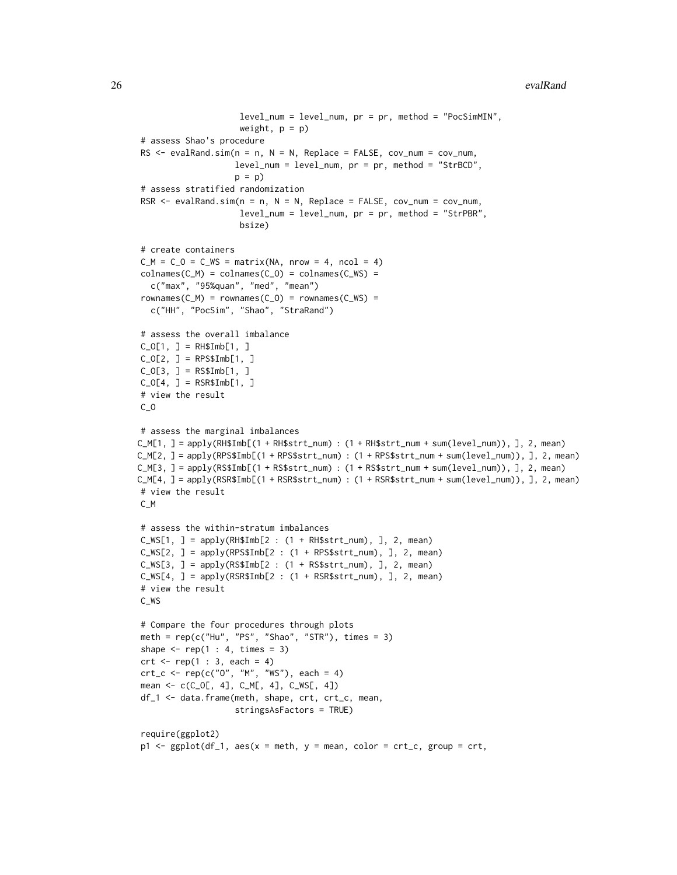```
level_num = level_num, pr = pr, method = "PocSimMIN",
                     weight, p = p)
# assess Shao's procedure
RS \le evalRand.sim(n = n, N = N, Replace = FALSE, cov_num = cov_num,
                    level_num = level_num, pr = pr, method = "StrBCD",
                    p = p# assess stratified randomization
RSR \le - evalRand.sim(n = n, N = N, Replace = FALSE, cov_num = cov_num,
                     level_num = level_num, pr = pr, method = "StrPBR",
                     bsize)
# create containers
C_M = C_O = C_N = \text{matrix}(NA, nrow = 4, ncol = 4)colnames(C_M) = colnames(C_O) = colnames(C_WS) =c("max", "95%quan", "med", "mean")
rownames(C_M) = rownames(C_0) = rownames(C_M) = rownames(C_M) = rowうc("HH", "PocSim", "Shao", "StraRand")
# assess the overall imbalance
C_0[1, ] = RH$Imb[1, ]C_0[2, ] = RPS$Imb[1, ]C_0[3, ] = RSSImb[1, ]C_0[4, ] = RSR$Imb[1, ]# view the result
C_O
# assess the marginal imbalances
C_M[1, ] = apply(RH$Imb[(1 + RH$strt_num) : (1 + RH$strt_num + sum(level_num)), ], 2, mean)
C_M[2, ] = apply(RPS$Imb[(1 + RPS$strt_num) : (1 + RPS$strt_num + sum(level_num)), ], 2, mean)
C_M[3, ] = apply(RS$Imb[(1 + RS$strt_num) : (1 + RS$strt_num + sum(level_num)), ], 2, mean)
C_M[4, ] = apply(RSR$Imb[(1 + RSR$strt_num) : (1 + RSR$strt_num + sum(level_num)), ], 2, mean)
# view the result
C_M
# assess the within-stratum imbalances
C_MSE[1, ] = apply(RH$Imb[2 : (1 + RH$strt_number], ], 2, mean)C_MSE[2, ] = apply(RPS$Imb[2 : (1 + RPS$strt_number, ], ], 2, mean)C_WS[3, ] = apply(RS$Imb[2 : (1 + RS$strt_number, ], ], 2, mean)C_WS[4, ] = apply(RSR$Imb[2 : (1 + RSR$strt_number], ], 2, mean)# view the result
C_WS
# Compare the four procedures through plots
meth = rep(c("Hu", "PS", "Shao", "STR"), times = 3)shape \leq rep(1 : 4, times = 3)
crt < - rep(1 : 3, each = 4)ct_c < - rep(c("0", "M", "WS"), each = 4)mean <- c(C_O[, 4], C_M[, 4], C_WS[, 4])
df_1 <- data.frame(meth, shape, crt, crt_c, mean,
                    stringsAsFactors = TRUE)
require(ggplot2)
p1 \leq - ggplot(df_1, aes(x = meth, y = mean, color = crt_c, group = crt,
```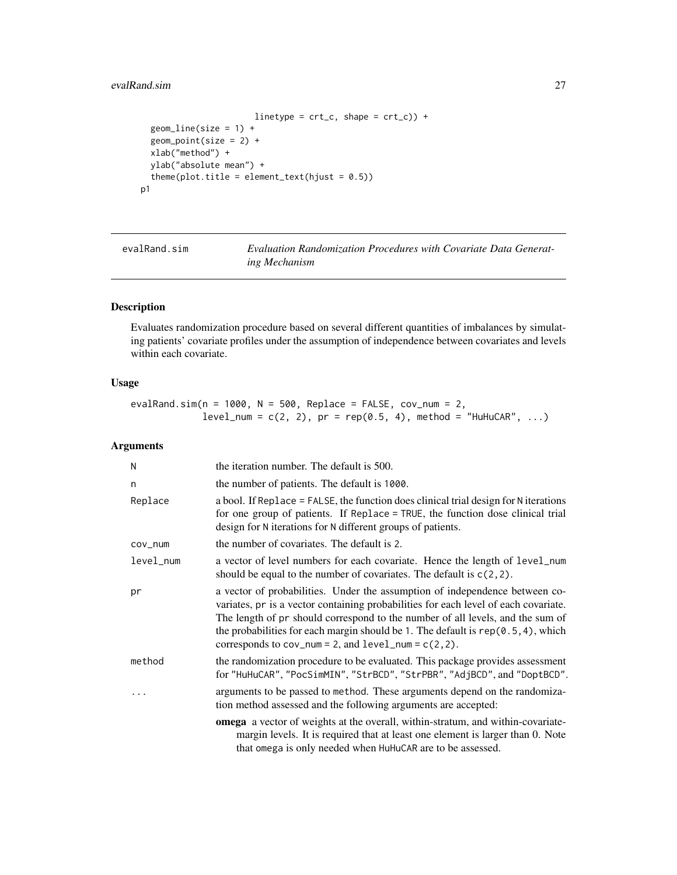# <span id="page-26-0"></span>evalRand.sim 27

```
linetype = crt_c, shape = crt_c) +
  geom\_line(size = 1) +geom_point(size = 2) +
 xlab("method") +
 ylab("absolute mean") +
  theme(plot.title = element_text(hjust = 0.5))
p1
```
<span id="page-26-1"></span>evalRand.sim *Evaluation Randomization Procedures with Covariate Data Generating Mechanism*

# Description

Evaluates randomization procedure based on several different quantities of imbalances by simulating patients' covariate profiles under the assumption of independence between covariates and levels within each covariate.

# Usage

evalRand.sim( $n = 1000$ ,  $N = 500$ , Replace = FALSE, cov\_num = 2,  $level\_num = c(2, 2), pr = rep(0.5, 4), method = "HuHuCAR", ...)$ 

# Arguments

| N         | the iteration number. The default is 500.                                                                                                                                                                                                                                                                                                                                                                 |
|-----------|-----------------------------------------------------------------------------------------------------------------------------------------------------------------------------------------------------------------------------------------------------------------------------------------------------------------------------------------------------------------------------------------------------------|
| n         | the number of patients. The default is 1000.                                                                                                                                                                                                                                                                                                                                                              |
| Replace   | a bool. If Replace = FALSE, the function does clinical trial design for N iterations<br>for one group of patients. If Replace = TRUE, the function dose clinical trial<br>design for N iterations for N different groups of patients.                                                                                                                                                                     |
| cov_num   | the number of covariates. The default is 2.                                                                                                                                                                                                                                                                                                                                                               |
| level_num | a vector of level numbers for each covariate. Hence the length of level_num<br>should be equal to the number of covariates. The default is $c(2, 2)$ .                                                                                                                                                                                                                                                    |
| pr        | a vector of probabilities. Under the assumption of independence between co-<br>variates, pr is a vector containing probabilities for each level of each covariate.<br>The length of pr should correspond to the number of all levels, and the sum of<br>the probabilities for each margin should be 1. The default is $rep(0.5, 4)$ , which<br>corresponds to $cov_num = 2$ , and $level_num = c(2, 2)$ . |
| method    | the randomization procedure to be evaluated. This package provides assessment<br>for "HuHuCAR", "PocSimMIN", "StrBCD", "StrPBR", "AdjBCD", and "DoptBCD".                                                                                                                                                                                                                                                 |
|           | arguments to be passed to method. These arguments depend on the randomiza-<br>tion method assessed and the following arguments are accepted:                                                                                                                                                                                                                                                              |
|           | <b>omega</b> a vector of weights at the overall, within-stratum, and within-covariate-<br>margin levels. It is required that at least one element is larger than 0. Note<br>that omega is only needed when HuHuCAR are to be assessed.                                                                                                                                                                    |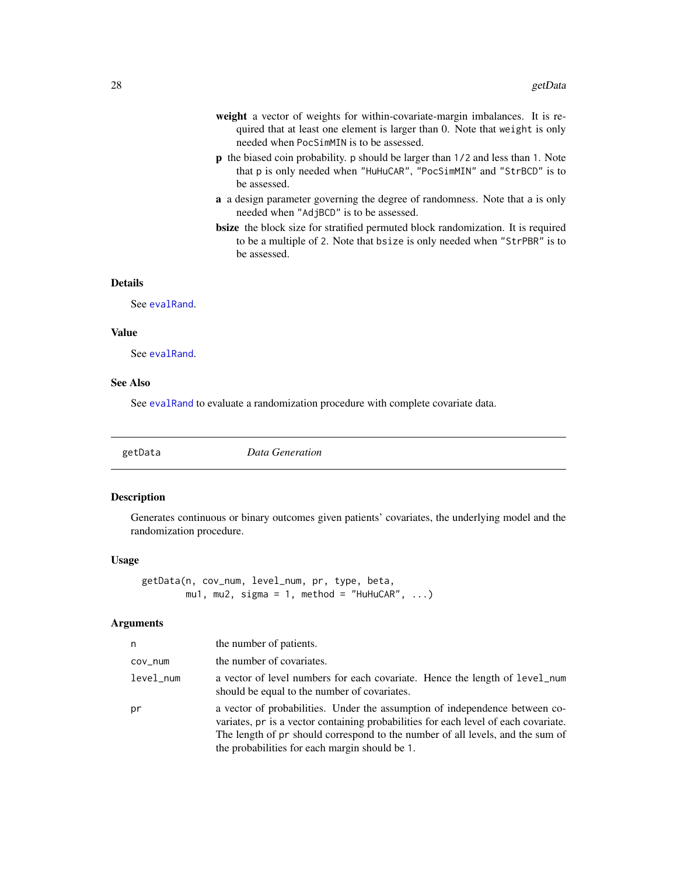- <span id="page-27-0"></span>weight a vector of weights for within-covariate-margin imbalances. It is required that at least one element is larger than 0. Note that weight is only needed when PocSimMIN is to be assessed.
- p the biased coin probability. p should be larger than 1/2 and less than 1. Note that p is only needed when "HuHuCAR", "PocSimMIN" and "StrBCD" is to be assessed.
- a a design parameter governing the degree of randomness. Note that a is only needed when "AdjBCD" is to be assessed.
- bsize the block size for stratified permuted block randomization. It is required to be a multiple of 2. Note that bsize is only needed when "StrPBR" is to be assessed.

#### Details

See [evalRand](#page-22-1).

#### Value

See [evalRand](#page-22-1).

# See Also

See [evalRand](#page-22-1) to evaluate a randomization procedure with complete covariate data.

<span id="page-27-1"></span>getData *Data Generation*

# Description

Generates continuous or binary outcomes given patients' covariates, the underlying model and the randomization procedure.

#### Usage

```
getData(n, cov_num, level_num, pr, type, beta,
        mu1, mu2, sigma = 1, method = "HuHuCAR", \ldots)
```
#### Arguments

| n         | the number of patients.                                                                                                                                                                                                                                                                                |
|-----------|--------------------------------------------------------------------------------------------------------------------------------------------------------------------------------------------------------------------------------------------------------------------------------------------------------|
| COV_NUM   | the number of covariates.                                                                                                                                                                                                                                                                              |
| level_num | a vector of level numbers for each covariate. Hence the length of level_num<br>should be equal to the number of covariates.                                                                                                                                                                            |
| pr        | a vector of probabilities. Under the assumption of independence between co-<br>variates, pr is a vector containing probabilities for each level of each covariate.<br>The length of pr should correspond to the number of all levels, and the sum of<br>the probabilities for each margin should be 1. |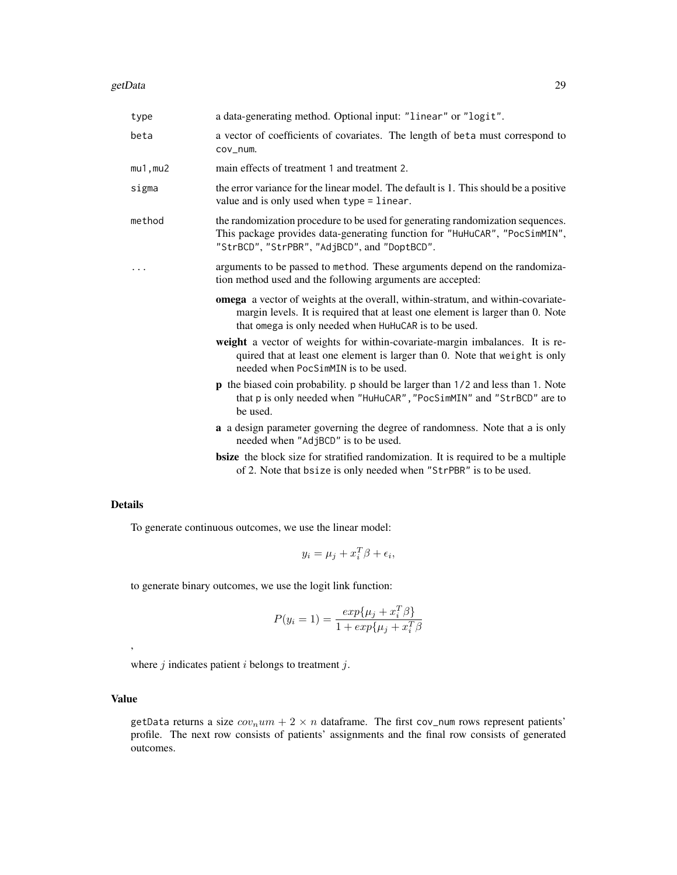#### getData 29

| type          | a data-generating method. Optional input: "linear" or "logit".                                                                                                                                                                    |
|---------------|-----------------------------------------------------------------------------------------------------------------------------------------------------------------------------------------------------------------------------------|
| beta          | a vector of coefficients of covariates. The length of beta must correspond to<br>cov_num.                                                                                                                                         |
| $mu1$ , $mu2$ | main effects of treatment 1 and treatment 2.                                                                                                                                                                                      |
| sigma         | the error variance for the linear model. The default is 1. This should be a positive<br>value and is only used when type = linear.                                                                                                |
| method        | the randomization procedure to be used for generating randomization sequences.<br>This package provides data-generating function for "HuHuCAR", "PocSimMIN",<br>"StrBCD", "StrPBR", "AdjBCD", and "DoptBCD".                      |
|               | arguments to be passed to method. These arguments depend on the randomiza-<br>tion method used and the following arguments are accepted:                                                                                          |
|               | <b>omega</b> a vector of weights at the overall, within-stratum, and within-covariate-<br>margin levels. It is required that at least one element is larger than 0. Note<br>that omega is only needed when HuHuCAR is to be used. |
|               | weight a vector of weights for within-covariate-margin imbalances. It is re-<br>quired that at least one element is larger than 0. Note that weight is only<br>needed when PocSimMIN is to be used.                               |
|               | <b>p</b> the biased coin probability. p should be larger than 1/2 and less than 1. Note<br>that p is only needed when "HuHuCAR", "PocSimMIN" and "StrBCD" are to<br>be used.                                                      |
|               | a a design parameter governing the degree of randomness. Note that a is only<br>needed when "AdjBCD" is to be used.                                                                                                               |
|               | <b>bsize</b> the block size for stratified randomization. It is required to be a multiple<br>of 2. Note that bsize is only needed when "StrPBR" is to be used.                                                                    |
|               |                                                                                                                                                                                                                                   |

# Details

To generate continuous outcomes, we use the linear model:

$$
y_i = \mu_j + x_i^T \beta + \epsilon_i,
$$

to generate binary outcomes, we use the logit link function:

$$
P(y_i = 1) = \frac{exp{u_j + x_i^T \beta}}{1 + exp{u_j + x_i^T \beta}}
$$

where  $j$  indicates patient  $i$  belongs to treatment  $j$ .

# Value

,

getData returns a size  $cov<sub>n</sub>um + 2 \times n$  dataframe. The first cov\_num rows represent patients' profile. The next row consists of patients' assignments and the final row consists of generated outcomes.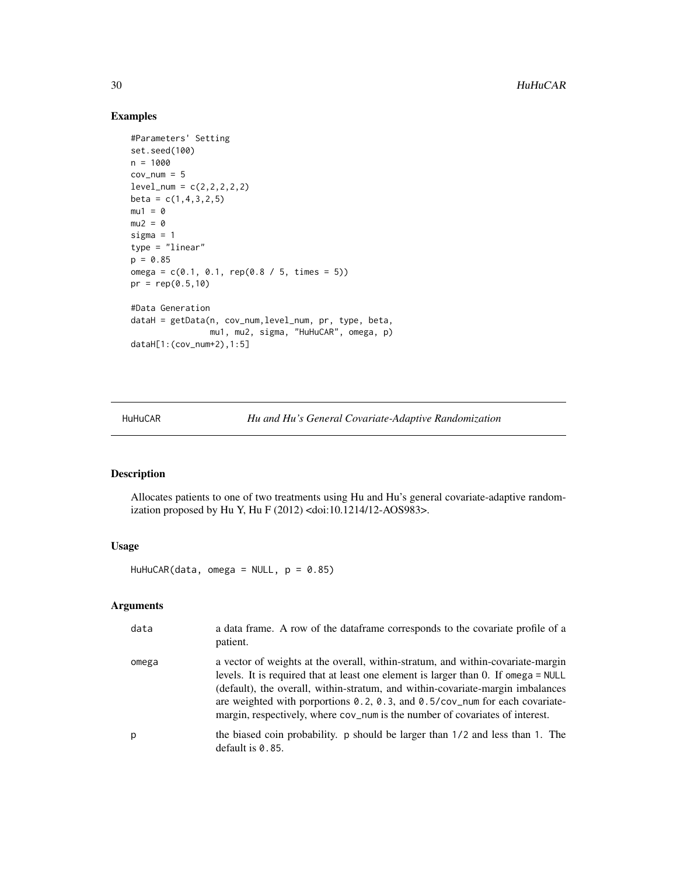# Examples

```
#Parameters' Setting
set.seed(100)
n = 1000
cov_nnum = 5
level_name = c(2, 2, 2, 2, 2)beta = c(1, 4, 3, 2, 5)mu1 = 0mu2 = 0sigma = 1
type = "linear"
p = 0.85omega = c(0.1, 0.1, rep(0.8 / 5, times = 5))pr = rep(0.5,10)#Data Generation
dataH = getData(n, cov_num,level_num, pr, type, beta,
                mu1, mu2, sigma, "HuHuCAR", omega, p)
dataH[1:(cov_num+2),1:5]
```
<span id="page-29-1"></span>HuHuCAR *Hu and Hu's General Covariate-Adaptive Randomization*

# Description

Allocates patients to one of two treatments using Hu and Hu's general covariate-adaptive randomization proposed by Hu Y, Hu F (2012) <doi:10.1214/12-AOS983>.

# Usage

HuHuCAR(data, omega = NULL,  $p = 0.85$ )

# Arguments

| data  | a data frame. A row of the data frame corresponds to the covariate profile of a<br>patient.                                                                                                                                                                                                                                                                                                                                         |
|-------|-------------------------------------------------------------------------------------------------------------------------------------------------------------------------------------------------------------------------------------------------------------------------------------------------------------------------------------------------------------------------------------------------------------------------------------|
| omega | a vector of weights at the overall, within-stratum, and within-covariate-margin<br>levels. It is required that at least one element is larger than 0. If omega = NULL<br>(default), the overall, within-stratum, and within-covariate-margin imbalances<br>are weighted with porportions $0.2$ , $0.3$ , and $0.5$ / $cov$ _num for each covariate-<br>margin, respectively, where cov_num is the number of covariates of interest. |
| р     | the biased coin probability. p should be larger than 1/2 and less than 1. The<br>default is $0.85$ .                                                                                                                                                                                                                                                                                                                                |

<span id="page-29-0"></span>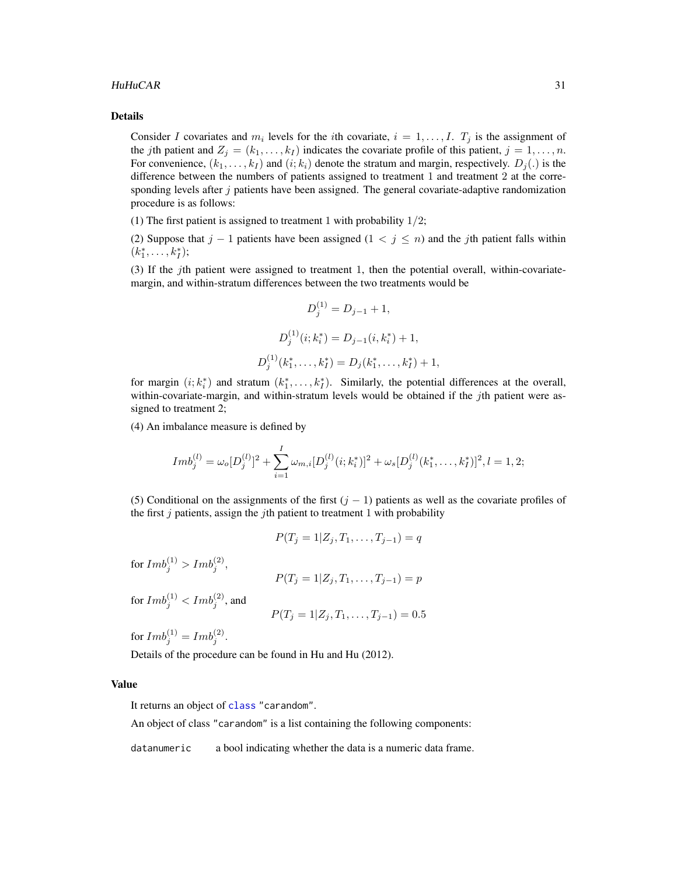#### <span id="page-30-0"></span>HuHuCAR 31

#### Details

Consider I covariates and  $m_i$  levels for the *i*th covariate,  $i = 1, \ldots, I$ .  $T_j$  is the assignment of the jth patient and  $Z_j = (k_1, \ldots, k_l)$  indicates the covariate profile of this patient,  $j = 1, \ldots, n$ . For convenience,  $(k_1, \ldots, k_I)$  and  $(i; k_i)$  denote the stratum and margin, respectively.  $D_j(.)$  is the difference between the numbers of patients assigned to treatment 1 and treatment 2 at the corresponding levels after  $j$  patients have been assigned. The general covariate-adaptive randomization procedure is as follows:

(1) The first patient is assigned to treatment 1 with probability  $1/2$ ;

(2) Suppose that  $j - 1$  patients have been assigned  $(1 \lt j \leq n)$  and the jth patient falls within  $(k_1^*, \ldots, k_I^*)$ ;

(3) If the *j*th patient were assigned to treatment 1, then the potential overall, within-covariatemargin, and within-stratum differences between the two treatments would be

$$
D_j^{(1)} = D_{j-1} + 1,
$$
  
\n
$$
D_j^{(1)}(i; k_i^*) = D_{j-1}(i, k_i^*) + 1,
$$
  
\n
$$
D_j^{(1)}(k_1^*, \dots, k_I^*) = D_j(k_1^*, \dots, k_I^*) + 1,
$$

for margin  $(i; k_i^*)$  and stratum  $(k_1^*, \ldots, k_l^*)$ . Similarly, the potential differences at the overall, within-covariate-margin, and within-stratum levels would be obtained if the jth patient were assigned to treatment 2;

(4) An imbalance measure is defined by

$$
Im b_j^{(l)} = \omega_o [D_j^{(l)}]^2 + \sum_{i=1}^I \omega_{m,i} [D_j^{(l)}(i;k_i^*)]^2 + \omega_s [D_j^{(l)}(k_1^*,\ldots,k_I^*)]^2, l = 1,2;
$$

(5) Conditional on the assignments of the first  $(j - 1)$  patients as well as the covariate profiles of the first  $j$  patients, assign the  $j$ th patient to treatment 1 with probability

$$
P(T_j = 1 | Z_j, T_1, \dots, T_{j-1}) = q
$$

for  $Imb_j^{(1)} > Imb_j^{(2)}$ ,

$$
P(T_j = 1 | Z_j, T_1, \dots, T_{j-1}) = p
$$

for  $Imb_j^{(1)} < Imb_j^{(2)},$  and

$$
P(T_j = 1 | Z_j, T_1, \dots, T_{j-1}) = 0.5
$$

for  $Imb_j^{(1)} = Imb_j^{(2)}$ .

Details of the procedure can be found in Hu and Hu (2012).

#### Value

It returns an object of [class](#page-0-0) "carandom".

An object of class "carandom" is a list containing the following components:

datanumeric a bool indicating whether the data is a numeric data frame.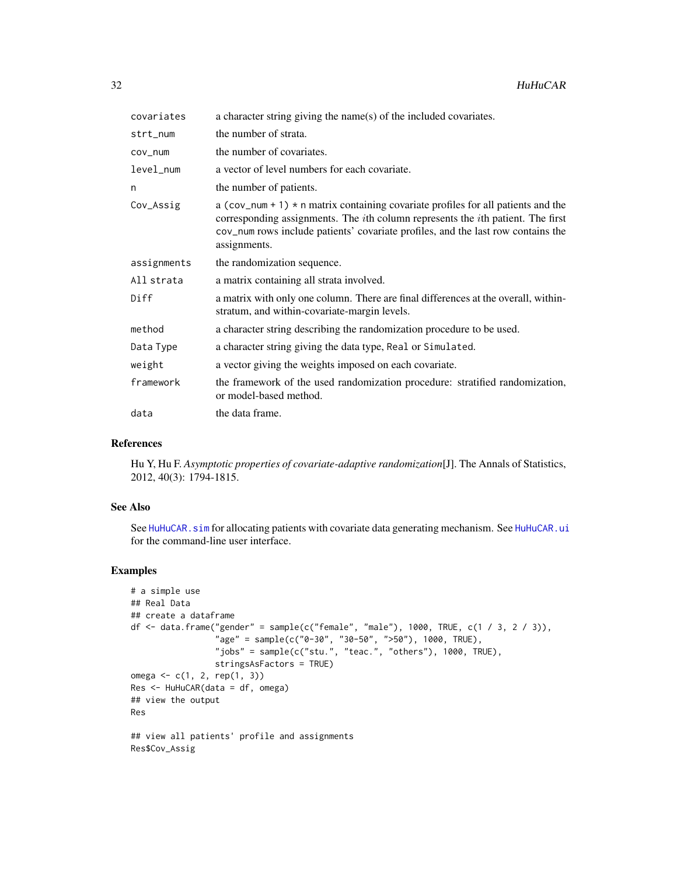<span id="page-31-0"></span>

| covariates  | a character string giving the name(s) of the included covariates.                                                                                                                                                                                                                              |
|-------------|------------------------------------------------------------------------------------------------------------------------------------------------------------------------------------------------------------------------------------------------------------------------------------------------|
| strt_num    | the number of strata.                                                                                                                                                                                                                                                                          |
| COV_num     | the number of covariates.                                                                                                                                                                                                                                                                      |
| level_num   | a vector of level numbers for each covariate.                                                                                                                                                                                                                                                  |
| n           | the number of patients.                                                                                                                                                                                                                                                                        |
| Cov_Assig   | a (cov_num + 1) $\star$ n matrix containing covariate profiles for all patients and the<br>corresponding assignments. The <i>i</i> th column represents the <i>i</i> th patient. The first<br>cov_num rows include patients' covariate profiles, and the last row contains the<br>assignments. |
| assignments | the randomization sequence.                                                                                                                                                                                                                                                                    |
| All strata  | a matrix containing all strata involved.                                                                                                                                                                                                                                                       |
| Diff        | a matrix with only one column. There are final differences at the overall, within-<br>stratum, and within-covariate-margin levels.                                                                                                                                                             |
| method      | a character string describing the randomization procedure to be used.                                                                                                                                                                                                                          |
| Data Type   | a character string giving the data type, Real or Simulated.                                                                                                                                                                                                                                    |
| weight      | a vector giving the weights imposed on each covariate.                                                                                                                                                                                                                                         |
| framework   | the framework of the used randomization procedure: stratified randomization,<br>or model-based method.                                                                                                                                                                                         |
| data        | the data frame.                                                                                                                                                                                                                                                                                |

# References

Hu Y, Hu F. *Asymptotic properties of covariate-adaptive randomization*[J]. The Annals of Statistics, 2012, 40(3): 1794-1815.

#### See Also

See [HuHuCAR.sim](#page-33-1) for allocating patients with covariate data generating mechanism. See [HuHuCAR.ui](#page-34-1) for the command-line user interface.

# Examples

```
# a simple use
## Real Data
## create a dataframe
df <- data.frame("gender" = sample(c("female", "male"), 1000, TRUE, c(1 / 3, 2 / 3)),
                 "age" = sample(c("0-30", "30-50", ">50"), 1000, TRUE),
                 "jobs" = sample(c("stu.", "teac.", "others"), 1000, TRUE),
                 stringsAsFactors = TRUE)
omega \leq c(1, 2, rep(1, 3))Res <- HuHuCAR(data = df, omega)
## view the output
Res
## view all patients' profile and assignments
Res$Cov_Assig
```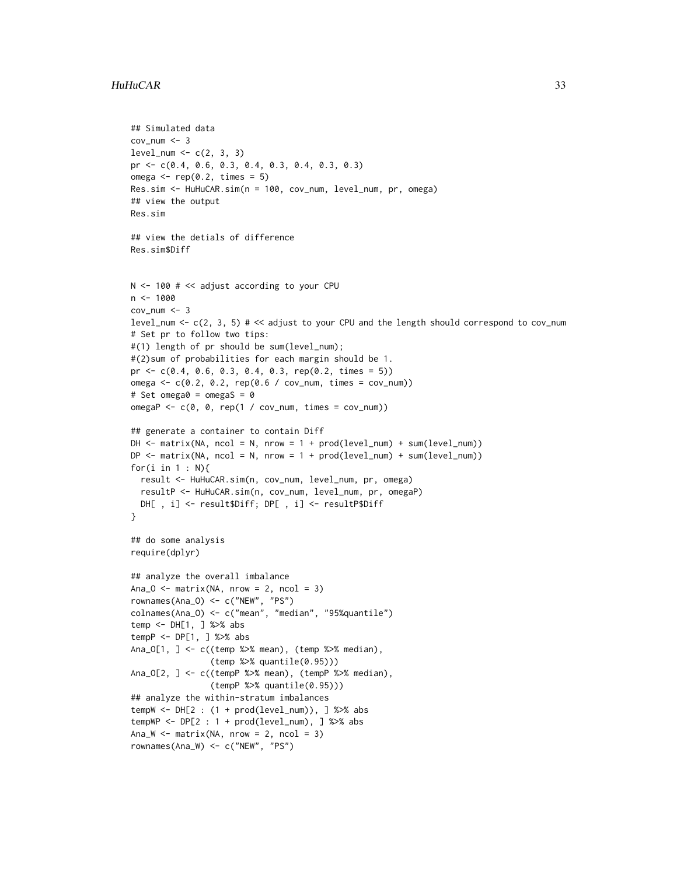#### HuHuCAR 33

```
## Simulated data
cov_nnum <-3level_name < -c(2, 3, 3)pr <- c(0.4, 0.6, 0.3, 0.4, 0.3, 0.4, 0.3, 0.3)
omega \leq rep(0.2, times = 5)
Res.sim <- HuHuCAR.sim(n = 100, cov_num, level_num, pr, omega)
## view the output
Res.sim
## view the detials of difference
Res.sim$Diff
N <- 100 # << adjust according to your CPU
n <- 1000
cov_num <- 3
level_num <- c(2, 3, 5) # << adjust to your CPU and the length should correspond to cov_num
# Set pr to follow two tips:
#(1) length of pr should be sum(level_num);
#(2)sum of probabilities for each margin should be 1.
pr \leq c(0.4, 0.6, 0.3, 0.4, 0.3, rep(0.2, times = 5))
omega <- c(0.2, 0.2, rep(0.6 / cov_num, times = cov_num))
# Set omega0 = omegaS = 0
omegaP <- c(0, 0, rep(1 / cov_num, times = cov_num))
## generate a container to contain Diff
DH <- matrix(NA, ncol = N, nrow = 1 + prod(level_num) + sum(level_num))
DP \leq -\text{matrix}(NA, \text{ncol} = N, \text{nrow} = 1 + \text{prod}(level\_num) + \text{sum}(level\_num))for(i in 1 : N){
  result <- HuHuCAR.sim(n, cov_num, level_num, pr, omega)
  resultP <- HuHuCAR.sim(n, cov_num, level_num, pr, omegaP)
  DH[ , i] <- result$Diff; DP[ , i] <- resultP$Diff
}
## do some analysis
require(dplyr)
## analyze the overall imbalance
Ana_0 \le matrix(NA, nrow = 2, ncol = 3)
rownames(Ana_O) <- c("NEW", "PS")
colnames(Ana_O) <- c("mean", "median", "95%quantile")
temp <- DH[1, ] %>% abs
tempP <- DP[1, ] %>% abs
Ana_O[1, ] <- c((temp %>% mean), (temp %>% median),
                 (temp %>% quantile(0.95)))
Ana_O[2, ] <- c((tempP %>% mean), (tempP %>% median),
                (tempP %>% quantile(0.95)))
## analyze the within-stratum imbalances
tempW <- DH[2 : (1 + prod(level_number)), ] %>% abs
tempWP <- DP[2 : 1 + prod(level_number), ] %>% abs
Ana_W \leq matrix(NA, nrow = 2, ncol = 3)
rownames(Ana_W) <- c("NEW", "PS")
```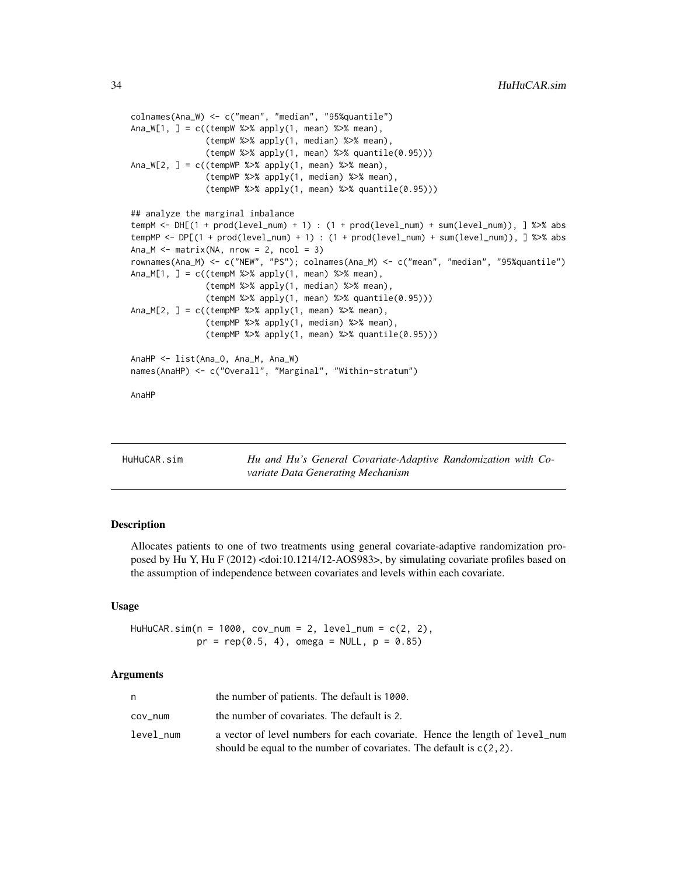```
colnames(Ana_W) <- c("mean", "median", "95%quantile")
Ana_W[1, ] = c((tempW % > % apply(1, mean) % > % mean),(tempW %>% apply(1, median) %>% mean),
               (tempW %>\% apply(1, mean) % \times% quantile(0.95)))Ana_W[2, ] = c((tempWP %> % apply(1, mean) % > % mean),(tempWP %>% apply(1, median) %>% mean),
               (tempWP %>% apply(1, mean) %>% quantile(0.95)))
## analyze the marginal imbalance
tempM <- DH[(1 + prod(level_num) + 1) : (1 + prod(level_num) + sum(level_num)), ] %>% abs
tempMP <- DP[(1 + prod(level_num) + 1) : (1 + prod(level_num) + sum(level_num)), ] %>% abs
Ana_M \leq matrix(NA, nrow = 2, ncol = 3)
rownames(Ana_M) <- c("NEW", "PS"); colnames(Ana_M) <- c("mean", "median", "95%quantile")
Ana_M[1, ] = c((tempM % > % apply(1, mean) % > % mean)),
               (tempM %>% apply(1, median) %>% mean),
               (tempM %>% apply(1, mean) %>% quantile(0.95)))
Ana_M[2, ] = c((tempMP %>% apply(1, mean) %>% mean),
               (tempMP %>% apply(1, median) %>% mean),
               (tempMP %>% apply(1, mean) %>% quantile(0.95)))
AnaHP <- list(Ana_O, Ana_M, Ana_W)
names(AnaHP) <- c("Overall", "Marginal", "Within-stratum")
AnaHP
```
<span id="page-33-1"></span>

| HuHuCAR.sim | Hu and Hu's General Covariate-Adaptive Randomization with Co- |  |  |
|-------------|---------------------------------------------------------------|--|--|
|             | variate Data Generating Mechanism                             |  |  |

Allocates patients to one of two treatments using general covariate-adaptive randomization proposed by Hu Y, Hu F (2012) <doi:10.1214/12-AOS983>, by simulating covariate profiles based on the assumption of independence between covariates and levels within each covariate.

#### Usage

HuHuCAR.sim( $n = 1000$ , cov\_num = 2, level\_num =  $c(2, 2)$ ,  $pr = rep(0.5, 4)$ , omega = NULL,  $p = 0.85$ )

# Arguments

| n         | the number of patients. The default is 1000.                                                                                                           |
|-----------|--------------------------------------------------------------------------------------------------------------------------------------------------------|
| cov num   | the number of covariates. The default is 2.                                                                                                            |
| level num | a vector of level numbers for each covariate. Hence the length of level num<br>should be equal to the number of covariates. The default is $c(2, 2)$ . |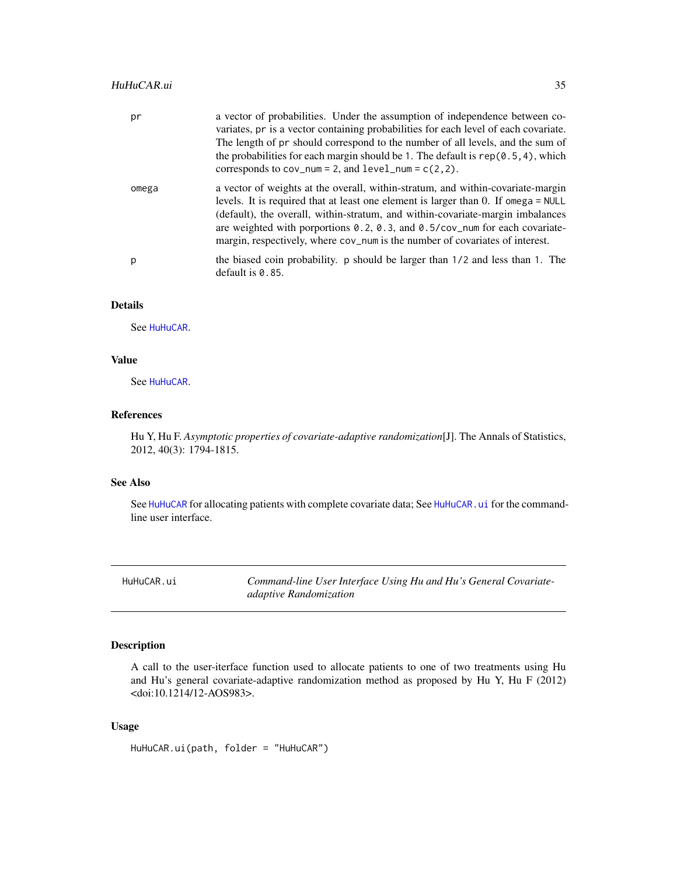<span id="page-34-0"></span>

| pr    | a vector of probabilities. Under the assumption of independence between co-<br>variates, pr is a vector containing probabilities for each level of each covariate.<br>The length of pr should correspond to the number of all levels, and the sum of<br>the probabilities for each margin should be 1. The default is $rep(0.5, 4)$ , which<br>corresponds to $cov_num = 2$ , and $level_num = c(2, 2)$ .                                         |
|-------|---------------------------------------------------------------------------------------------------------------------------------------------------------------------------------------------------------------------------------------------------------------------------------------------------------------------------------------------------------------------------------------------------------------------------------------------------|
| omega | a vector of weights at the overall, within-stratum, and within-covariate-margin<br>levels. It is required that at least one element is larger than 0. If omega = NULL<br>(default), the overall, within-stratum, and within-covariate-margin imbalances<br>are weighted with porportions $\theta$ . 2, $\theta$ . 3, and $\theta$ . 5/cov_num for each covariate-<br>margin, respectively, where cov_num is the number of covariates of interest. |
| p     | the biased coin probability. p should be larger than 1/2 and less than 1. The<br>default is $0.85$ .                                                                                                                                                                                                                                                                                                                                              |

# Details

See [HuHuCAR](#page-29-1).

# Value

See [HuHuCAR](#page-29-1).

# References

Hu Y, Hu F. *Asymptotic properties of covariate-adaptive randomization*[J]. The Annals of Statistics, 2012, 40(3): 1794-1815.

#### See Also

See [HuHuCAR](#page-29-1) for allocating patients with complete covariate data; See [HuHuCAR.ui](#page-34-1) for the commandline user interface.

<span id="page-34-1"></span>HuHuCAR.ui *Command-line User Interface Using Hu and Hu's General Covariateadaptive Randomization*

# Description

A call to the user-iterface function used to allocate patients to one of two treatments using Hu and Hu's general covariate-adaptive randomization method as proposed by Hu Y, Hu F (2012) <doi:10.1214/12-AOS983>.

#### Usage

HuHuCAR.ui(path, folder = "HuHuCAR")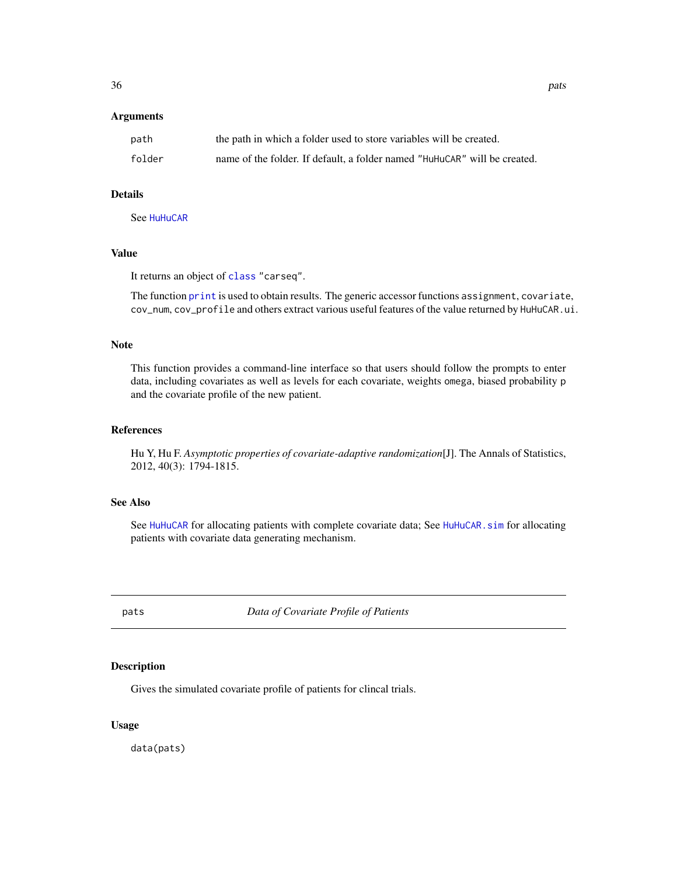# <span id="page-35-0"></span>**Arguments**

| path   | the path in which a folder used to store variables will be created.       |
|--------|---------------------------------------------------------------------------|
| folder | name of the folder. If default, a folder named "HuHuCAR" will be created. |

# Details

See [HuHuCAR](#page-29-1)

# Value

It returns an object of [class](#page-0-0) "carseq".

The function [print](#page-0-0) is used to obtain results. The generic accessor functions assignment, covariate, cov\_num, cov\_profile and others extract various useful features of the value returned by HuHuCAR.ui.

# Note

This function provides a command-line interface so that users should follow the prompts to enter data, including covariates as well as levels for each covariate, weights omega, biased probability p and the covariate profile of the new patient.

# References

Hu Y, Hu F. *Asymptotic properties of covariate-adaptive randomization*[J]. The Annals of Statistics, 2012, 40(3): 1794-1815.

# See Also

See [HuHuCAR](#page-29-1) for allocating patients with complete covariate data; See [HuHuCAR.sim](#page-33-1) for allocating patients with covariate data generating mechanism.

pats *Data of Covariate Profile of Patients*

# Description

Gives the simulated covariate profile of patients for clincal trials.

#### Usage

data(pats)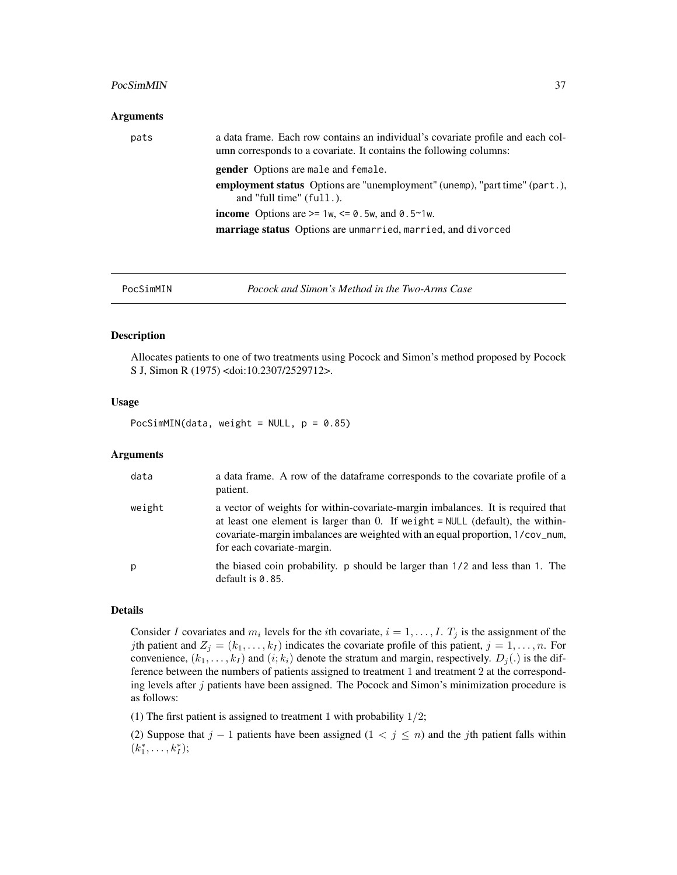#### <span id="page-36-0"></span>PocSimMIN 37

#### **Arguments**

| pats | a data frame. Each row contains an individual's covariate profile and each col-<br>umn corresponds to a covariate. It contains the following columns: |
|------|-------------------------------------------------------------------------------------------------------------------------------------------------------|
|      | <b>gender</b> Options are male and female.                                                                                                            |
|      | employment status Options are "unemployment" (unemp), "part time" (part.),<br>and "full time" (full.).                                                |
|      | <b>income</b> Options are $> = 1w$ , $\leq \theta$ . 5w, and 0.5~1w.                                                                                  |
|      | marriage status Options are unmarried, married, and divorced                                                                                          |
|      |                                                                                                                                                       |

<span id="page-36-1"></span>

PocSimMIN *Pocock and Simon's Method in the Two-Arms Case*

#### Description

Allocates patients to one of two treatments using Pocock and Simon's method proposed by Pocock S J, Simon R (1975) <doi:10.2307/2529712>.

#### Usage

PocSimMIN(data, weight = NULL,  $p = 0.85$ )

#### Arguments

| data   | a data frame. A row of the data frame corresponds to the covariate profile of a<br>patient.                                                                                                                                                                                         |
|--------|-------------------------------------------------------------------------------------------------------------------------------------------------------------------------------------------------------------------------------------------------------------------------------------|
| weight | a vector of weights for within-covariate-margin imbalances. It is required that<br>at least one element is larger than 0. If we ight $=$ NULL (default), the within-<br>covariate-margin imbalances are weighted with an equal proportion, 1/cov_num,<br>for each covariate-margin. |
| p      | the biased coin probability. p should be larger than 1/2 and less than 1. The<br>default is $0.85$ .                                                                                                                                                                                |

# Details

Consider I covariates and  $m_i$  levels for the *i*th covariate,  $i = 1, \ldots, I$ .  $T_j$  is the assignment of the *j*th patient and  $Z_j = (k_1, \ldots, k_I)$  indicates the covariate profile of this patient,  $j = 1, \ldots, n$ . For convenience,  $(k_1, \ldots, k_I)$  and  $(i; k_i)$  denote the stratum and margin, respectively.  $D_j(.)$  is the difference between the numbers of patients assigned to treatment 1 and treatment 2 at the corresponding levels after  $j$  patients have been assigned. The Pocock and Simon's minimization procedure is as follows:

(1) The first patient is assigned to treatment 1 with probability  $1/2$ ;

(2) Suppose that  $j - 1$  patients have been assigned  $(1 \lt j \leq n)$  and the jth patient falls within  $(k_1^*, \ldots, k_I^*)$ ;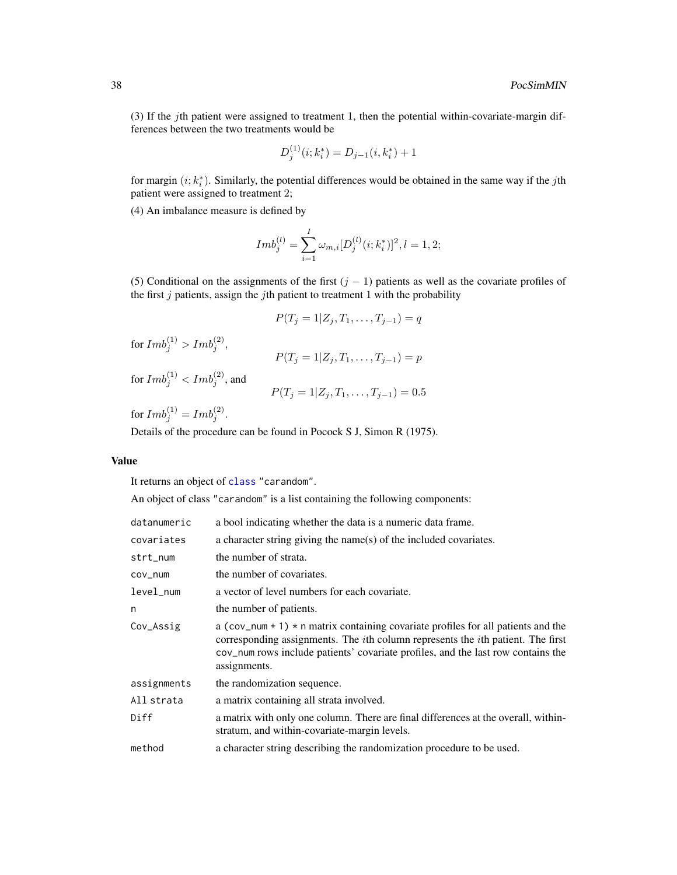<span id="page-37-0"></span>(3) If the *j*th patient were assigned to treatment 1, then the potential within-covariate-margin differences between the two treatments would be

$$
D_j^{(1)}(i;k_i^*) = D_{j-1}(i,k_i^*) + 1
$$

for margin  $(i; k_i^*)$ . Similarly, the potential differences would be obtained in the same way if the jth patient were assigned to treatment 2;

(4) An imbalance measure is defined by

$$
Im b_j^{(l)} = \sum_{i=1}^{I} \omega_{m,i} [D_j^{(l)}(i;k_i^*)]^2, l = 1,2;
$$

(5) Conditional on the assignments of the first  $(j - 1)$  patients as well as the covariate profiles of the first  $j$  patients, assign the  $j$ th patient to treatment 1 with the probability

$$
P(T_j = 1 | Z_j, T_1, \dots, T_{j-1}) = q
$$

for  $Imb_j^{(1)} > Imb_j^{(2)}$ ,

$$
P(T_j = 1 | Z_j, T_1, \dots, T_{j-1}) = p
$$

for  $Imb_j^{(1)} < Imb_j^{(2)},$  and

$$
P(T_j = 1 | Z_j, T_1, \dots, T_{j-1}) = 0.5
$$

for  $Imb_j^{(1)} = Imb_j^{(2)}$ .

Details of the procedure can be found in Pocock S J, Simon R (1975).

# Value

It returns an object of [class](#page-0-0) "carandom".

An object of class "carandom" is a list containing the following components:

| datanumeric | a bool indicating whether the data is a numeric data frame.                                                                                                                                                                                                                                |
|-------------|--------------------------------------------------------------------------------------------------------------------------------------------------------------------------------------------------------------------------------------------------------------------------------------------|
| covariates  | a character string giving the name(s) of the included covariates.                                                                                                                                                                                                                          |
| strt_num    | the number of strata.                                                                                                                                                                                                                                                                      |
| COV_NUM     | the number of covariates.                                                                                                                                                                                                                                                                  |
| level_num   | a vector of level numbers for each covariate.                                                                                                                                                                                                                                              |
| n           | the number of patients.                                                                                                                                                                                                                                                                    |
| Cov_Assig   | a (cov_num + 1) $*$ n matrix containing covariate profiles for all patients and the<br>corresponding assignments. The <i>i</i> th column represents the <i>i</i> th patient. The first<br>cov_num rows include patients' covariate profiles, and the last row contains the<br>assignments. |
| assignments | the randomization sequence.                                                                                                                                                                                                                                                                |
| All strata  | a matrix containing all strata involved.                                                                                                                                                                                                                                                   |
| Diff        | a matrix with only one column. There are final differences at the overall, within-<br>stratum, and within-covariate-margin levels.                                                                                                                                                         |
| method      | a character string describing the randomization procedure to be used.                                                                                                                                                                                                                      |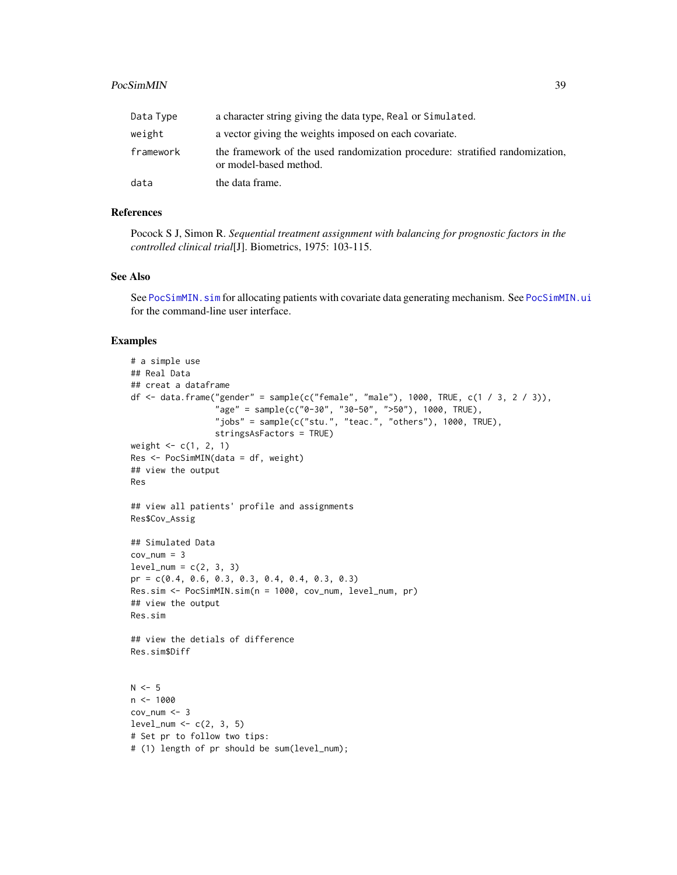#### <span id="page-38-0"></span>PocSimMIN 39

| Data Type | a character string giving the data type, Real or Simulated.                                            |
|-----------|--------------------------------------------------------------------------------------------------------|
| weight    | a vector giving the weights imposed on each covariate.                                                 |
| framework | the framework of the used randomization procedure: stratified randomization,<br>or model-based method. |
| data      | the data frame.                                                                                        |

# References

Pocock S J, Simon R. *Sequential treatment assignment with balancing for prognostic factors in the controlled clinical trial*[J]. Biometrics, 1975: 103-115.

#### See Also

See [PocSimMIN.sim](#page-40-1) for allocating patients with covariate data generating mechanism. See [PocSimMIN.ui](#page-41-1) for the command-line user interface.

#### Examples

```
# a simple use
## Real Data
## creat a dataframe
df <- data.frame("gender" = sample(c("female", "male"), 1000, TRUE, c(1 / 3, 2 / 3)),
                 "age" = sample(c("0-30", "30-50", ">50"), 1000, TRUE),
                 "jobs" = sample(c("stu.", "teac.", "others"), 1000, TRUE),
                 stringsAsFactors = TRUE)
weight <-c(1, 2, 1)Res <- PocSimMIN(data = df, weight)
## view the output
Res
## view all patients' profile and assignments
Res$Cov_Assig
## Simulated Data
cov_nnum = 3
level\_num = c(2, 3, 3)pr = c(0.4, 0.6, 0.3, 0.3, 0.4, 0.4, 0.3, 0.3)
Res.sim <- PocSimMIN.sim(n = 1000, cov_num, level_num, pr)
## view the output
Res.sim
## view the detials of difference
Res.sim$Diff
N < -5n <- 1000
cov_nnum \leq -3level_name < -c(2, 3, 5)# Set pr to follow two tips:
# (1) length of pr should be sum(level_num);
```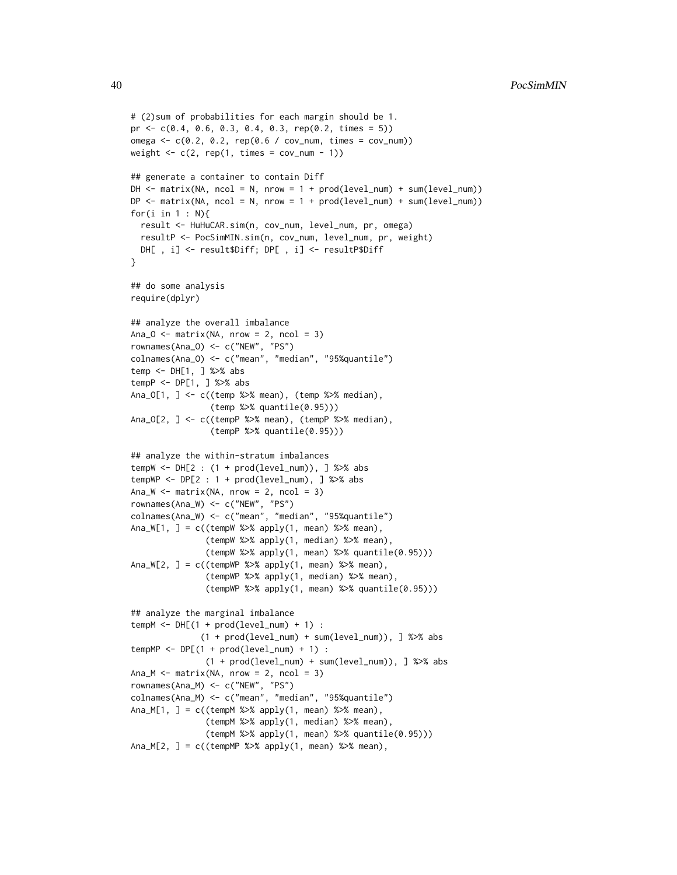```
# (2)sum of probabilities for each margin should be 1.
pr \leq c(0.4, 0.6, 0.3, 0.4, 0.3, rep(0.2, times = 5))omega <- c(0.2, 0.2, rep(0.6 / cov_num, times = cov_num))
weight \leq c(2, rep(1, times = cov_number - 1))## generate a container to contain Diff
DH \le matrix(NA, ncol = N, nrow = 1 + prod(level_num) + sum(level_num))
DP \leq - matrix(NA, ncol = N, nrow = 1 + prod(level_num) + sum(level_num))
for(i in 1 : N){
  result <- HuHuCAR.sim(n, cov_num, level_num, pr, omega)
  resultP <- PocSimMIN.sim(n, cov_num, level_num, pr, weight)
  DH[ , i] <- result$Diff; DP[ , i] <- resultP$Diff
}
## do some analysis
require(dplyr)
## analyze the overall imbalance
Ana_0 <- matrix(NA, nrow = 2, ncol = 3)
rownames(Ana_O) <- c("NEW", "PS")
colnames(Ana_O) <- c("mean", "median", "95%quantile")
temp <- DH[1, ] %>% abs
tempP <- DP[1, ] %>% abs
Ana_O[1, ] <- c((temp %>% mean), (temp %>% median),
                (temp %>% quantile(0.95)))
Ana_O[2, ] <- c((tempP %>% mean), (tempP %>% median),
                (tempP %>% quantile(0.95)))
## analyze the within-stratum imbalances
tempW <- DH[2 : (1 + prod(level_num)), ] %>% abs
tempWP <- DP[2 : 1 + prod(level_number), ] %>% abs
Ana_W \leq matrix(NA, nrow = 2, ncol = 3)
rownames(Ana_W) <- c("NEW", "PS")
colnames(Ana_W) <- c("mean", "median", "95%quantile")
Ana_W[1, ] = c((tempW % > % apply(1, mean) % > % mean)),
               (tempW %>% apply(1, median) %>% mean),
               (tempW %>% apply(1, mean) %>% quantile(0.95)))
Ana_W[2, ] = c((tempWP %> % apply(1, mean) % > % mean))(tempWP %>% apply(1, median) %>% mean),
               (tempWP %>> apply(1, mean) %>> quantile(0.95)))## analyze the marginal imbalance
tempM \leq DH[(1 + prod(level_number + 1) :(1 + prod(level_num) + sum(level_num)), ] %>% abs
tempMP \leftarrow DP[(1 + prod(level_number + 1) :(1 + prod(level_num) + sum(level_num)), ] %>% abs
Ana_M \leq matrix(NA, nrow = 2, ncol = 3)
rownames(Ana_M) <- c("NEW", "PS")
colnames(Ana_M) <- c("mean", "median", "95%quantile")
Ana_M[1, ] = c((tempM % > % apply(1, mean) % > % mean)),
               (tempM %>% apply(1, median) %>% mean),
               (tempM %>% apply(1, mean) %>% quantile(0.95)))
Ana_M[2, ] = c((tempMP % > % apply(1, mean) % > % mean),
```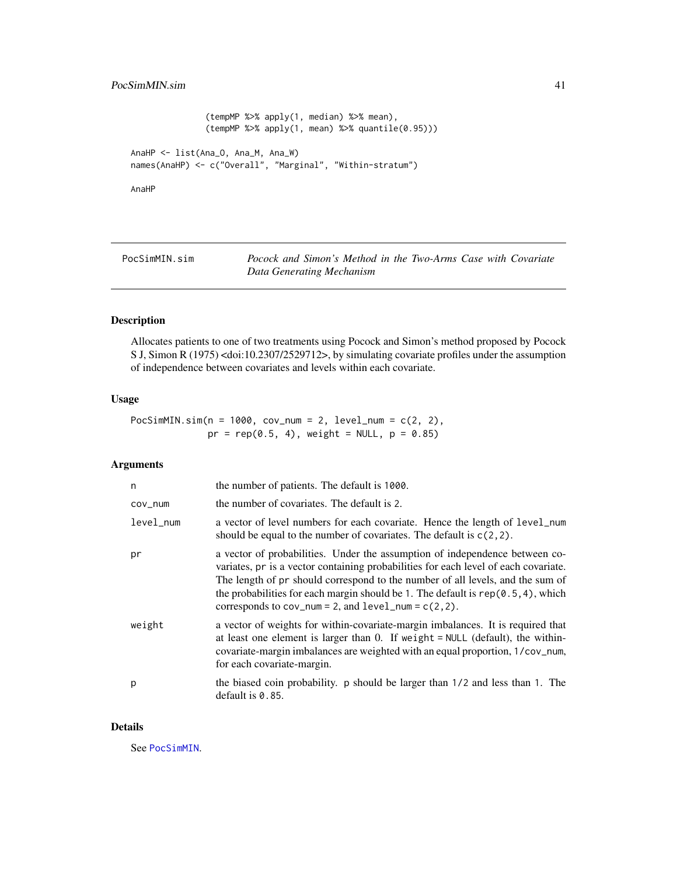```
(tempMP %>% apply(1, median) %>% mean),
               (tempMP %>% apply(1, mean) %>% quantile(0.95)))
AnaHP <- list(Ana_O, Ana_M, Ana_W)
names(AnaHP) <- c("Overall", "Marginal", "Within-stratum")
AnaHP
```
<span id="page-40-1"></span>

PocSimMIN.sim *Pocock and Simon's Method in the Two-Arms Case with Covariate Data Generating Mechanism*

# Description

Allocates patients to one of two treatments using Pocock and Simon's method proposed by Pocock S J, Simon R (1975) <doi:10.2307/2529712>, by simulating covariate profiles under the assumption of independence between covariates and levels within each covariate.

#### Usage

PocSimMIN.sim( $n = 1000$ , cov\_num = 2, level\_num = c(2, 2),  $pr = rep(0.5, 4)$ , weight = NULL,  $p = 0.85$ )

# Arguments

| n         | the number of patients. The default is 1000.                                                                                                                                                                                                                                                                                                                                                              |
|-----------|-----------------------------------------------------------------------------------------------------------------------------------------------------------------------------------------------------------------------------------------------------------------------------------------------------------------------------------------------------------------------------------------------------------|
| COV_NUM   | the number of covariates. The default is 2.                                                                                                                                                                                                                                                                                                                                                               |
| level_num | a vector of level numbers for each covariate. Hence the length of level_num<br>should be equal to the number of covariates. The default is $c(2, 2)$ .                                                                                                                                                                                                                                                    |
| pr        | a vector of probabilities. Under the assumption of independence between co-<br>variates, pr is a vector containing probabilities for each level of each covariate.<br>The length of pr should correspond to the number of all levels, and the sum of<br>the probabilities for each margin should be 1. The default is $rep(0.5, 4)$ , which<br>corresponds to $cov_num = 2$ , and $level_num = c(2, 2)$ . |
| weight    | a vector of weights for within-covariate-margin imbalances. It is required that<br>at least one element is larger than 0. If we ight $=$ NULL (default), the within-<br>covariate-margin imbalances are weighted with an equal proportion, 1/cov_num,<br>for each covariate-margin.                                                                                                                       |
| p         | the biased coin probability. p should be larger than 1/2 and less than 1. The<br>default is $0.85$ .                                                                                                                                                                                                                                                                                                      |

#### Details

See [PocSimMIN](#page-36-1).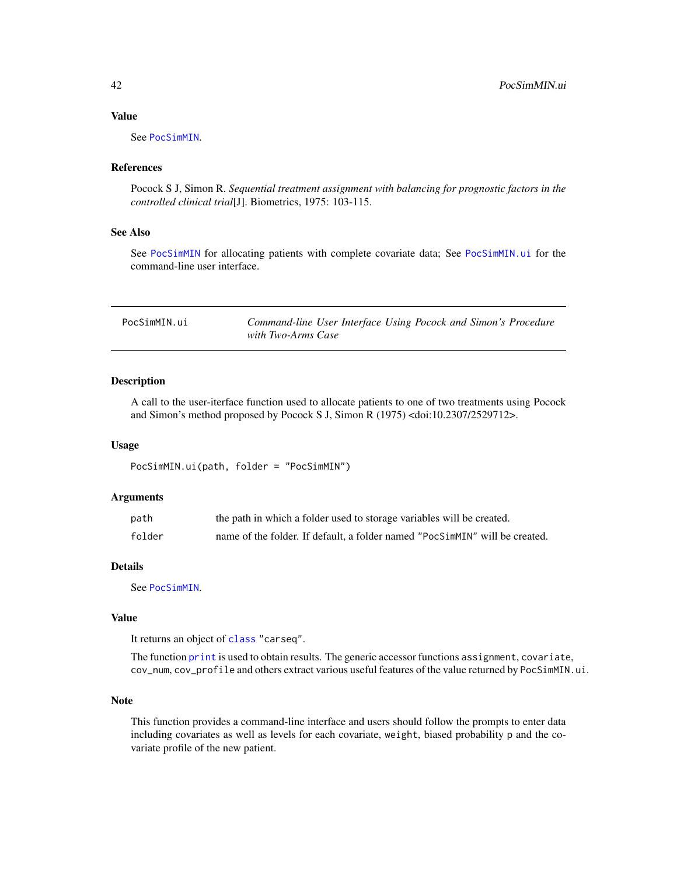# <span id="page-41-0"></span>Value

See [PocSimMIN](#page-36-1).

# References

Pocock S J, Simon R. *Sequential treatment assignment with balancing for prognostic factors in the controlled clinical trial*[J]. Biometrics, 1975: 103-115.

# See Also

See [PocSimMIN](#page-36-1) for allocating patients with complete covariate data; See [PocSimMIN.ui](#page-41-1) for the command-line user interface.

<span id="page-41-1"></span>

| PocSimMIN.ui | Command-line User Interface Using Pocock and Simon's Procedure |
|--------------|----------------------------------------------------------------|
|              | with Two-Arms Case                                             |

# Description

A call to the user-iterface function used to allocate patients to one of two treatments using Pocock and Simon's method proposed by Pocock S J, Simon R (1975) <doi:10.2307/2529712>.

#### Usage

PocSimMIN.ui(path, folder = "PocSimMIN")

#### Arguments

| path   | the path in which a folder used to storage variables will be created.       |
|--------|-----------------------------------------------------------------------------|
| folder | name of the folder. If default, a folder named "PocSimMIN" will be created. |

# Details

See [PocSimMIN](#page-36-1).

#### Value

It returns an object of [class](#page-0-0) "carseq".

The function [print](#page-0-0) is used to obtain results. The generic accessor functions assignment, covariate, cov\_num, cov\_profile and others extract various useful features of the value returned by PocSimMIN.ui.

# Note

This function provides a command-line interface and users should follow the prompts to enter data including covariates as well as levels for each covariate, weight, biased probability p and the covariate profile of the new patient.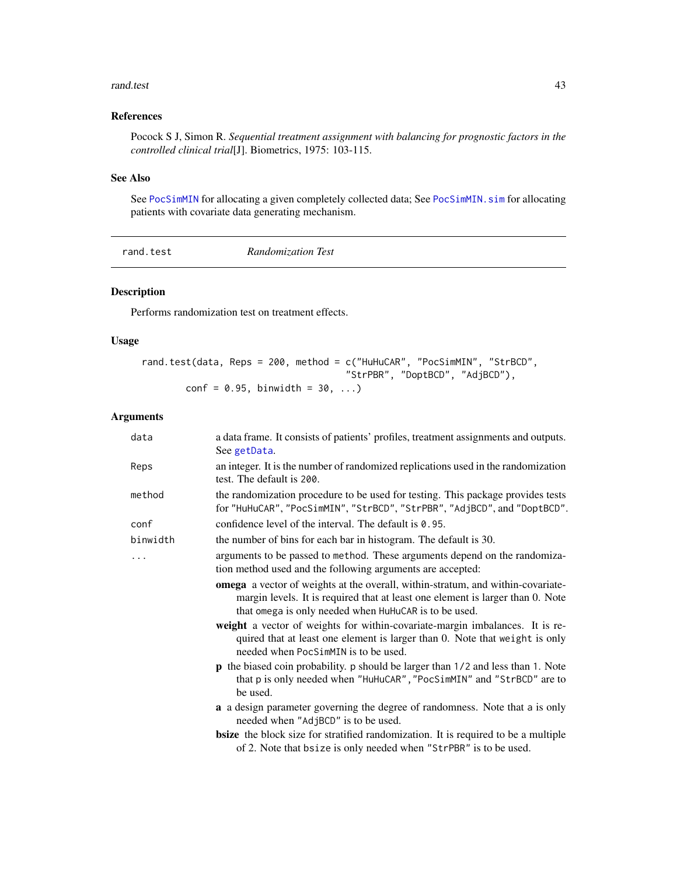#### <span id="page-42-0"></span>rand.test 43

# References

Pocock S J, Simon R. *Sequential treatment assignment with balancing for prognostic factors in the controlled clinical trial*[J]. Biometrics, 1975: 103-115.

# See Also

See [PocSimMIN](#page-36-1) for allocating a given completely collected data; See [PocSimMIN.sim](#page-40-1) for allocating patients with covariate data generating mechanism.

rand.test *Randomization Test*

# Description

Performs randomization test on treatment effects.

# Usage

```
rand.test(data, Reps = 200, method = c("HuHuCAR", "PocSimMIN", "StrBCD",
                                     "StrPBR", "DoptBCD", "AdjBCD"),
       conf = 0.95, binwidth = 30, ...)
```
#### Arguments

| See getData.                                                                                                                                                                                                                      | a data frame. It consists of patients' profiles, treatment assignments and outputs. |
|-----------------------------------------------------------------------------------------------------------------------------------------------------------------------------------------------------------------------------------|-------------------------------------------------------------------------------------|
| an integer. It is the number of randomized replications used in the randomization<br>Reps<br>test. The default is 200.                                                                                                            |                                                                                     |
| the randomization procedure to be used for testing. This package provides tests<br>method<br>for "HuHuCAR", "PocSimMIN", "StrBCD", "StrPBR", "AdjBCD", and "DoptBCD".                                                             |                                                                                     |
| confidence level of the interval. The default is $0.95$ .<br>conf                                                                                                                                                                 |                                                                                     |
| binwidth<br>the number of bins for each bar in histogram. The default is 30.                                                                                                                                                      |                                                                                     |
| arguments to be passed to method. These arguments depend on the randomiza-<br>.<br>tion method used and the following arguments are accepted:                                                                                     |                                                                                     |
| <b>omega</b> a vector of weights at the overall, within-stratum, and within-covariate-<br>margin levels. It is required that at least one element is larger than 0. Note<br>that omega is only needed when HuHuCAR is to be used. |                                                                                     |
| weight a vector of weights for within-covariate-margin imbalances. It is re-<br>quired that at least one element is larger than 0. Note that weight is only<br>needed when PocSimMIN is to be used.                               |                                                                                     |
| p the biased coin probability. p should be larger than 1/2 and less than 1. Note<br>that p is only needed when "HuHuCAR", "PocSimMIN" and "StrBCD" are to<br>be used.                                                             |                                                                                     |
| a a design parameter governing the degree of randomness. Note that a is only<br>needed when "AdjBCD" is to be used.                                                                                                               |                                                                                     |
| <b>bsize</b> the block size for stratified randomization. It is required to be a multiple<br>of 2. Note that bsize is only needed when "StrPBR" is to be used.                                                                    |                                                                                     |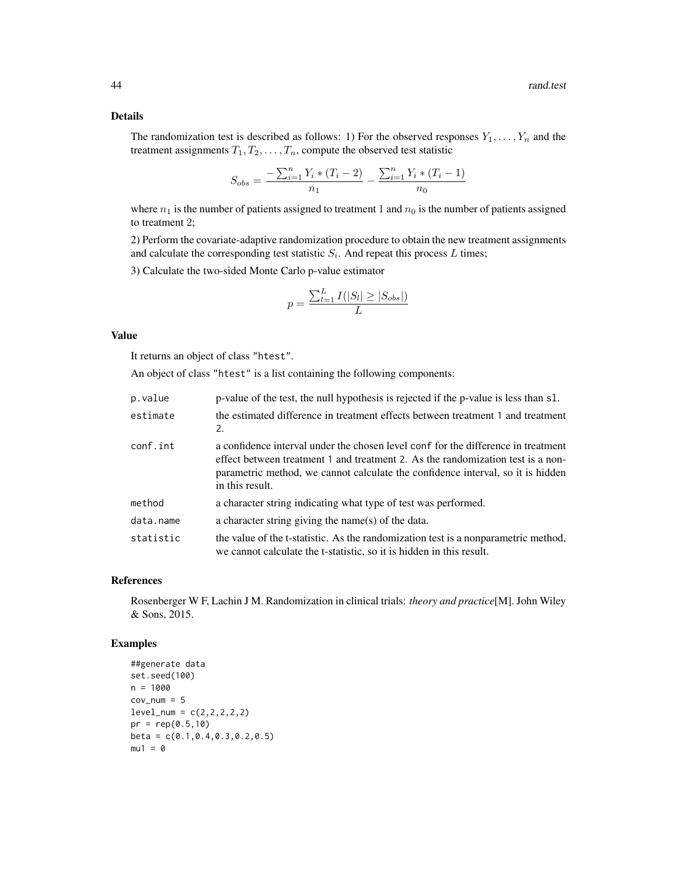# Details

The randomization test is described as follows: 1) For the observed responses  $Y_1, \ldots, Y_n$  and the treatment assignments  $T_1, T_2, \ldots, T_n$ , compute the observed test statistic

$$
S_{obs} = \frac{-\sum_{i=1}^{n} Y_i * (T_i - 2)}{n_1} - \frac{\sum_{i=1}^{n} Y_i * (T_i - 1)}{n_0}
$$

where  $n_1$  is the number of patients assigned to treatment 1 and  $n_0$  is the number of patients assigned to treatment 2;

2) Perform the covariate-adaptive randomization procedure to obtain the new treatment assignments and calculate the corresponding test statistic  $S_i$ . And repeat this process L times;

3) Calculate the two-sided Monte Carlo p-value estimator

$$
p = \frac{\sum_{l=1}^{L} I(|S_l| \ge |S_{obs}|)}{L}
$$

# Value

It returns an object of class "htest".

An object of class "htest" is a list containing the following components:

| p.value   | p-value of the test, the null hypothesis is rejected if the p-value is less than sl.                                                                                                                                                                                       |
|-----------|----------------------------------------------------------------------------------------------------------------------------------------------------------------------------------------------------------------------------------------------------------------------------|
| estimate  | the estimated difference in treatment effects between treatment 1 and treatment<br>2.                                                                                                                                                                                      |
| conf.int  | a confidence interval under the chosen level conf for the difference in treatment<br>effect between treatment 1 and treatment 2. As the randomization test is a non-<br>parametric method, we cannot calculate the confidence interval, so it is hidden<br>in this result. |
| method    | a character string indicating what type of test was performed.                                                                                                                                                                                                             |
| data.name | a character string giving the name(s) of the data.                                                                                                                                                                                                                         |
| statistic | the value of the t-statistic. As the randomization test is a nonparametric method,<br>we cannot calculate the t-statistic, so it is hidden in this result.                                                                                                                 |

#### References

Rosenberger W F, Lachin J M. Randomization in clinical trials: *theory and practice*[M]. John Wiley & Sons, 2015.

# Examples

```
##generate data
set.seed(100)
n = 1000
cov\_num = 5level\_num = c(2, 2, 2, 2, 2)pr = rep(0.5,10)beta = c(0.1, 0.4, 0.3, 0.2, 0.5)mu1 = 0
```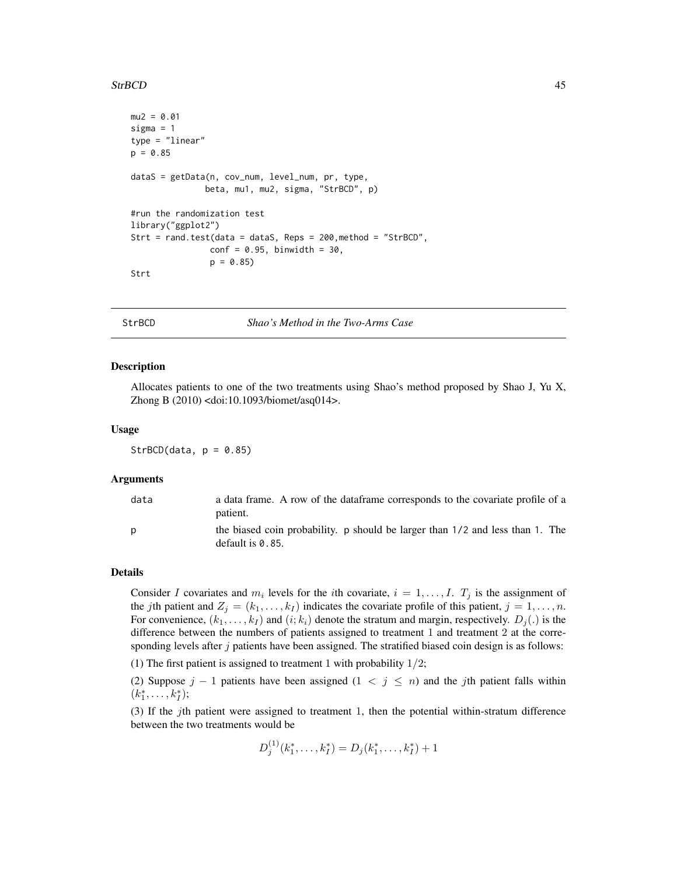#### <span id="page-44-0"></span>StrBCD 45

```
mu2 = 0.01sigma = 1type = "linear"
p = 0.85dataS = getData(n, cov_num, level_num, pr, type,
              beta, mu1, mu2, sigma, "StrBCD", p)
#run the randomization test
library("ggplot2")
Strt = rand.test(data = dataS, Reps = 200,method = "StrBCD",
                conf = 0.95, binwidth = 30,
                p = 0.85Strt
```
<span id="page-44-1"></span>

StrBCD *Shao's Method in the Two-Arms Case*

#### Description

Allocates patients to one of the two treatments using Shao's method proposed by Shao J, Yu X, Zhong B (2010) <doi:10.1093/biomet/asq014>.

#### Usage

StrBCD(data,  $p = 0.85$ )

# Arguments

| data | a data frame. A row of the dataframe corresponds to the covariate profile of a<br>patient.           |
|------|------------------------------------------------------------------------------------------------------|
| D    | the biased coin probability. p should be larger than 1/2 and less than 1. The<br>default is $0.85$ . |

# Details

Consider I covariates and  $m_i$  levels for the *i*th covariate,  $i = 1, \ldots, I$ .  $T_j$  is the assignment of the jth patient and  $Z_j = (k_1, \ldots, k_l)$  indicates the covariate profile of this patient,  $j = 1, \ldots, n$ . For convenience,  $(k_1, \ldots, k_l)$  and  $(i; k_i)$  denote the stratum and margin, respectively.  $D_i(.)$  is the difference between the numbers of patients assigned to treatment 1 and treatment 2 at the corresponding levels after  $j$  patients have been assigned. The stratified biased coin design is as follows:

(1) The first patient is assigned to treatment 1 with probability  $1/2$ ;

(2) Suppose  $j - 1$  patients have been assigned  $(1 \lt j \leq n)$  and the jth patient falls within  $(k_1^*, \ldots, k_I^*)$ ;

(3) If the *j*th patient were assigned to treatment 1, then the potential within-stratum difference between the two treatments would be

$$
D_j^{(1)}(k_1^*,\ldots,k_I^*) = D_j(k_1^*,\ldots,k_I^*) + 1
$$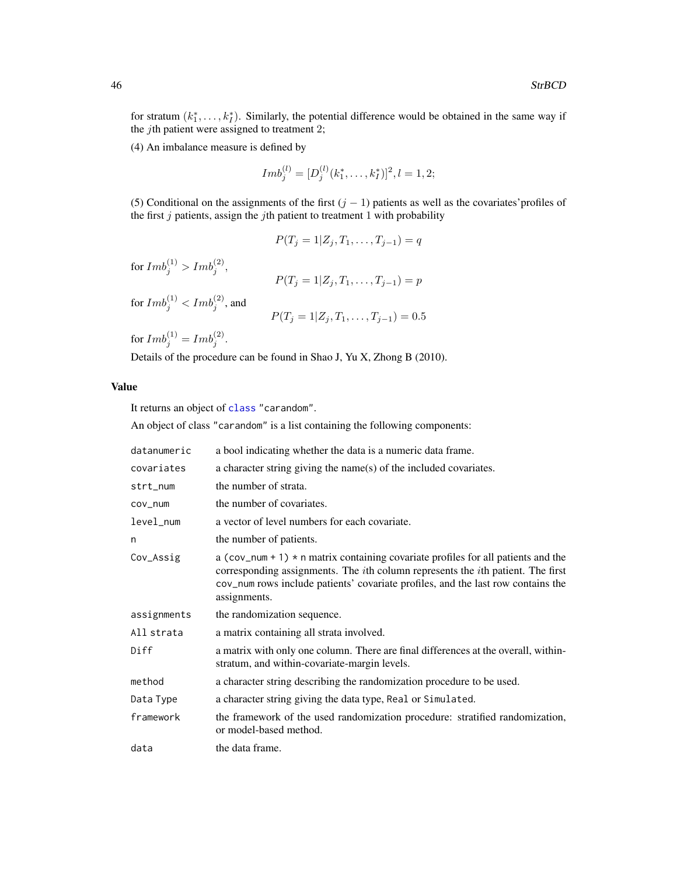<span id="page-45-0"></span>for stratum  $(k_1^*, \ldots, k_l^*)$ . Similarly, the potential difference would be obtained in the same way if the *j*th patient were assigned to treatment 2;

(4) An imbalance measure is defined by

$$
Im b_j^{(l)} = [D_j^{(l)}(k_1^*, \ldots, k_I^*)]^2, l = 1, 2;
$$

(5) Conditional on the assignments of the first  $(j - 1)$  patients as well as the covariates' profiles of the first  $j$  patients, assign the  $j$ th patient to treatment 1 with probability

$$
P(T_j = 1 | Z_j, T_1, \dots, T_{j-1}) = q
$$

for  $Imb_j^{(1)} > Imb_j^{(2)},$ 

 $P(T_j = 1 | Z_j, T_1, \ldots, T_{j-1}) = p$ 

for  $Imb_j^{(1)} < Imb_j^{(2)}$ , and

$$
P(T_j = 1 | Z_j, T_1, \dots, T_{j-1}) = 0.5
$$

for  $Imb_j^{(1)} = Imb_j^{(2)}$ .

Details of the procedure can be found in Shao J, Yu X, Zhong B (2010).

# Value

It returns an object of [class](#page-0-0) "carandom".

An object of class "carandom" is a list containing the following components:

| datanumeric | a bool indicating whether the data is a numeric data frame.                                                                                                                                                                                                                                |
|-------------|--------------------------------------------------------------------------------------------------------------------------------------------------------------------------------------------------------------------------------------------------------------------------------------------|
| covariates  | a character string giving the name(s) of the included covariates.                                                                                                                                                                                                                          |
| strt_num    | the number of strata.                                                                                                                                                                                                                                                                      |
| COV_num     | the number of covariates.                                                                                                                                                                                                                                                                  |
| level_num   | a vector of level numbers for each covariate.                                                                                                                                                                                                                                              |
| n           | the number of patients.                                                                                                                                                                                                                                                                    |
| Cov_Assig   | a (cov_num + 1) $*$ n matrix containing covariate profiles for all patients and the<br>corresponding assignments. The <i>i</i> th column represents the <i>i</i> th patient. The first<br>cov_num rows include patients' covariate profiles, and the last row contains the<br>assignments. |
| assignments | the randomization sequence.                                                                                                                                                                                                                                                                |
| All strata  | a matrix containing all strata involved.                                                                                                                                                                                                                                                   |
| Diff        | a matrix with only one column. There are final differences at the overall, within-<br>stratum, and within-covariate-margin levels.                                                                                                                                                         |
| method      | a character string describing the randomization procedure to be used.                                                                                                                                                                                                                      |
| Data Type   | a character string giving the data type, Real or Simulated.                                                                                                                                                                                                                                |
| framework   | the framework of the used randomization procedure: stratified randomization,<br>or model-based method.                                                                                                                                                                                     |
| data        | the data frame.                                                                                                                                                                                                                                                                            |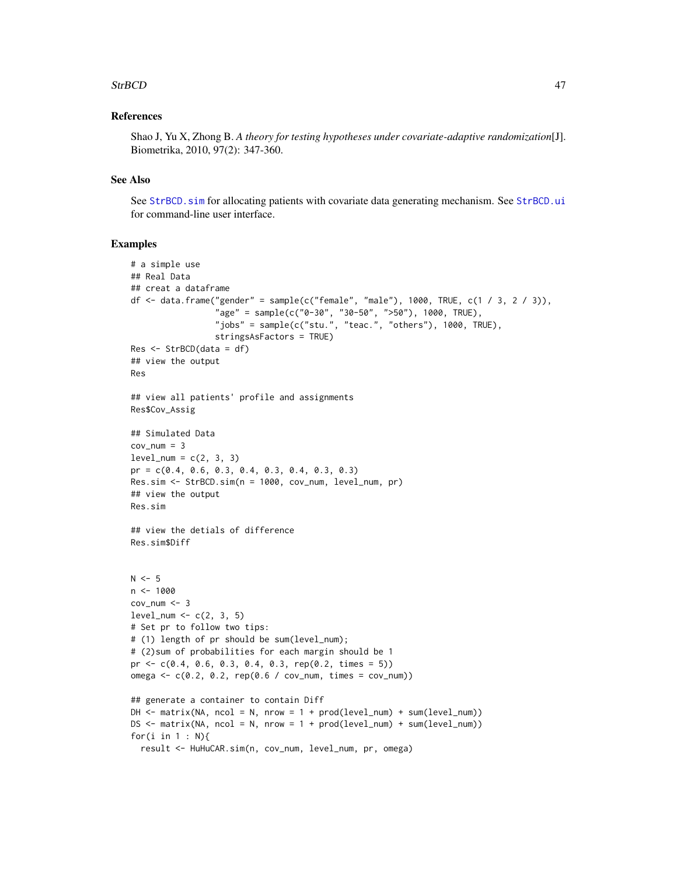#### <span id="page-46-0"></span>StrBCD 47

# References

Shao J, Yu X, Zhong B. *A theory for testing hypotheses under covariate-adaptive randomization*[J]. Biometrika, 2010, 97(2): 347-360.

#### See Also

See StrBCD. sim for allocating patients with covariate data generating mechanism. See [StrBCD.ui](#page-49-1) for command-line user interface.

#### Examples

```
# a simple use
## Real Data
## creat a dataframe
df \le data.frame("gender" = sample(c("female", "male"), 1000, TRUE, c(1 / 3, 2 / 3)),
                 "age" = sample(c("0-30", "30-50", ">50"), 1000, TRUE),
                 "jobs" = sample(c("stu.", "teac.", "others"), 1000, TRUE),
                 stringsAsFactors = TRUE)
Res <- StrBCD(data = df)
## view the output
Res
## view all patients' profile and assignments
Res$Cov_Assig
## Simulated Data
cov_nnum = 3
level\_num = c(2, 3, 3)pr = c(0.4, 0.6, 0.3, 0.4, 0.3, 0.4, 0.3, 0.3)
Res.sim <- StrBCD.sim(n = 1000, cov_num, level_num, pr)
## view the output
Res.sim
## view the detials of difference
Res.sim$Diff
N < -5n < -1000cov_num < -3level\_num \leq c(2, 3, 5)# Set pr to follow two tips:
# (1) length of pr should be sum(level_num);
# (2)sum of probabilities for each margin should be 1
pr <- c(0.4, 0.6, 0.3, 0.4, 0.3, rep(0.2, times = 5))omega <- c(0.2, 0.2, rep(0.6 / cov_num, times = cov_num))
## generate a container to contain Diff
DH \le matrix(NA, ncol = N, nrow = 1 + prod(level_num) + sum(level_num))
DS \le matrix(NA, ncol = N, nrow = 1 + prod(level_num) + sum(level_num))
for(i in 1 : N){
  result <- HuHuCAR.sim(n, cov_num, level_num, pr, omega)
```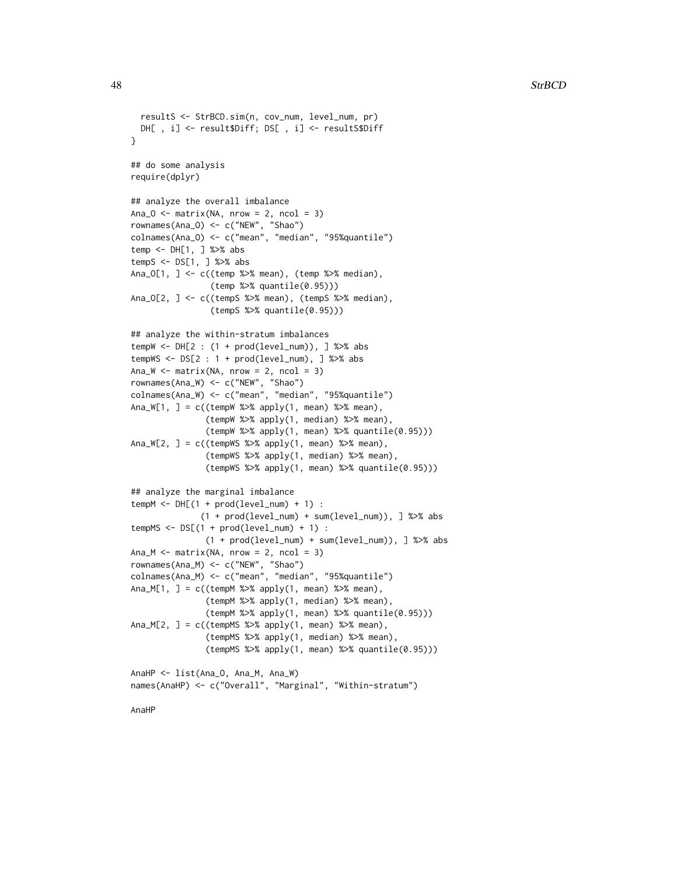```
resultS <- StrBCD.sim(n, cov_num, level_num, pr)
 DH[ , i] <- result$Diff; DS[ , i] <- resultS$Diff
}
## do some analysis
require(dplyr)
## analyze the overall imbalance
Ana_0 \le matrix(NA, nrow = 2, ncol = 3)
rownames(Ana_O) <- c("NEW", "Shao")
colnames(Ana_O) <- c("mean", "median", "95%quantile")
temp <- DH[1, ] %>% abs
tempS <- DS[1, ] %>% abs
Ana_O[1, ] <- c((temp %>% mean), (temp %>% median),
                (temp %>% quantile(0.95)))
Ana_O[2, ] <- c((tempS %>% mean), (tempS %>% median),
                (tempS %>% quantile(0.95)))
## analyze the within-stratum imbalances
tempW \leq DH[2 : (1 + prod(level_number)), ] %>% abs
tempWS <- DS[2 : 1 + prod(level_number), ] %>% abs
Ana_W \leq matrix(NA, nrow = 2, ncol = 3)
rownames(Ana_W) <- c("NEW", "Shao")
colnames(Ana_W) <- c("mean", "median", "95%quantile")
Ana_W[1, ] = c((tempW % > % apply(1, mean) % > % mean),(tempW %>% apply(1, median) %>% mean),
               (tempW %>>% apply(1, men) %>>% quantile(0.95))Ana_W[2, ] = c((tempWS %>% apply(1, mean) %>% mean),
               (tempWS %>% apply(1, median) %>% mean),
               (tempWS %>% apply(1, mean) %>% quantile(0.95)))
## analyze the marginal imbalance
tempM < -DH[(1 + prod(level_number) + 1) :(1 + prod(level_num) + sum(level_num)), ] %>% abs
tempMS \leq DIS[(1 + prod(level_number) + 1) :(1 + prod(level_num) + sum(level_num)), ] %>% abs
Ana_M \leq matrix(NA, nrow = 2, ncol = 3)
rownames(Ana_M) <- c("NEW", "Shao")
colnames(Ana_M) <- c("mean", "median", "95%quantile")
Ana_M[1, ] = c((tempM % > % apply(1, mean) % > % mean)),
               (tempM %>% apply(1, median) %>% mean),
               (tempM %>% apply(1, mean) %>% quantile(0.95)))
Ana_M[2, ] = c((tempMS %>% apply(1, mean) %>% mean),
               (tempMS %>% apply(1, median) %>% mean),
               (tempMS %>% apply(1, mean) %>% quantile(0.95)))
AnaHP <- list(Ana_O, Ana_M, Ana_W)
names(AnaHP) <- c("Overall", "Marginal", "Within-stratum")
```
AnaHP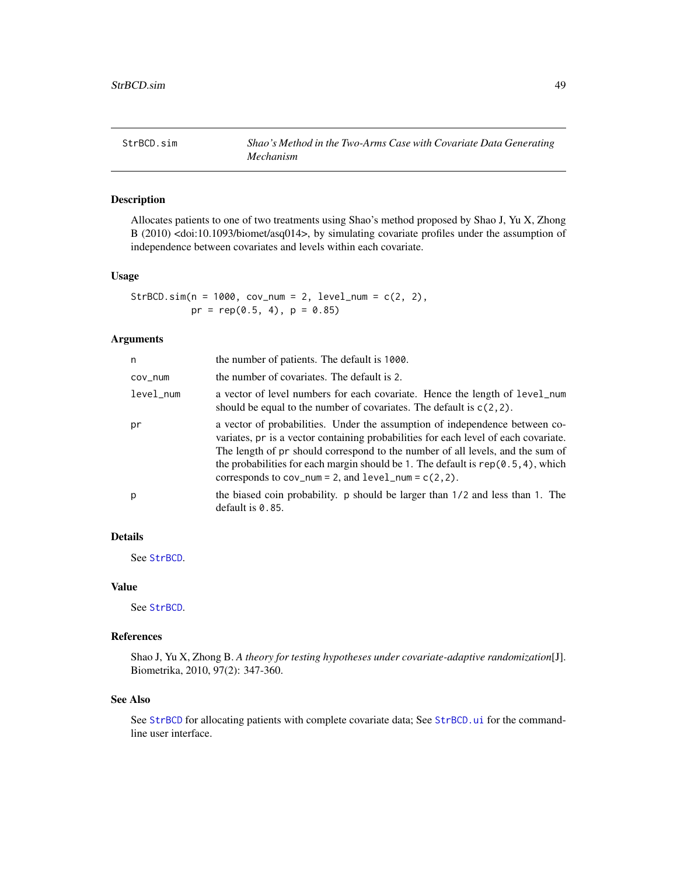<span id="page-48-1"></span><span id="page-48-0"></span>Allocates patients to one of two treatments using Shao's method proposed by Shao J, Yu X, Zhong B (2010) <doi:10.1093/biomet/asq014>, by simulating covariate profiles under the assumption of independence between covariates and levels within each covariate.

#### Usage

 $StrBCD.sim(n = 1000, cov_nnum = 2, level_nnum = c(2, 2),$  $pr = rep(0.5, 4), p = 0.85)$ 

#### Arguments

| n         | the number of patients. The default is 1000.                                                                                                                                                                                                                                                                                                                                                              |
|-----------|-----------------------------------------------------------------------------------------------------------------------------------------------------------------------------------------------------------------------------------------------------------------------------------------------------------------------------------------------------------------------------------------------------------|
| cov_num   | the number of covariates. The default is 2.                                                                                                                                                                                                                                                                                                                                                               |
| level_num | a vector of level numbers for each covariate. Hence the length of level_num<br>should be equal to the number of covariates. The default is $c(2, 2)$ .                                                                                                                                                                                                                                                    |
| рr        | a vector of probabilities. Under the assumption of independence between co-<br>variates, pr is a vector containing probabilities for each level of each covariate.<br>The length of pr should correspond to the number of all levels, and the sum of<br>the probabilities for each margin should be 1. The default is $rep(0.5, 4)$ , which<br>corresponds to $cov_num = 2$ , and $level_num = c(2, 2)$ . |
| p         | the biased coin probability. p should be larger than 1/2 and less than 1. The<br>default is $0.85$ .                                                                                                                                                                                                                                                                                                      |
|           |                                                                                                                                                                                                                                                                                                                                                                                                           |

# Details

See [StrBCD](#page-44-1).

# Value

See [StrBCD](#page-44-1).

# References

Shao J, Yu X, Zhong B. *A theory for testing hypotheses under covariate-adaptive randomization*[J]. Biometrika, 2010, 97(2): 347-360.

# See Also

See [StrBCD](#page-44-1) for allocating patients with complete covariate data; See [StrBCD.ui](#page-49-1) for the commandline user interface.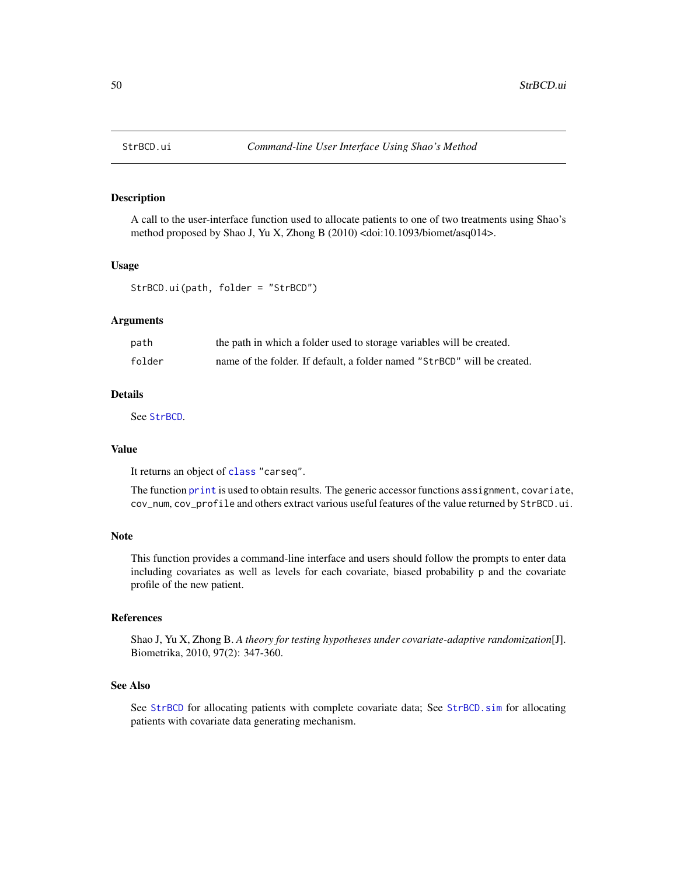<span id="page-49-1"></span><span id="page-49-0"></span>

A call to the user-interface function used to allocate patients to one of two treatments using Shao's method proposed by Shao J, Yu X, Zhong B (2010) <doi:10.1093/biomet/asq014>.

#### Usage

```
StrBCD.ui(path, folder = "StrBCD")
```
#### Arguments

| path   | the path in which a folder used to storage variables will be created.    |
|--------|--------------------------------------------------------------------------|
| folder | name of the folder. If default, a folder named "StrBCD" will be created. |

# Details

See [StrBCD](#page-44-1).

# Value

It returns an object of [class](#page-0-0) "carseq".

The function [print](#page-0-0) is used to obtain results. The generic accessor functions assignment, covariate, cov\_num, cov\_profile and others extract various useful features of the value returned by StrBCD.ui.

#### Note

This function provides a command-line interface and users should follow the prompts to enter data including covariates as well as levels for each covariate, biased probability p and the covariate profile of the new patient.

#### References

Shao J, Yu X, Zhong B. *A theory for testing hypotheses under covariate-adaptive randomization*[J]. Biometrika, 2010, 97(2): 347-360.

# See Also

See [StrBCD](#page-44-1) for allocating patients with complete covariate data; See [StrBCD.sim](#page-48-1) for allocating patients with covariate data generating mechanism.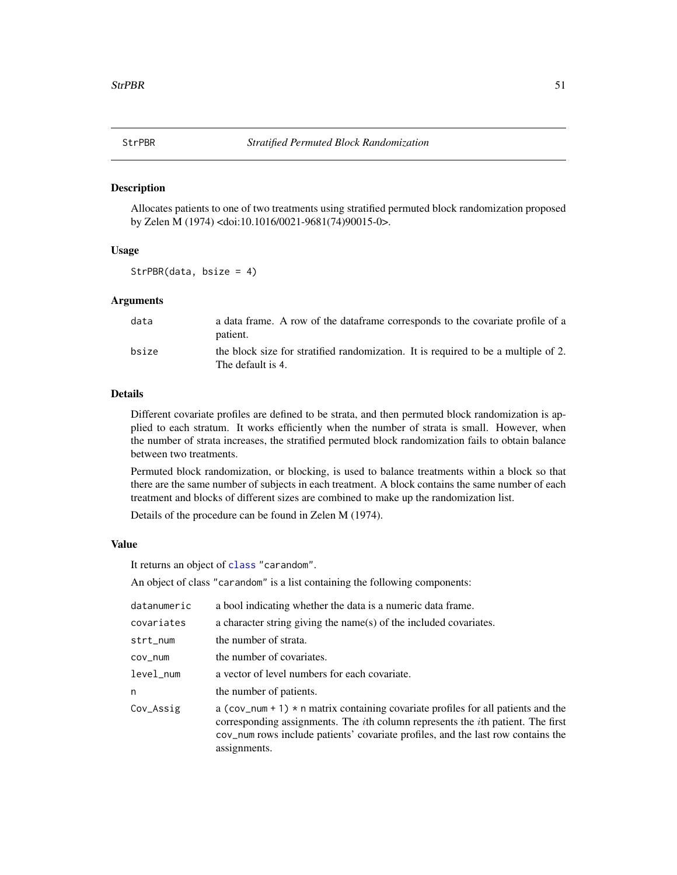<span id="page-50-1"></span><span id="page-50-0"></span>

Allocates patients to one of two treatments using stratified permuted block randomization proposed by Zelen M (1974) <doi:10.1016/0021-9681(74)90015-0>.

# Usage

```
StrPBR(data, bsize = 4)
```
# Arguments

| data  | a data frame. A row of the dataframe corresponds to the covariate profile of a                          |
|-------|---------------------------------------------------------------------------------------------------------|
|       | patient.                                                                                                |
| bsize | the block size for stratified randomization. It is required to be a multiple of 2.<br>The default is 4. |

#### Details

Different covariate profiles are defined to be strata, and then permuted block randomization is applied to each stratum. It works efficiently when the number of strata is small. However, when the number of strata increases, the stratified permuted block randomization fails to obtain balance between two treatments.

Permuted block randomization, or blocking, is used to balance treatments within a block so that there are the same number of subjects in each treatment. A block contains the same number of each treatment and blocks of different sizes are combined to make up the randomization list.

Details of the procedure can be found in Zelen M (1974).

# Value

It returns an object of [class](#page-0-0) "carandom".

An object of class "carandom" is a list containing the following components:

| datanumeric | a bool indicating whether the data is a numeric data frame.                                                                                                                                                                                                                                |
|-------------|--------------------------------------------------------------------------------------------------------------------------------------------------------------------------------------------------------------------------------------------------------------------------------------------|
| covariates  | a character string giving the name(s) of the included covariates.                                                                                                                                                                                                                          |
| strt_num    | the number of strata.                                                                                                                                                                                                                                                                      |
| cov_num     | the number of covariates.                                                                                                                                                                                                                                                                  |
| level num   | a vector of level numbers for each covariate.                                                                                                                                                                                                                                              |
| n           | the number of patients.                                                                                                                                                                                                                                                                    |
| Cov_Assig   | a (cov_num + 1) $*$ n matrix containing covariate profiles for all patients and the<br>corresponding assignments. The <i>i</i> th column represents the <i>i</i> th patient. The first<br>cov_num rows include patients' covariate profiles, and the last row contains the<br>assignments. |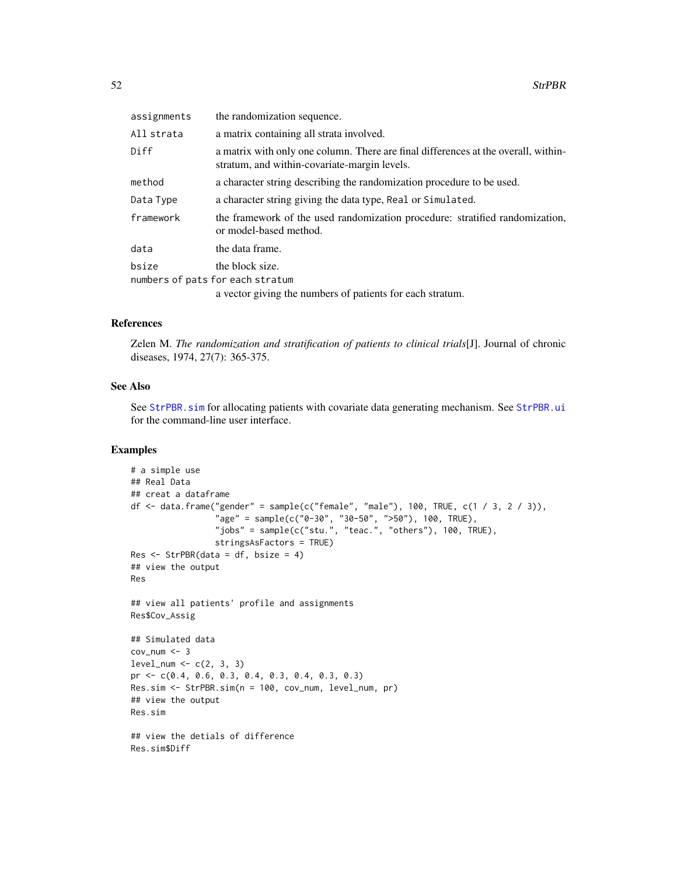<span id="page-51-0"></span>

| assignments                      | the randomization sequence.                                                                                                        |
|----------------------------------|------------------------------------------------------------------------------------------------------------------------------------|
| All strata                       | a matrix containing all strata involved.                                                                                           |
| Diff                             | a matrix with only one column. There are final differences at the overall, within-<br>stratum, and within-covariate-margin levels. |
| method                           | a character string describing the randomization procedure to be used.                                                              |
| Data Type                        | a character string giving the data type, Real or Simulated.                                                                        |
| framework                        | the framework of the used randomization procedure: stratified randomization,<br>or model-based method.                             |
| data                             | the data frame.                                                                                                                    |
| bsize                            | the block size.                                                                                                                    |
| numbers of pats for each stratum |                                                                                                                                    |
|                                  | a vector giving the numbers of patients for each stratum.                                                                          |

#### References

Zelen M. *The randomization and stratification of patients to clinical trials*[J]. Journal of chronic diseases, 1974, 27(7): 365-375.

# See Also

See [StrPBR.sim](#page-53-1) for allocating patients with covariate data generating mechanism. See [StrPBR.ui](#page-54-1) for the command-line user interface.

# Examples

```
# a simple use
## Real Data
## creat a dataframe
df <- data.frame("gender" = sample(c("female", "male"), 100, TRUE, c(1 / 3, 2 / 3)),
                 "age" = sample(c("0-30", "30-50", ">50"), 100, TRUE),
                 "jobs" = sample(c("stu.", "teac.", "others"), 100, TRUE),
                 stringsAsFactors = TRUE)
Res < - StrPBR(data = df, bsize = 4)## view the output
Res
## view all patients' profile and assignments
Res$Cov_Assig
## Simulated data
cov_num < -3level\_num \leftarrow c(2, 3, 3)pr <- c(0.4, 0.6, 0.3, 0.4, 0.3, 0.4, 0.3, 0.3)
Res.sim <- StrPBR.sim(n = 100, cov_num, level_num, pr)
## view the output
Res.sim
## view the detials of difference
Res.sim$Diff
```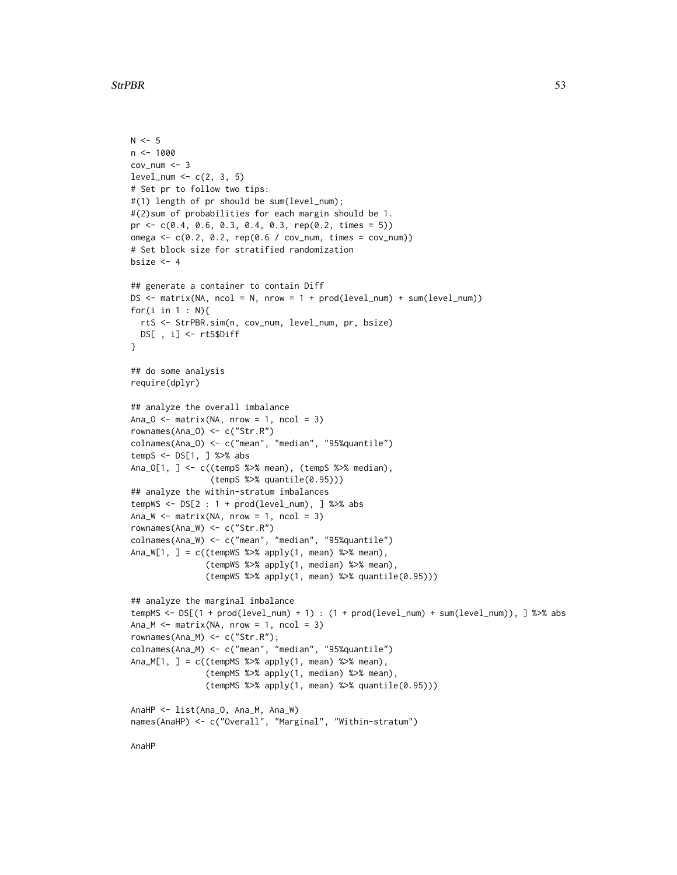```
N < -5n < - 1000cov\_num < - 3level_name < -c(2, 3, 5)# Set pr to follow two tips:
#(1) length of pr should be sum(level_num);
#(2)sum of probabilities for each margin should be 1.
pr \leq c(0.4, 0.6, 0.3, 0.4, 0.3, rep(0.2, times = 5))omega <- c(0.2, 0.2, rep(0.6 / cov_num, times = cov_num))
# Set block size for stratified randomization
bsize <-4## generate a container to contain Diff
DS \le matrix(NA, ncol = N, nrow = 1 + prod(level_num) + sum(level_num))
for(i in 1 : N){
  rtS <- StrPBR.sim(n, cov_num, level_num, pr, bsize)
 DS[ , i] <- rtS$Diff
}
## do some analysis
require(dplyr)
## analyze the overall imbalance
Ana_0 \le matrix(NA, nrow = 1, ncol = 3)
rownames(Ana_O) <- c("Str.R")
colnames(Ana_O) <- c("mean", "median", "95%quantile")
tempS <- DS[1, ] %>% abs
Ana_O[1, ] <- c((tempS %>% mean), (tempS %>% median),
                (tempS %>% quantile(0.95)))
## analyze the within-stratum imbalances
tempWS <- DS[2 : 1 + prod(level_number), ] %>% abs
Ana_W \leq matrix(NA, nrow = 1, ncol = 3)
rownames(Ana_W) <- c("Str.R")
colnames(Ana_W) <- c("mean", "median", "95%quantile")
Ana_W[1, ] = c((tempWS %>% apply(1, mean) %>% mean),
               (tempWS %>% apply(1, median) %>% mean),
               (tempWS %>% apply(1, mean) %>% quantile(0.95)))
## analyze the marginal imbalance
tempMS <- DS[(1 + prod(level_num) + 1) : (1 + prod(level_num) + sum(level_num)), ] %>% abs
Ana_M \leq matrix(NA, nrow = 1, ncol = 3)
rownames(Ana_M) <- c("Str.R");
colnames(Ana_M) <- c("mean", "median", "95%quantile")
Ana_M[1, ] = c((tempMS %>% apply(1, mean) %>% mean),
               (tempMS %>% apply(1, median) %>% mean),
               (tempMS %>% apply(1, mean) %>% quantile(0.95)))
AnaHP <- list(Ana_O, Ana_M, Ana_W)
names(AnaHP) <- c("Overall", "Marginal", "Within-stratum")
AnaHP
```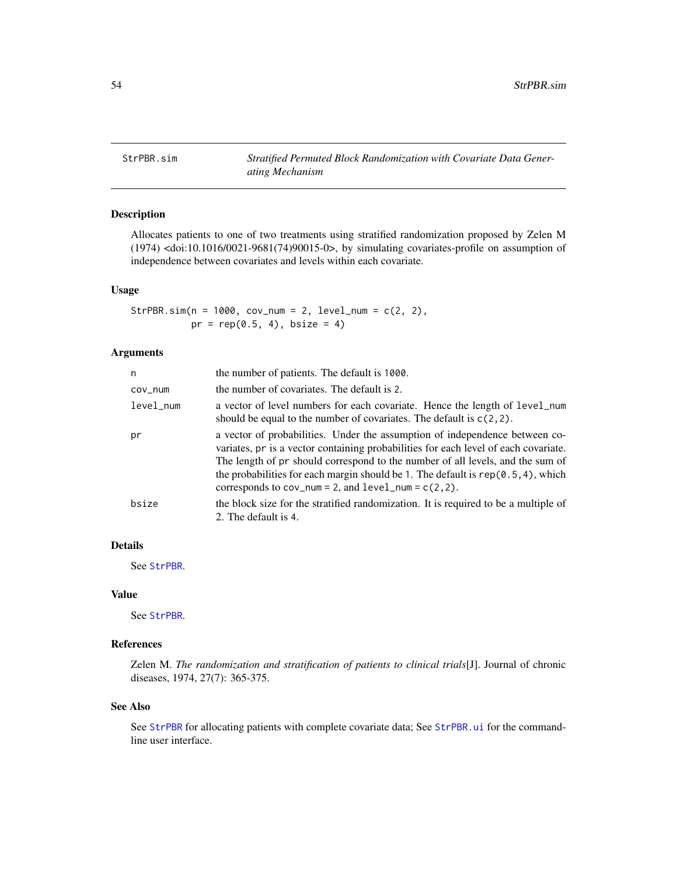<span id="page-53-1"></span><span id="page-53-0"></span>StrPBR.sim *Stratified Permuted Block Randomization with Covariate Data Generating Mechanism*

# Description

Allocates patients to one of two treatments using stratified randomization proposed by Zelen M (1974) <doi:10.1016/0021-9681(74)90015-0>, by simulating covariates-profile on assumption of independence between covariates and levels within each covariate.

# Usage

StrPBR.sim( $n = 1000$ , cov\_num = 2, level\_num = c(2, 2),  $pr = rep(0.5, 4), bisize = 4)$ 

# Arguments

| n         | the number of patients. The default is 1000.                                                                                                                                                                                                                                                                                                                                                              |
|-----------|-----------------------------------------------------------------------------------------------------------------------------------------------------------------------------------------------------------------------------------------------------------------------------------------------------------------------------------------------------------------------------------------------------------|
| COV_num   | the number of covariates. The default is 2.                                                                                                                                                                                                                                                                                                                                                               |
| level_num | a vector of level numbers for each covariate. Hence the length of level_num<br>should be equal to the number of covariates. The default is $c(2, 2)$ .                                                                                                                                                                                                                                                    |
| pr        | a vector of probabilities. Under the assumption of independence between co-<br>variates, pr is a vector containing probabilities for each level of each covariate.<br>The length of pr should correspond to the number of all levels, and the sum of<br>the probabilities for each margin should be 1. The default is $rep(0.5, 4)$ , which<br>corresponds to $cov_num = 2$ , and $level_num = c(2, 2)$ . |
| bsize     | the block size for the stratified randomization. It is required to be a multiple of<br>2. The default is 4.                                                                                                                                                                                                                                                                                               |

# Details

See [StrPBR](#page-50-1).

#### Value

See [StrPBR](#page-50-1).

#### References

Zelen M. *The randomization and stratification of patients to clinical trials*[J]. Journal of chronic diseases, 1974, 27(7): 365-375.

# See Also

See [StrPBR](#page-50-1) for allocating patients with complete covariate data; See [StrPBR.ui](#page-54-1) for the commandline user interface.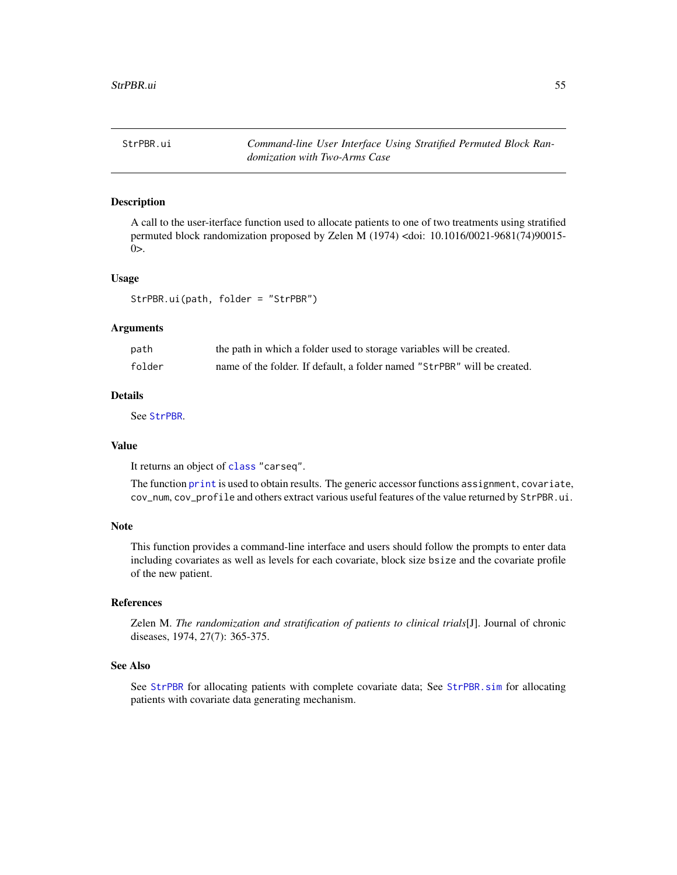<span id="page-54-1"></span><span id="page-54-0"></span>StrPBR.ui *Command-line User Interface Using Stratified Permuted Block Randomization with Two-Arms Case*

# Description

A call to the user-iterface function used to allocate patients to one of two treatments using stratified permuted block randomization proposed by Zelen M (1974) <doi: 10.1016/0021-9681(74)90015-  $0$  $>$ .

#### Usage

StrPBR.ui(path, folder = "StrPBR")

#### **Arguments**

| path   | the path in which a folder used to storage variables will be created.    |
|--------|--------------------------------------------------------------------------|
| folder | name of the folder. If default, a folder named "StrPBR" will be created. |

# Details

See [StrPBR](#page-50-1).

#### Value

It returns an object of [class](#page-0-0) "carseq".

The function [print](#page-0-0) is used to obtain results. The generic accessor functions assignment, covariate, cov\_num, cov\_profile and others extract various useful features of the value returned by StrPBR.ui.

#### Note

This function provides a command-line interface and users should follow the prompts to enter data including covariates as well as levels for each covariate, block size bsize and the covariate profile of the new patient.

#### References

Zelen M. *The randomization and stratification of patients to clinical trials*[J]. Journal of chronic diseases, 1974, 27(7): 365-375.

#### See Also

See [StrPBR](#page-50-1) for allocating patients with complete covariate data; See [StrPBR.sim](#page-53-1) for allocating patients with covariate data generating mechanism.